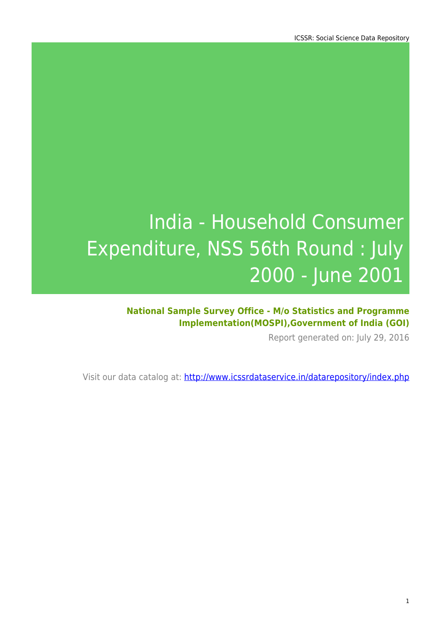### **National Sample Survey Office - M/o Statistics and Programme Implementation(MOSPI),Government of India (GOI)**

Report generated on: July 29, 2016

Visit our data catalog at: http://www.icssrdataservice.in/datarepository/index.php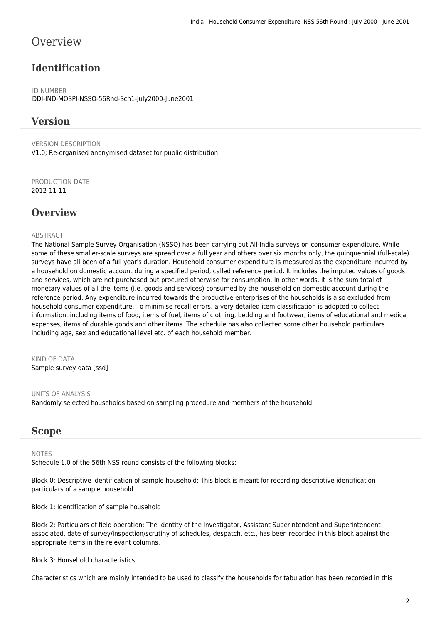### **Overview**

### **Identification**

ID NUMBER DDI-IND-MOSPI-NSSO-56Rnd-Sch1-July2000-June2001

#### **Version**

VERSION DESCRIPTION V1.0; Re-organised anonymised dataset for public distribution.

PRODUCTION DATE 2012-11-11

#### **Overview**

#### **ABSTRACT**

The National Sample Survey Organisation (NSSO) has been carrying out All-India surveys on consumer expenditure. While some of these smaller-scale surveys are spread over a full year and others over six months only, the quinquennial (full-scale) surveys have all been of a full year's duration. Household consumer expenditure is measured as the expenditure incurred by a household on domestic account during a specified period, called reference period. It includes the imputed values of goods and services, which are not purchased but procured otherwise for consumption. In other words, it is the sum total of monetary values of all the items (i.e. goods and services) consumed by the household on domestic account during the reference period. Any expenditure incurred towards the productive enterprises of the households is also excluded from household consumer expenditure. To minimise recall errors, a very detailed item classification is adopted to collect information, including items of food, items of fuel, items of clothing, bedding and footwear, items of educational and medical expenses, items of durable goods and other items. The schedule has also collected some other household particulars including age, sex and educational level etc. of each household member.

KIND OF DATA Sample survey data [ssd]

UNITS OF ANALYSIS Randomly selected households based on sampling procedure and members of the household

#### **Scope**

#### NOTES

Schedule 1.0 of the 56th NSS round consists of the following blocks:

Block 0: Descriptive identification of sample household: This block is meant for recording descriptive identification particulars of a sample household.

Block 1: Identification of sample household

Block 2: Particulars of field operation: The identity of the Investigator, Assistant Superintendent and Superintendent associated, date of survey/inspection/scrutiny of schedules, despatch, etc., has been recorded in this block against the appropriate items in the relevant columns.

Block 3: Household characteristics:

Characteristics which are mainly intended to be used to classify the households for tabulation has been recorded in this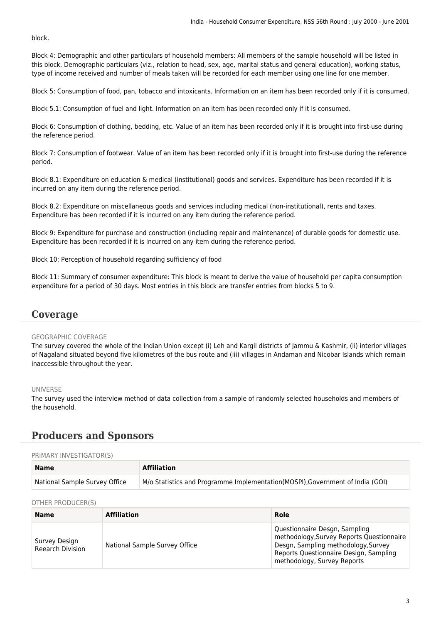block.

Block 4: Demographic and other particulars of household members: All members of the sample household will be listed in this block. Demographic particulars (viz., relation to head, sex, age, marital status and general education), working status, type of income received and number of meals taken will be recorded for each member using one line for one member.

Block 5: Consumption of food, pan, tobacco and intoxicants. Information on an item has been recorded only if it is consumed.

Block 5.1: Consumption of fuel and light. Information on an item has been recorded only if it is consumed.

Block 6: Consumption of clothing, bedding, etc. Value of an item has been recorded only if it is brought into first-use during the reference period.

Block 7: Consumption of footwear. Value of an item has been recorded only if it is brought into first-use during the reference period.

Block 8.1: Expenditure on education & medical (institutional) goods and services. Expenditure has been recorded if it is incurred on any item during the reference period.

Block 8.2: Expenditure on miscellaneous goods and services including medical (non-institutional), rents and taxes. Expenditure has been recorded if it is incurred on any item during the reference period.

Block 9: Expenditure for purchase and construction (including repair and maintenance) of durable goods for domestic use. Expenditure has been recorded if it is incurred on any item during the reference period.

Block 10: Perception of household regarding sufficiency of food

Block 11: Summary of consumer expenditure: This block is meant to derive the value of household per capita consumption expenditure for a period of 30 days. Most entries in this block are transfer entries from blocks 5 to 9.

#### **Coverage**

#### GEOGRAPHIC COVERAGE

The survey covered the whole of the Indian Union except (i) Leh and Kargil districts of Jammu & Kashmir, (ii) interior villages of Nagaland situated beyond five kilometres of the bus route and (iii) villages in Andaman and Nicobar Islands which remain inaccessible throughout the year.

#### UNIVERSE

The survey used the interview method of data collection from a sample of randomly selected households and members of the household.

### **Producers and Sponsors**

#### PRIMARY INVESTIGATOR(S)

| <b>Name</b>                   | <b>Affiliation</b>                                                            |
|-------------------------------|-------------------------------------------------------------------------------|
| National Sample Survey Office | M/o Statistics and Programme Implementation(MOSPI), Government of India (GOI) |

#### OTHER PRODUCER(S)

| <b>Name</b>                              | <b>Affiliation</b>            | Role                                                                                                                                                                                       |  |
|------------------------------------------|-------------------------------|--------------------------------------------------------------------------------------------------------------------------------------------------------------------------------------------|--|
| Survey Design<br><b>Reearch Division</b> | National Sample Survey Office | Questionnaire Desgn, Sampling<br>methodology, Survey Reports Questionnaire<br>Desgn, Sampling methodology, Survey<br>Reports Questionnaire Design, Sampling<br>methodology, Survey Reports |  |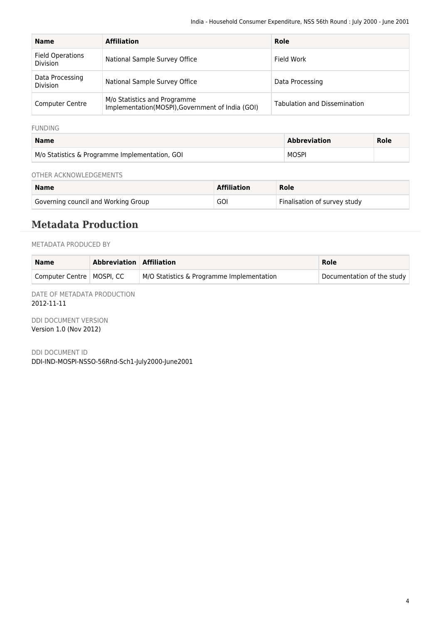| <b>Name</b>                                | <b>Affiliation</b>                                                               | Role                                |
|--------------------------------------------|----------------------------------------------------------------------------------|-------------------------------------|
| <b>Field Operations</b><br><b>Division</b> | National Sample Survey Office                                                    | Field Work                          |
| Data Processing<br><b>Division</b>         | National Sample Survey Office                                                    | Data Processing                     |
| <b>Computer Centre</b>                     | M/o Statistics and Programme<br>Implementation(MOSPI), Government of India (GOI) | <b>Tabulation and Dissemination</b> |

FUNDING

| <b>Name</b>                                    | <b>Abbreviation</b> | Role |
|------------------------------------------------|---------------------|------|
| M/o Statistics & Programme Implementation, GOI | <b>MOSPI</b>        |      |

OTHER ACKNOWLEDGEMENTS

| <b>Name</b>                         | <b>Affiliation</b> | Role                         |
|-------------------------------------|--------------------|------------------------------|
| Governing council and Working Group | GOI                | Finalisation of survey study |

### **Metadata Production**

METADATA PRODUCED BY

| <b>Name</b>                 | Abbreviation Affiliation |                                           | Role                       |
|-----------------------------|--------------------------|-------------------------------------------|----------------------------|
| Computer Centre   MOSPI, CC |                          | M/O Statistics & Programme Implementation | Documentation of the study |

DATE OF METADATA PRODUCTION 2012-11-11

DDI DOCUMENT VERSION Version 1.0 (Nov 2012)

DDI DOCUMENT ID DDI-IND-MOSPI-NSSO-56Rnd-Sch1-July2000-June2001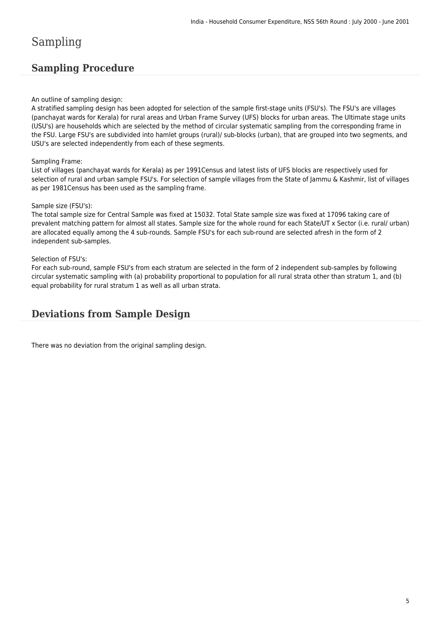# Sampling

### **Sampling Procedure**

#### An outline of sampling design:

A stratified sampling design has been adopted for selection of the sample first-stage units (FSU's). The FSU's are villages (panchayat wards for Kerala) for rural areas and Urban Frame Survey (UFS) blocks for urban areas. The Ultimate stage units (USU's) are households which are selected by the method of circular systematic sampling from the corresponding frame in the FSU. Large FSU's are subdivided into hamlet groups (rural)/ sub-blocks (urban), that are grouped into two segments, and USU's are selected independently from each of these segments.

#### Sampling Frame:

List of villages (panchayat wards for Kerala) as per 1991Census and latest lists of UFS blocks are respectively used for selection of rural and urban sample FSU's. For selection of sample villages from the State of Jammu & Kashmir, list of villages as per 1981Census has been used as the sampling frame.

#### Sample size (FSU's):

The total sample size for Central Sample was fixed at 15032. Total State sample size was fixed at 17096 taking care of prevalent matching pattern for almost all states. Sample size for the whole round for each State/UT x Sector (i.e. rural/ urban) are allocated equally among the 4 sub-rounds. Sample FSU's for each sub-round are selected afresh in the form of 2 independent sub-samples.

#### Selection of FSU's:

For each sub-round, sample FSU's from each stratum are selected in the form of 2 independent sub-samples by following circular systematic sampling with (a) probability proportional to population for all rural strata other than stratum 1, and (b) equal probability for rural stratum 1 as well as all urban strata.

### **Deviations from Sample Design**

There was no deviation from the original sampling design.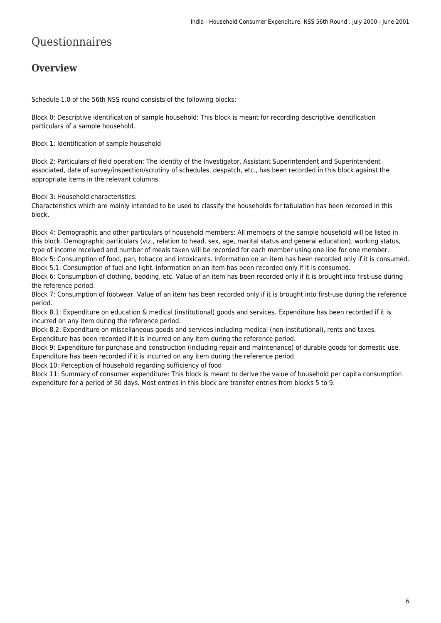# Questionnaires

### **Overview**

Schedule 1.0 of the 56th NSS round consists of the following blocks:

Block 0: Descriptive identification of sample household: This block is meant for recording descriptive identification particulars of a sample household.

Block 1: Identification of sample household

Block 2: Particulars of field operation: The identity of the Investigator, Assistant Superintendent and Superintendent associated, date of survey/inspection/scrutiny of schedules, despatch, etc., has been recorded in this block against the appropriate items in the relevant columns.

Block 3: Household characteristics:

Characteristics which are mainly intended to be used to classify the households for tabulation has been recorded in this block.

Block 4: Demographic and other particulars of household members: All members of the sample household will be listed in this block. Demographic particulars (viz., relation to head, sex, age, marital status and general education), working status, type of income received and number of meals taken will be recorded for each member using one line for one member. Block 5: Consumption of food, pan, tobacco and intoxicants. Information on an item has been recorded only if it is consumed. Block 5.1: Consumption of fuel and light. Information on an item has been recorded only if it is consumed.

Block 6: Consumption of clothing, bedding, etc. Value of an item has been recorded only if it is brought into first-use during the reference period.

Block 7: Consumption of footwear. Value of an item has been recorded only if it is brought into first-use during the reference period.

Block 8.1: Expenditure on education & medical (institutional) goods and services. Expenditure has been recorded if it is incurred on any item during the reference period.

Block 8.2: Expenditure on miscellaneous goods and services including medical (non-institutional), rents and taxes. Expenditure has been recorded if it is incurred on any item during the reference period.

Block 9: Expenditure for purchase and construction (including repair and maintenance) of durable goods for domestic use. Expenditure has been recorded if it is incurred on any item during the reference period.

Block 10: Perception of household regarding sufficiency of food

Block 11: Summary of consumer expenditure: This block is meant to derive the value of household per capita consumption expenditure for a period of 30 days. Most entries in this block are transfer entries from blocks 5 to 9.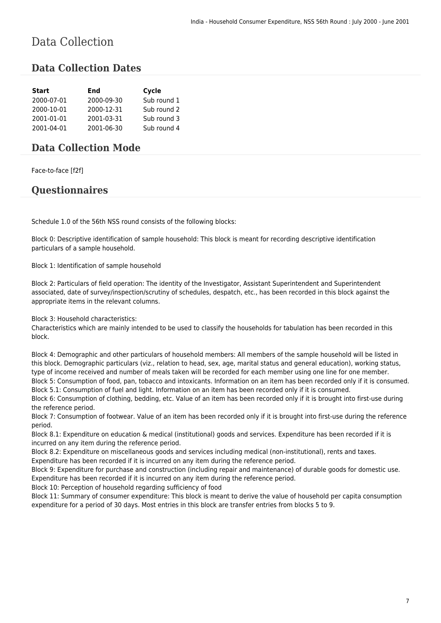# Data Collection

### **Data Collection Dates**

| <b>Start</b> | End        | Cycle       |
|--------------|------------|-------------|
| 2000-07-01   | 2000-09-30 | Sub round 1 |
| 2000-10-01   | 2000-12-31 | Sub round 2 |
| 2001-01-01   | 2001-03-31 | Sub round 3 |
| 2001-04-01   | 2001-06-30 | Sub round 4 |

### **Data Collection Mode**

Face-to-face [f2f]

### **Questionnaires**

Schedule 1.0 of the 56th NSS round consists of the following blocks:

Block 0: Descriptive identification of sample household: This block is meant for recording descriptive identification particulars of a sample household.

Block 1: Identification of sample household

Block 2: Particulars of field operation: The identity of the Investigator, Assistant Superintendent and Superintendent associated, date of survey/inspection/scrutiny of schedules, despatch, etc., has been recorded in this block against the appropriate items in the relevant columns.

Block 3: Household characteristics:

Characteristics which are mainly intended to be used to classify the households for tabulation has been recorded in this block.

Block 4: Demographic and other particulars of household members: All members of the sample household will be listed in this block. Demographic particulars (viz., relation to head, sex, age, marital status and general education), working status, type of income received and number of meals taken will be recorded for each member using one line for one member. Block 5: Consumption of food, pan, tobacco and intoxicants. Information on an item has been recorded only if it is consumed. Block 5.1: Consumption of fuel and light. Information on an item has been recorded only if it is consumed.

Block 6: Consumption of clothing, bedding, etc. Value of an item has been recorded only if it is brought into first-use during the reference period.

Block 7: Consumption of footwear. Value of an item has been recorded only if it is brought into first-use during the reference period.

Block 8.1: Expenditure on education & medical (institutional) goods and services. Expenditure has been recorded if it is incurred on any item during the reference period.

Block 8.2: Expenditure on miscellaneous goods and services including medical (non-institutional), rents and taxes.

Expenditure has been recorded if it is incurred on any item during the reference period.

Block 9: Expenditure for purchase and construction (including repair and maintenance) of durable goods for domestic use. Expenditure has been recorded if it is incurred on any item during the reference period.

Block 10: Perception of household regarding sufficiency of food

Block 11: Summary of consumer expenditure: This block is meant to derive the value of household per capita consumption expenditure for a period of 30 days. Most entries in this block are transfer entries from blocks 5 to 9.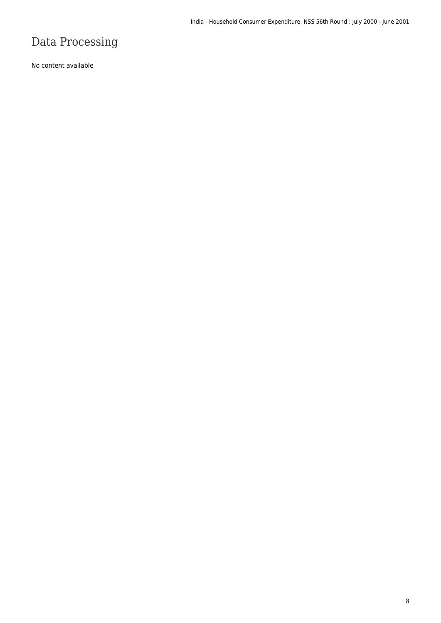# Data Processing

No content available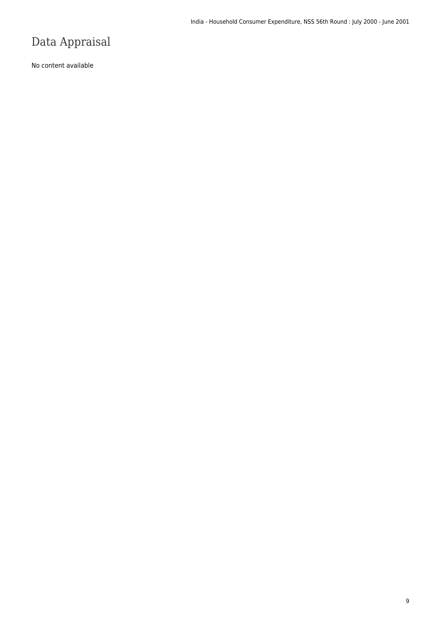# Data Appraisal

No content available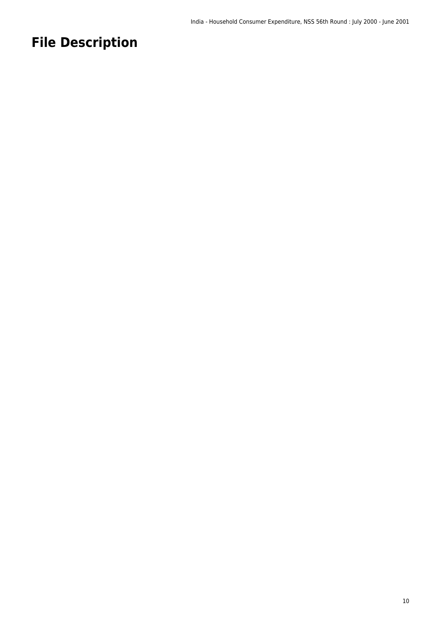# **File Description**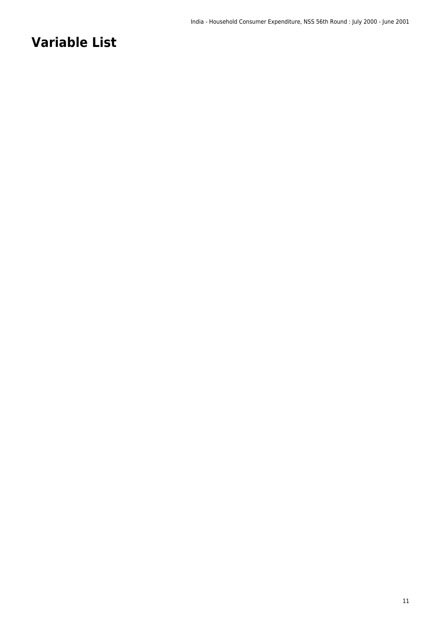# **Variable List**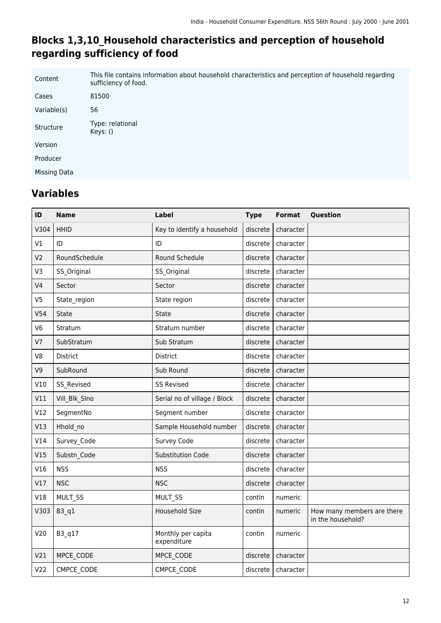### **Blocks 1,3,10\_Household characteristics and perception of household regarding sufficiency of food**

| Content      | This file contains information about household characteristics and perception of household regarding<br>sufficiency of food. |
|--------------|------------------------------------------------------------------------------------------------------------------------------|
| Cases        | 81500                                                                                                                        |
| Variable(s)  | 56                                                                                                                           |
| Structure    | Type: relational<br>Keys: ()                                                                                                 |
| Version      |                                                                                                                              |
| Producer     |                                                                                                                              |
| Missing Data |                                                                                                                              |

| ID              | <b>Name</b>   | <b>Label</b>                      | <b>Type</b> | <b>Format</b> | Question                                        |
|-----------------|---------------|-----------------------------------|-------------|---------------|-------------------------------------------------|
| V304            | <b>HHID</b>   | Key to identify a household       | discrete    | character     |                                                 |
| V1              | ID            | ID                                | discrete    | character     |                                                 |
| V <sub>2</sub>  | RoundSchedule | Round Schedule                    | discrete    | character     |                                                 |
| V3              | SS_Original   | SS_Original                       | discrete    | character     |                                                 |
| V <sub>4</sub>  | Sector        | Sector                            | discrete    | character     |                                                 |
| V <sub>5</sub>  | State_region  | State region                      | discrete    | character     |                                                 |
| V <sub>54</sub> | <b>State</b>  | <b>State</b>                      | discrete    | character     |                                                 |
| V <sub>6</sub>  | Stratum       | Stratum number                    | discrete    | character     |                                                 |
| V <sub>7</sub>  | SubStratum    | Sub Stratum                       | discrete    | character     |                                                 |
| V8              | District      | District                          | discrete    | character     |                                                 |
| V9              | SubRound      | Sub Round                         | discrete    | character     |                                                 |
| V10             | SS Revised    | <b>SS Revised</b>                 | discrete    | character     |                                                 |
| V11             | Vill_Blk_Slno | Serial no of village / Block      | discrete    | character     |                                                 |
| V12             | SegmentNo     | Segment number                    | discrete    | character     |                                                 |
| V13             | Hhold_no      | Sample Household number           | discrete    | character     |                                                 |
| V14             | Survey_Code   | Survey Code                       | discrete    | character     |                                                 |
| V15             | Substn_Code   | Substitution Code                 | discrete    | character     |                                                 |
| V16             | <b>NSS</b>    | <b>NSS</b>                        | discrete    | character     |                                                 |
| V17             | <b>NSC</b>    | <b>NSC</b>                        | discrete    | character     |                                                 |
| V18             | MULT_SS       | MULT_SS                           | contin      | numeric       |                                                 |
| V303            | $B3_q1$       | <b>Household Size</b>             | contin      | numeric       | How many members are there<br>in the household? |
| V20             | B3_q17        | Monthly per capita<br>expenditure | contin      | numeric       |                                                 |
| V <sub>21</sub> | MPCE CODE     | MPCE CODE                         | discrete    | character     |                                                 |
| V <sub>22</sub> | CMPCE CODE    | CMPCE CODE                        | discrete    | character     |                                                 |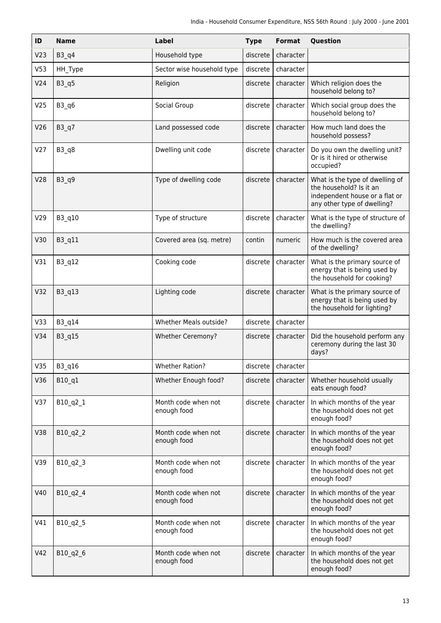| ID              | <b>Name</b> | <b>Label</b>                       | <b>Type</b> | Format    | Question                                                                                                                    |
|-----------------|-------------|------------------------------------|-------------|-----------|-----------------------------------------------------------------------------------------------------------------------------|
| V <sub>23</sub> | $B3_q4$     | Household type                     | discrete    | character |                                                                                                                             |
| V <sub>53</sub> | HH_Type     | Sector wise household type         | discrete    | character |                                                                                                                             |
| V24             | $B3_q5$     | Religion                           | discrete    | character | Which religion does the<br>household belong to?                                                                             |
| V <sub>25</sub> | $B3_q6$     | Social Group                       | discrete    | character | Which social group does the<br>household belong to?                                                                         |
| V <sub>26</sub> | $B3_q7$     | Land possessed code                | discrete    | character | How much land does the<br>household possess?                                                                                |
| V <sub>27</sub> | B3 q8       | Dwelling unit code                 | discrete    | character | Do you own the dwelling unit?<br>Or is it hired or otherwise<br>occupied?                                                   |
| V28             | B3 q9       | Type of dwelling code              | discrete    | character | What is the type of dwelling of<br>the household? Is it an<br>independent house or a flat or<br>any other type of dwelling? |
| V29             | B3 q10      | Type of structure                  | discrete    | character | What is the type of structure of<br>the dwelling?                                                                           |
| V30             | B3 q11      | Covered area (sq. metre)           | contin      | numeric   | How much is the covered area<br>of the dwelling?                                                                            |
| V31             | B3 q12      | Cooking code                       | discrete    | character | What is the primary source of<br>energy that is being used by<br>the household for cooking?                                 |
| V <sub>32</sub> | B3 q13      | Lighting code                      | discrete    | character | What is the primary source of<br>energy that is being used by<br>the household for lighting?                                |
| V33             | B3 q14      | Whether Meals outside?             | discrete    | character |                                                                                                                             |
| V34             | B3_q15      | Whether Ceremony?                  | discrete    | character | Did the household perform any<br>ceremony during the last 30<br>days?                                                       |
| V35             | B3_q16      | <b>Whether Ration?</b>             | discrete    | character |                                                                                                                             |
| V36             | B10 q1      | Whether Enough food?               | discrete    | character | Whether household usually<br>eats enough food?                                                                              |
| V37             | B10_q2_1    | Month code when not<br>enough food | discrete    | character | In which months of the year<br>the household does not get<br>enough food?                                                   |
| V38             | B10_q2_2    | Month code when not<br>enough food | discrete    | character | In which months of the year<br>the household does not get<br>enough food?                                                   |
| V39             | B10 q2 3    | Month code when not<br>enough food | discrete    | character | In which months of the year<br>the household does not get<br>enough food?                                                   |
| V40             | B10_q2_4    | Month code when not<br>enough food | discrete    | character | In which months of the year<br>the household does not get<br>enough food?                                                   |
| V41             | B10_q2_5    | Month code when not<br>enough food | discrete    | character | In which months of the year<br>the household does not get<br>enough food?                                                   |
| V42             | B10_q2_6    | Month code when not<br>enough food | discrete    | character | In which months of the year<br>the household does not get<br>enough food?                                                   |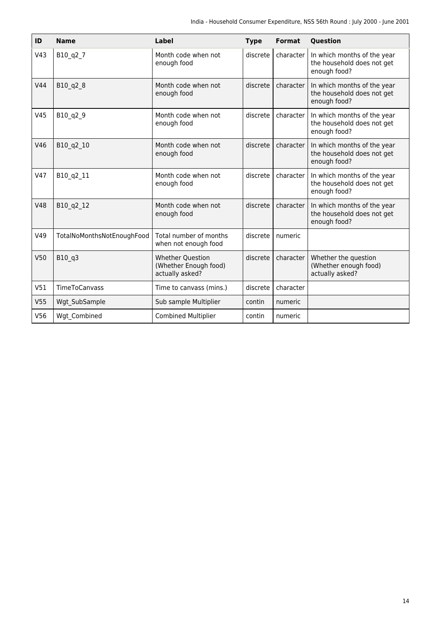| ID              | <b>Name</b>                | <b>Label</b>                                                        | <b>Type</b> | <b>Format</b> | Question                                                                  |
|-----------------|----------------------------|---------------------------------------------------------------------|-------------|---------------|---------------------------------------------------------------------------|
| V43             | B10_q2_7                   | Month code when not<br>enough food                                  | discrete    | character     | In which months of the year<br>the household does not get<br>enough food? |
| V44             | B10 q2 8                   | Month code when not<br>enough food                                  | discrete    | character     | In which months of the year<br>the household does not get<br>enough food? |
| V45             | B10_q2_9                   | Month code when not<br>enough food                                  | discrete    | character     | In which months of the year<br>the household does not get<br>enough food? |
| V46             | B10 q2 10                  | Month code when not<br>enough food                                  | discrete    | character     | In which months of the year<br>the household does not get<br>enough food? |
| V47             | B10_q2_11                  | Month code when not<br>enough food                                  | discrete    | character     | In which months of the year<br>the household does not get<br>enough food? |
| V48             | B10 q2 12                  | Month code when not<br>enough food                                  | discrete    | character     | In which months of the year<br>the household does not get<br>enough food? |
| V49             | TotalNoMonthsNotEnoughFood | Total number of months<br>when not enough food                      | discrete    | numeric       |                                                                           |
| V50             | B10 q3                     | <b>Whether Question</b><br>(Whether Enough food)<br>actually asked? | discrete    | character     | Whether the question<br>(Whether enough food)<br>actually asked?          |
| V51             | TimeToCanvass              | Time to canvass (mins.)                                             | discrete    | character     |                                                                           |
| V <sub>55</sub> | Wgt SubSample              | Sub sample Multiplier                                               | contin      | numeric       |                                                                           |
| V56             | Wgt Combined               | <b>Combined Multiplier</b>                                          | contin      | numeric       |                                                                           |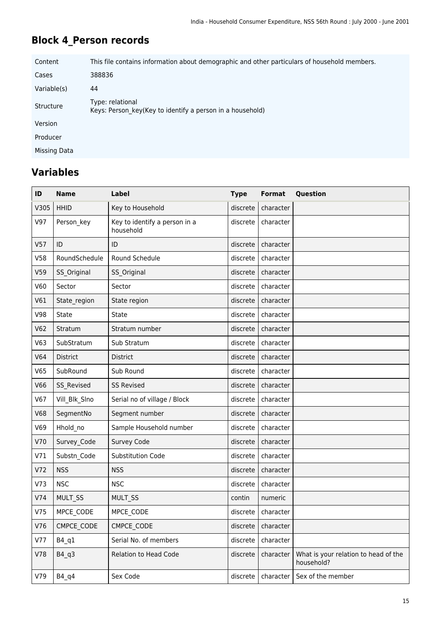# **Block 4\_Person records**

| Content      | This file contains information about demographic and other particulars of household members. |
|--------------|----------------------------------------------------------------------------------------------|
| Cases        | 388836                                                                                       |
| Variable(s)  | 44                                                                                           |
| Structure    | Type: relational<br>Keys: Person key(Key to identify a person in a household)                |
| Version      |                                                                                              |
| Producer     |                                                                                              |
| Missing Data |                                                                                              |

| ID              | <b>Name</b>     | <b>Label</b>                               | <b>Type</b> | <b>Format</b> | Question                                           |
|-----------------|-----------------|--------------------------------------------|-------------|---------------|----------------------------------------------------|
| V305            | <b>HHID</b>     | Key to Household                           | discrete    | character     |                                                    |
| V97             | Person_key      | Key to identify a person in a<br>household | discrete    | character     |                                                    |
| V <sub>57</sub> | ID              | ID                                         | discrete    | character     |                                                    |
| V58             | RoundSchedule   | Round Schedule                             | discrete    | character     |                                                    |
| V59             | SS Original     | SS_Original                                | discrete    | character     |                                                    |
| V60             | Sector          | Sector                                     | discrete    | character     |                                                    |
| V61             | State_region    | State region                               | discrete    | character     |                                                    |
| V98             | <b>State</b>    | <b>State</b>                               | discrete    | character     |                                                    |
| V62             | Stratum         | Stratum number                             | discrete    | character     |                                                    |
| V63             | SubStratum      | Sub Stratum                                | discrete    | character     |                                                    |
| V64             | <b>District</b> | District                                   | discrete    | character     |                                                    |
| V65             | SubRound        | Sub Round                                  | discrete    | character     |                                                    |
| <b>V66</b>      | SS_Revised      | <b>SS Revised</b>                          | discrete    | character     |                                                    |
| V67             | Vill Blk Slno   | Serial no of village / Block               | discrete    | character     |                                                    |
| <b>V68</b>      | SegmentNo       | Segment number                             | discrete    | character     |                                                    |
| V69             | Hhold no        | Sample Household number                    | discrete    | character     |                                                    |
| V70             | Survey Code     | Survey Code                                | discrete    | character     |                                                    |
| V71             | Substn_Code     | Substitution Code                          | discrete    | character     |                                                    |
| V72             | <b>NSS</b>      | <b>NSS</b>                                 | discrete    | character     |                                                    |
| V73             | <b>NSC</b>      | <b>NSC</b>                                 | discrete    | character     |                                                    |
| V74             | MULT SS         | MULT_SS                                    | contin      | numeric       |                                                    |
| V75             | MPCE CODE       | MPCE_CODE                                  | discrete    | character     |                                                    |
| V76             | CMPCE CODE      | CMPCE CODE                                 | discrete    | character     |                                                    |
| V77             | $B4_q1$         | Serial No. of members                      | discrete    | character     |                                                    |
| V78             | B4 q3           | Relation to Head Code                      | discrete    | character     | What is your relation to head of the<br>household? |
| V79             | $B4_q$          | Sex Code                                   | discrete    | character     | Sex of the member                                  |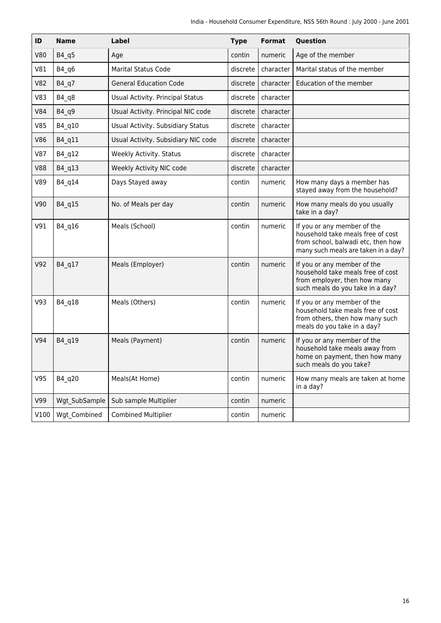| ID         | <b>Name</b>   | Label                               | <b>Type</b> | <b>Format</b> | Question                                                                                                                                      |
|------------|---------------|-------------------------------------|-------------|---------------|-----------------------------------------------------------------------------------------------------------------------------------------------|
| <b>V80</b> | B4 q5         | Age                                 | contin      | numeric       | Age of the member                                                                                                                             |
| V81        | $B4_q6$       | <b>Marital Status Code</b>          | discrete    | character     | Marital status of the member                                                                                                                  |
| <b>V82</b> | $B4_q7$       | <b>General Education Code</b>       | discrete    | character     | Education of the member                                                                                                                       |
| V83        | $B4_q8$       | Usual Activity. Principal Status    | discrete    | character     |                                                                                                                                               |
| V84        | B4_q9         | Usual Activity. Principal NIC code  | discrete    | character     |                                                                                                                                               |
| <b>V85</b> | B4_q10        | Usual Activity. Subsidiary Status   | discrete    | character     |                                                                                                                                               |
| <b>V86</b> | B4_q11        | Usual Activity. Subsidiary NIC code | discrete    | character     |                                                                                                                                               |
| <b>V87</b> | B4_q12        | Weekly Activity. Status             | discrete    | character     |                                                                                                                                               |
| <b>V88</b> | B4 q13        | Weekly Activity NIC code            | discrete    | character     |                                                                                                                                               |
| V89        | B4_q14        | Days Stayed away                    | contin      | numeric       | How many days a member has<br>stayed away from the household?                                                                                 |
| V90        | B4_q15        | No. of Meals per day                | contin      | numeric       | How many meals do you usually<br>take in a day?                                                                                               |
| V91        | B4 q16        | Meals (School)                      | contin      | numeric       | If you or any member of the<br>household take meals free of cost<br>from school, balwadi etc, then how<br>many such meals are taken in a day? |
| V92        | B4_q17        | Meals (Employer)                    | contin      | numeric       | If you or any member of the<br>household take meals free of cost<br>from employer, then how many<br>such meals do you take in a day?          |
| V93        | B4 q18        | Meals (Others)                      | contin      | numeric       | If you or any member of the<br>household take meals free of cost<br>from others, then how many such<br>meals do you take in a day?            |
| V94        | B4 q19        | Meals (Payment)                     | contin      | numeric       | If you or any member of the<br>household take meals away from<br>home on payment, then how many<br>such meals do you take?                    |
| V95        | B4 q20        | Meals(At Home)                      | contin      | numeric       | How many meals are taken at home<br>in a day?                                                                                                 |
| V99        | Wgt_SubSample | Sub sample Multiplier               | contin      | numeric       |                                                                                                                                               |
| V100       | Wgt Combined  | <b>Combined Multiplier</b>          | contin      | numeric       |                                                                                                                                               |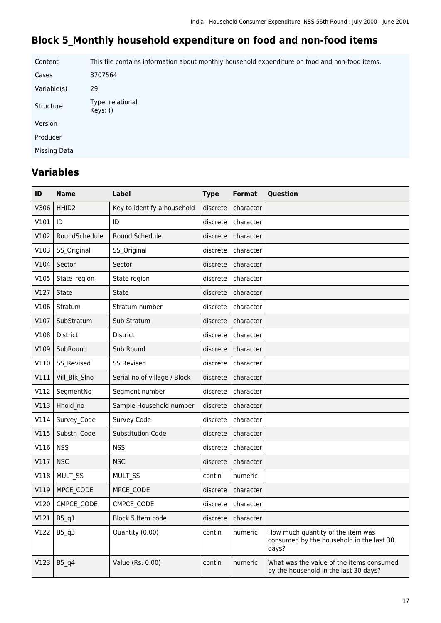### **Block 5\_Monthly household expenditure on food and non-food items**

Content This file contains information about monthly household expenditure on food and non-food items. Cases 3707564 Variable(s) 29 Structure Type: relational Keys: () Version Producer Missing Data

| ID   | Name              | Label                        | <b>Type</b> | Format    | Question                                                                               |
|------|-------------------|------------------------------|-------------|-----------|----------------------------------------------------------------------------------------|
| V306 | HHID <sub>2</sub> | Key to identify a household  | discrete    | character |                                                                                        |
| V101 | ID                | ID                           | discrete    | character |                                                                                        |
| V102 | RoundSchedule     | Round Schedule               | discrete    | character |                                                                                        |
| V103 | SS Original       | SS Original                  | discrete    | character |                                                                                        |
| V104 | Sector            | Sector                       | discrete    | character |                                                                                        |
| V105 | State region      | State region                 | discrete    | character |                                                                                        |
| V127 | State             | <b>State</b>                 | discrete    | character |                                                                                        |
| V106 | Stratum           | Stratum number               | discrete    | character |                                                                                        |
| V107 | SubStratum        | Sub Stratum                  | discrete    | character |                                                                                        |
| V108 | District          | <b>District</b>              | discrete    | character |                                                                                        |
| V109 | SubRound          | Sub Round                    | discrete    | character |                                                                                        |
| V110 | SS Revised        | <b>SS Revised</b>            | discrete    | character |                                                                                        |
| V111 | Vill Blk Slno     | Serial no of village / Block | discrete    | character |                                                                                        |
| V112 | SegmentNo         | Segment number               | discrete    | character |                                                                                        |
| V113 | Hhold no          | Sample Household number      | discrete    | character |                                                                                        |
| V114 | Survey Code       | Survey Code                  | discrete    | character |                                                                                        |
| V115 | Substn Code       | <b>Substitution Code</b>     | discrete    | character |                                                                                        |
| V116 | <b>NSS</b>        | <b>NSS</b>                   | discrete    | character |                                                                                        |
| V117 | <b>NSC</b>        | <b>NSC</b>                   | discrete    | character |                                                                                        |
| V118 | MULT_SS           | MULT_SS                      | contin      | numeric   |                                                                                        |
| V119 | MPCE_CODE         | MPCE CODE                    | discrete    | character |                                                                                        |
| V120 | CMPCE_CODE        | CMPCE CODE                   | discrete    | character |                                                                                        |
| V121 | $B5_q1$           | Block 5 Item code            | discrete    | character |                                                                                        |
| V122 | $B5_q3$           | Quantity (0.00)              | contin      | numeric   | How much quantity of the item was<br>consumed by the household in the last 30<br>days? |
| V123 | $B5_q4$           | Value (Rs. 0.00)             | contin      | numeric   | What was the value of the items consumed<br>by the household in the last 30 days?      |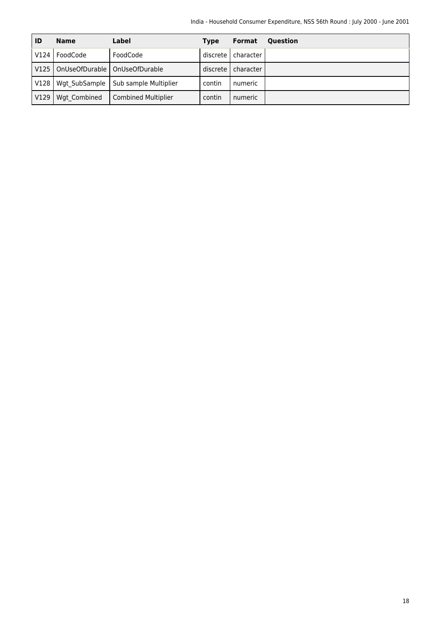| ID   | <b>Name</b>   | Label                           | <b>Type</b> | <b>Format</b> | <b>Ouestion</b> |
|------|---------------|---------------------------------|-------------|---------------|-----------------|
| V124 | FoodCode      | FoodCode                        | discrete    | character     |                 |
| V125 |               | OnUseOfDurable   OnUseOfDurable | discrete    | character     |                 |
| V128 | Wgt SubSample | Sub sample Multiplier           | contin      | numeric       |                 |
| V129 | Wgt Combined  | <b>Combined Multiplier</b>      | contin      | numeric       |                 |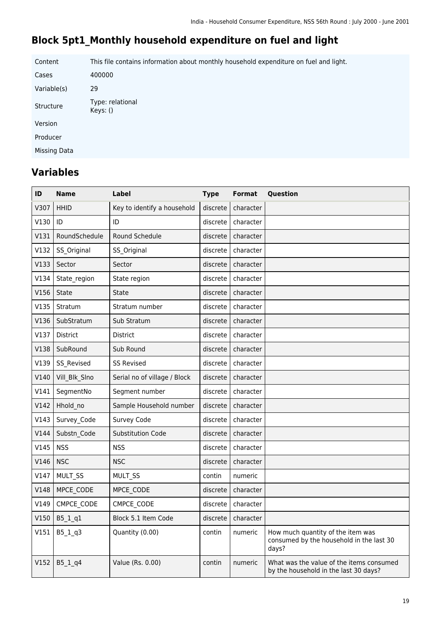# **Block 5pt1\_Monthly household expenditure on fuel and light**

Content This file contains information about monthly household expenditure on fuel and light. Cases 400000 Variable(s) 29 Structure Type: relational Keys: () Version Producer Missing Data

| ID   | <b>Name</b>   | Label                        | <b>Type</b> | <b>Format</b> | Question                                                                               |
|------|---------------|------------------------------|-------------|---------------|----------------------------------------------------------------------------------------|
| V307 | <b>HHID</b>   | Key to identify a household  | discrete    | character     |                                                                                        |
| V130 | ID            | ID                           | discrete    | character     |                                                                                        |
| V131 | RoundSchedule | Round Schedule               | discrete    | character     |                                                                                        |
| V132 | SS Original   | SS Original                  | discrete    | character     |                                                                                        |
| V133 | Sector        | Sector                       | discrete    | character     |                                                                                        |
| V134 | State_region  | State region                 | discrete    | character     |                                                                                        |
| V156 | State         | State                        | discrete    | character     |                                                                                        |
| V135 | Stratum       | Stratum number               | discrete    | character     |                                                                                        |
| V136 | SubStratum    | Sub Stratum                  | discrete    | character     |                                                                                        |
| V137 | District      | District                     | discrete    | character     |                                                                                        |
| V138 | SubRound      | Sub Round                    | discrete    | character     |                                                                                        |
| V139 | SS Revised    | <b>SS Revised</b>            | discrete    | character     |                                                                                        |
| V140 | Vill_Blk_Slno | Serial no of village / Block | discrete    | character     |                                                                                        |
| V141 | SegmentNo     | Segment number               | discrete    | character     |                                                                                        |
| V142 | Hhold no      | Sample Household number      | discrete    | character     |                                                                                        |
| V143 | Survey Code   | Survey Code                  | discrete    | character     |                                                                                        |
| V144 | Substn_Code   | <b>Substitution Code</b>     | discrete    | character     |                                                                                        |
| V145 | <b>NSS</b>    | <b>NSS</b>                   | discrete    | character     |                                                                                        |
| V146 | <b>NSC</b>    | <b>NSC</b>                   | discrete    | character     |                                                                                        |
| V147 | MULT_SS       | MULT_SS                      | contin      | numeric       |                                                                                        |
| V148 | MPCE CODE     | MPCE CODE                    | discrete    | character     |                                                                                        |
| V149 | CMPCE CODE    | CMPCE CODE                   | discrete    | character     |                                                                                        |
| V150 | B5_1_q1       | Block 5.1 Item Code          | discrete    | character     |                                                                                        |
| V151 | $B5_1_q3$     | Quantity (0.00)              | contin      | numeric       | How much quantity of the item was<br>consumed by the household in the last 30<br>days? |
| V152 | $B5_1_q4$     | Value (Rs. 0.00)             | contin      | numeric       | What was the value of the items consumed<br>by the household in the last 30 days?      |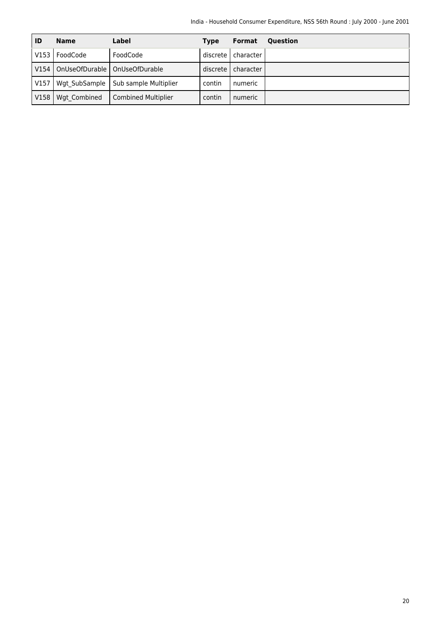| ID   | <b>Name</b>   | Label                           | <b>Type</b> | <b>Format</b> | <b>Ouestion</b> |
|------|---------------|---------------------------------|-------------|---------------|-----------------|
| V153 | FoodCode      | FoodCode                        | discrete l  | character     |                 |
| V154 |               | OnUseOfDurable   OnUseOfDurable | discrete    | character     |                 |
| V157 | Wgt SubSample | Sub sample Multiplier           | contin      | numeric       |                 |
| V158 | Wgt Combined  | <b>Combined Multiplier</b>      | contin      | numeric       |                 |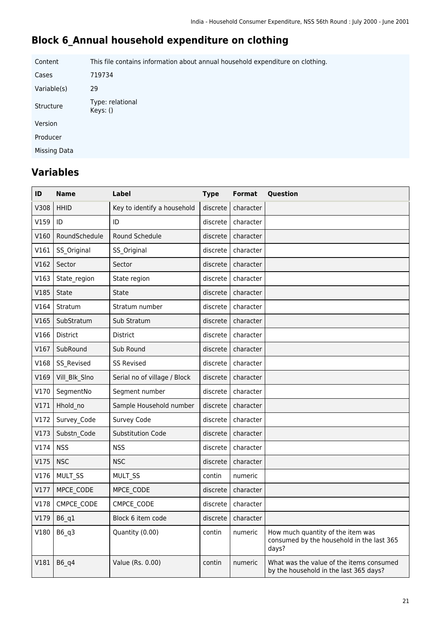# **Block 6\_Annual household expenditure on clothing**

Content This file contains information about annual household expenditure on clothing. Cases 719734 Variable(s) 29 Structure Type: relational Keys: () Version Producer Missing Data

| ID   | <b>Name</b>   | Label                        | <b>Type</b> | <b>Format</b>        | Question                                                                                |
|------|---------------|------------------------------|-------------|----------------------|-----------------------------------------------------------------------------------------|
| V308 | <b>HHID</b>   | Key to identify a household  | discrete    | character            |                                                                                         |
| V159 | ID            | ID                           | discrete    | character            |                                                                                         |
| V160 | RoundSchedule | Round Schedule               | discrete    | character            |                                                                                         |
| V161 | SS Original   | SS_Original                  | discrete    | character            |                                                                                         |
| V162 | Sector        | Sector                       | discrete    | character            |                                                                                         |
| V163 | State region  | State region                 | discrete    | character            |                                                                                         |
| V185 | State         | State                        | discrete    | character            |                                                                                         |
| V164 | Stratum       | Stratum number               | discrete    | character            |                                                                                         |
| V165 | SubStratum    | Sub Stratum                  | discrete    | character            |                                                                                         |
| V166 | District      | <b>District</b>              | discrete    | character            |                                                                                         |
| V167 | SubRound      | Sub Round                    | discrete    | character            |                                                                                         |
| V168 | SS_Revised    | <b>SS Revised</b>            | discrete    | character            |                                                                                         |
| V169 | Vill_Blk_SIno | Serial no of village / Block | discrete    | character            |                                                                                         |
| V170 | SegmentNo     | Segment number               | discrete    | character            |                                                                                         |
| V171 | Hhold no      | Sample Household number      | discrete    | character            |                                                                                         |
| V172 | Survey Code   | Survey Code                  | discrete    | character            |                                                                                         |
| V173 | Substn Code   | <b>Substitution Code</b>     | discrete    | character            |                                                                                         |
| V174 | <b>NSS</b>    | <b>NSS</b>                   | discrete    | character            |                                                                                         |
| V175 | <b>NSC</b>    | <b>NSC</b>                   | discrete    | character            |                                                                                         |
| V176 | MULT_SS       | MULT_SS                      | contin      | numeric              |                                                                                         |
| V177 | MPCE CODE     | MPCE CODE                    | discrete    | character            |                                                                                         |
| V178 | CMPCE CODE    | CMPCE CODE                   | discrete    | character            |                                                                                         |
|      | V179   B6_q1  | Block 6 item code            |             | discrete   character |                                                                                         |
| V180 | B6 q3         | Quantity (0.00)              | contin      | numeric              | How much quantity of the item was<br>consumed by the household in the last 365<br>days? |
| V181 | B6 q4         | Value (Rs. 0.00)             | contin      | numeric              | What was the value of the items consumed<br>by the household in the last 365 days?      |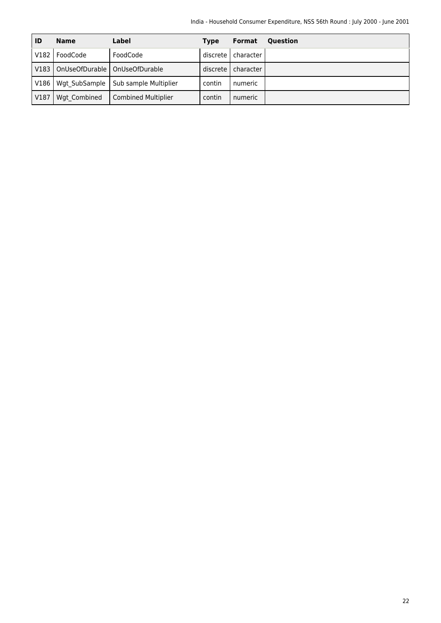| ID   | <b>Name</b>   | Label                           | <b>Type</b> | <b>Format</b> | <b>Ouestion</b> |
|------|---------------|---------------------------------|-------------|---------------|-----------------|
| V182 | FoodCode      | FoodCode                        | discrete    | character     |                 |
| V183 |               | OnUseOfDurable   OnUseOfDurable | discrete    | character     |                 |
| V186 | Wgt SubSample | Sub sample Multiplier           | contin      | numeric       |                 |
| V187 | Wgt Combined  | <b>Combined Multiplier</b>      | contin      | numeric       |                 |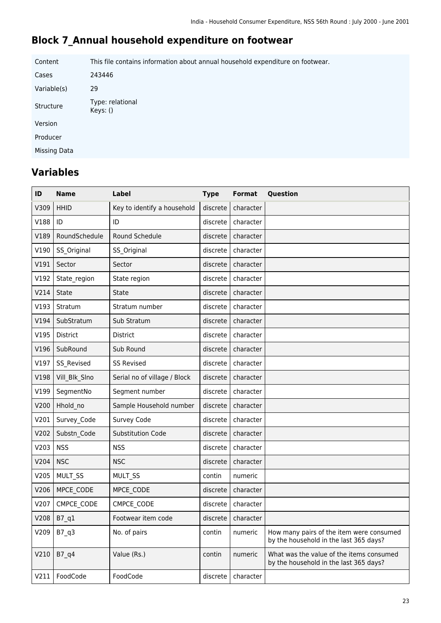### **Block 7\_Annual household expenditure on footwear**

Content This file contains information about annual household expenditure on footwear. Cases 243446 Variable(s) 29 Structure Type: relational Keys: () Version Producer Missing Data

| ID   | <b>Name</b>   | Label                        | <b>Type</b> | <b>Format</b>          | Question                                                                           |
|------|---------------|------------------------------|-------------|------------------------|------------------------------------------------------------------------------------|
| V309 | <b>HHID</b>   | Key to identify a household  | discrete    | character              |                                                                                    |
| V188 | ID            | ID                           | discrete    | character              |                                                                                    |
| V189 | RoundSchedule | Round Schedule               | discrete    | character              |                                                                                    |
| V190 | SS Original   | SS_Original                  | discrete    | character              |                                                                                    |
| V191 | Sector        | Sector                       | discrete    | character              |                                                                                    |
| V192 | State region  | State region                 | discrete    | character              |                                                                                    |
| V214 | State         | State                        | discrete    | character              |                                                                                    |
| V193 | Stratum       | Stratum number               | discrete    | character              |                                                                                    |
| V194 | SubStratum    | Sub Stratum                  | discrete    | character              |                                                                                    |
| V195 | District      | <b>District</b>              | discrete    | character              |                                                                                    |
| V196 | SubRound      | Sub Round                    | discrete    | character              |                                                                                    |
| V197 | SS_Revised    | <b>SS Revised</b>            | discrete    | character              |                                                                                    |
| V198 | Vill_Blk_Slno | Serial no of village / Block | discrete    | character              |                                                                                    |
| V199 | SegmentNo     | Segment number               | discrete    | character              |                                                                                    |
| V200 | Hhold no      | Sample Household number      | discrete    | character              |                                                                                    |
| V201 | Survey Code   | Survey Code                  | discrete    | character              |                                                                                    |
| V202 | Substn Code   | <b>Substitution Code</b>     | discrete    | character              |                                                                                    |
| V203 | <b>NSS</b>    | <b>NSS</b>                   | discrete    | character              |                                                                                    |
| V204 | <b>NSC</b>    | <b>NSC</b>                   | discrete    | character              |                                                                                    |
| V205 | MULT_SS       | MULT_SS                      | contin      | numeric                |                                                                                    |
| V206 | MPCE CODE     | MPCE CODE                    | discrete    | character              |                                                                                    |
| V207 | CMPCE CODE    | CMPCE_CODE                   | discrete    | character              |                                                                                    |
|      | V208   B7_q1  | Footwear item code           |             | discrete   character   |                                                                                    |
| V209 | B7 q3         | No. of pairs                 | contin      | numeric                | How many pairs of the item were consumed<br>by the household in the last 365 days? |
| V210 | B7 q4         | Value (Rs.)                  | contin      | numeric                | What was the value of the items consumed<br>by the household in the last 365 days? |
| V211 | FoodCode      | FoodCode                     |             | $discrete$   character |                                                                                    |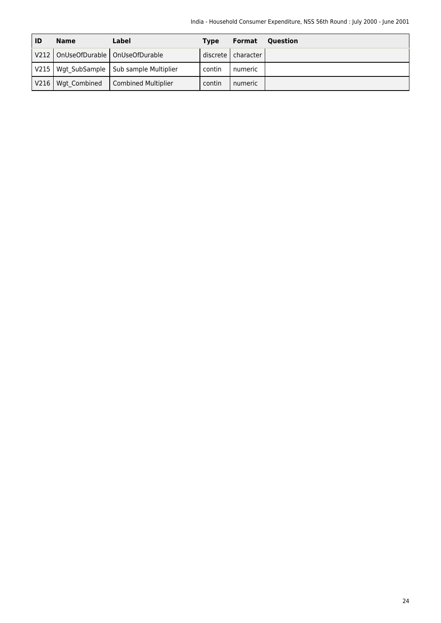| ID    | <b>Name</b>                            | Label                                        | <b>Type</b> | Format               | <b>Ouestion</b> |
|-------|----------------------------------------|----------------------------------------------|-------------|----------------------|-----------------|
|       | V212   OnUseOfDurable   OnUseOfDurable |                                              |             | discrete   character |                 |
|       |                                        | V215   Wgt SubSample   Sub sample Multiplier | contin      | numeric              |                 |
| V216I | Wgt Combined                           | Combined Multiplier                          | contin      | numeric              |                 |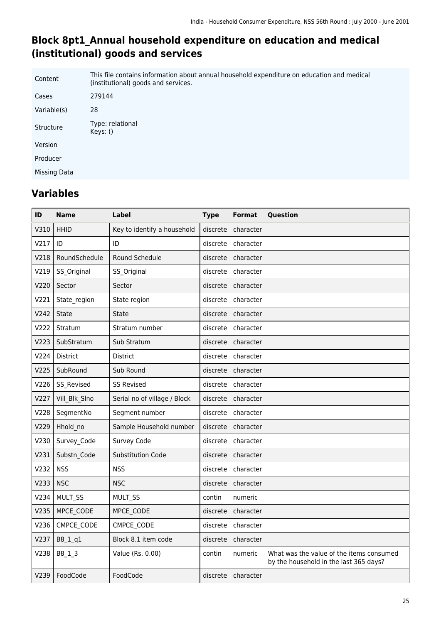### **Block 8pt1\_Annual household expenditure on education and medical (institutional) goods and services**

| Content      | This file contains information about annual household expenditure on education and medical<br>(institutional) goods and services. |
|--------------|-----------------------------------------------------------------------------------------------------------------------------------|
| Cases        | 279144                                                                                                                            |
| Variable(s)  | 28                                                                                                                                |
| Structure    | Type: relational<br>Keys: ()                                                                                                      |
| Version      |                                                                                                                                   |
| Producer     |                                                                                                                                   |
| Missing Data |                                                                                                                                   |

| ID   | <b>Name</b>   | Label                        | <b>Type</b> | <b>Format</b> | Question                                                                           |
|------|---------------|------------------------------|-------------|---------------|------------------------------------------------------------------------------------|
| V310 | <b>HHID</b>   | Key to identify a household  | discrete    | character     |                                                                                    |
| V217 | ID            | ID                           | discrete    | character     |                                                                                    |
| V218 | RoundSchedule | Round Schedule               | discrete    | character     |                                                                                    |
| V219 | SS Original   | SS Original                  | discrete    | character     |                                                                                    |
| V220 | Sector        | Sector                       | discrete    | character     |                                                                                    |
| V221 | State region  | State region                 | discrete    | character     |                                                                                    |
| V242 | State         | <b>State</b>                 | discrete    | character     |                                                                                    |
| V222 | Stratum       | Stratum number               | discrete    | character     |                                                                                    |
| V223 | SubStratum    | Sub Stratum                  | discrete    | character     |                                                                                    |
| V224 | District      | <b>District</b>              | discrete    | character     |                                                                                    |
| V225 | SubRound      | Sub Round                    | discrete    | character     |                                                                                    |
| V226 | SS Revised    | <b>SS Revised</b>            | discrete    | character     |                                                                                    |
| V227 | Vill Blk Slno | Serial no of village / Block | discrete    | character     |                                                                                    |
| V228 | SegmentNo     | Segment number               | discrete    | character     |                                                                                    |
| V229 | Hhold no      | Sample Household number      | discrete    | character     |                                                                                    |
| V230 | Survey Code   | Survey Code                  | discrete    | character     |                                                                                    |
| V231 | Substn Code   | <b>Substitution Code</b>     | discrete    | character     |                                                                                    |
| V232 | <b>NSS</b>    | <b>NSS</b>                   | discrete    | character     |                                                                                    |
| V233 | <b>NSC</b>    | <b>NSC</b>                   | discrete    | character     |                                                                                    |
| V234 | MULT SS       | MULT SS                      | contin      | numeric       |                                                                                    |
| V235 | MPCE CODE     | MPCE CODE                    | discrete    | character     |                                                                                    |
| V236 | CMPCE CODE    | CMPCE_CODE                   | discrete    | character     |                                                                                    |
| V237 | B8_1_q1       | Block 8.1 item code          | discrete    | character     |                                                                                    |
| V238 | B8 1 3        | Value (Rs. 0.00)             | contin      | numeric       | What was the value of the items consumed<br>by the household in the last 365 days? |
| V239 | FoodCode      | FoodCode                     | discrete    | character     |                                                                                    |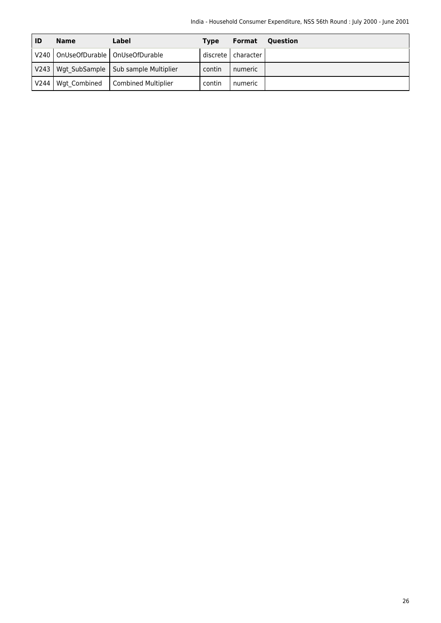| ID               | Name                                   | Label                                        | <b>Type</b> | Format               | Ouestion |
|------------------|----------------------------------------|----------------------------------------------|-------------|----------------------|----------|
|                  | V240   OnUseOfDurable   OnUseOfDurable |                                              |             | discrete   character |          |
|                  |                                        | V243   Wgt SubSample   Sub sample Multiplier | contin      | numeric              |          |
| V <sub>244</sub> | Wgt Combined                           | Combined Multiplier                          | contin      | numeric              |          |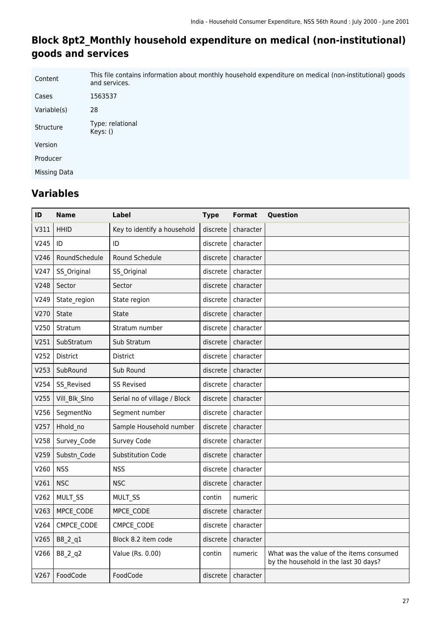### **Block 8pt2\_Monthly household expenditure on medical (non-institutional) goods and services**

| Content      | This file contains information about monthly household expenditure on medical (non-institutional) goods<br>and services. |
|--------------|--------------------------------------------------------------------------------------------------------------------------|
| Cases        | 1563537                                                                                                                  |
| Variable(s)  | 28                                                                                                                       |
| Structure    | Type: relational<br>Keys: ()                                                                                             |
| Version      |                                                                                                                          |
| Producer     |                                                                                                                          |
| Missing Data |                                                                                                                          |
|              |                                                                                                                          |

| ID   | <b>Name</b>     | <b>Label</b>                 | <b>Type</b> | <b>Format</b> | Question                                                                          |
|------|-----------------|------------------------------|-------------|---------------|-----------------------------------------------------------------------------------|
| V311 | <b>HHID</b>     | Key to identify a household  | discrete    | character     |                                                                                   |
| V245 | ID              | ID                           | discrete    | character     |                                                                                   |
| V246 | RoundSchedule   | <b>Round Schedule</b>        | discrete    | character     |                                                                                   |
| V247 | SS Original     | SS Original                  | discrete    | character     |                                                                                   |
| V248 | Sector          | Sector                       | discrete    | character     |                                                                                   |
| V249 | State_region    | State region                 | discrete    | character     |                                                                                   |
| V270 | <b>State</b>    | <b>State</b>                 | discrete    | character     |                                                                                   |
| V250 | Stratum         | Stratum number               | discrete    | character     |                                                                                   |
| V251 | SubStratum      | Sub Stratum                  | discrete    | character     |                                                                                   |
| V252 | <b>District</b> | <b>District</b>              | discrete    | character     |                                                                                   |
| V253 | SubRound        | Sub Round                    | discrete    | character     |                                                                                   |
| V254 | SS Revised      | <b>SS Revised</b>            | discrete    | character     |                                                                                   |
| V255 | Vill_Blk_Slno   | Serial no of village / Block | discrete    | character     |                                                                                   |
| V256 | SegmentNo       | Segment number               | discrete    | character     |                                                                                   |
| V257 | Hhold_no        | Sample Household number      | discrete    | character     |                                                                                   |
| V258 | Survey Code     | Survey Code                  | discrete    | character     |                                                                                   |
| V259 | Substn Code     | <b>Substitution Code</b>     | discrete    | character     |                                                                                   |
| V260 | <b>NSS</b>      | <b>NSS</b>                   | discrete    | character     |                                                                                   |
| V261 | <b>NSC</b>      | <b>NSC</b>                   | discrete    | character     |                                                                                   |
| V262 | MULT SS         | MULT SS                      | contin      | numeric       |                                                                                   |
| V263 | MPCE_CODE       | MPCE_CODE                    | discrete    | character     |                                                                                   |
| V264 | CMPCE CODE      | CMPCE CODE                   | discrete    | character     |                                                                                   |
| V265 | B8_2_q1         | Block 8.2 item code          | discrete    | character     |                                                                                   |
| V266 | B8_2_q2         | Value (Rs. 0.00)             | contin      | numeric       | What was the value of the items consumed<br>by the household in the last 30 days? |
| V267 | FoodCode        | FoodCode                     | discrete    | character     |                                                                                   |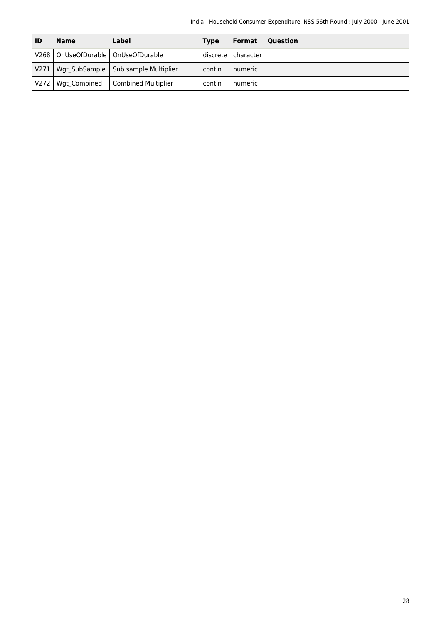| ID               | <b>Name</b>                            | Label                                 | <b>Type</b> | Format               | <b>Ouestion</b> |
|------------------|----------------------------------------|---------------------------------------|-------------|----------------------|-----------------|
|                  | V268   OnUseOfDurable   OnUseOfDurable |                                       |             | discrete   character |                 |
| V271             |                                        | Wgt SubSample   Sub sample Multiplier | contin      | numeric              |                 |
| V <sub>272</sub> | Wgt Combined                           | Combined Multiplier                   | contin      | numeric              |                 |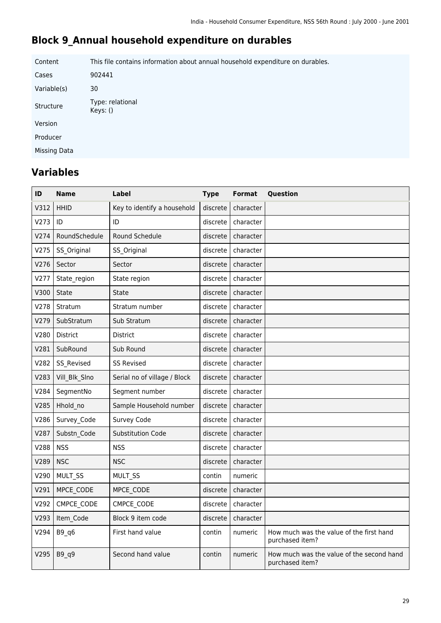### **Block 9\_Annual household expenditure on durables**

Content This file contains information about annual household expenditure on durables. Cases 902441 Variable(s) 30 Structure Type: relational Keys: () Version Producer Missing Data

| ID   | Name            | Label                        | <b>Type</b> | Format    | Question                                                     |
|------|-----------------|------------------------------|-------------|-----------|--------------------------------------------------------------|
| V312 | <b>HHID</b>     | Key to identify a household  | discrete    | character |                                                              |
| V273 | ID              | ID                           | discrete    | character |                                                              |
| V274 | RoundSchedule   | Round Schedule               | discrete    | character |                                                              |
| V275 | SS Original     | SS Original                  | discrete    | character |                                                              |
| V276 | Sector          | Sector                       | discrete    | character |                                                              |
| V277 | State region    | State region                 | discrete    | character |                                                              |
| V300 | <b>State</b>    | State                        | discrete    | character |                                                              |
| V278 | Stratum         | Stratum number               | discrete    | character |                                                              |
| V279 | SubStratum      | Sub Stratum                  | discrete    | character |                                                              |
| V280 | <b>District</b> | <b>District</b>              | discrete    | character |                                                              |
| V281 | SubRound        | Sub Round                    | discrete    | character |                                                              |
| V282 | SS_Revised      | <b>SS Revised</b>            | discrete    | character |                                                              |
| V283 | Vill_Blk_Slno   | Serial no of village / Block | discrete    | character |                                                              |
| V284 | SegmentNo       | Segment number               | discrete    | character |                                                              |
| V285 | Hhold no        | Sample Household number      | discrete    | character |                                                              |
| V286 | Survey Code     | Survey Code                  | discrete    | character |                                                              |
| V287 | Substn Code     | <b>Substitution Code</b>     | discrete    | character |                                                              |
| V288 | <b>NSS</b>      | <b>NSS</b>                   | discrete    | character |                                                              |
| V289 | <b>NSC</b>      | <b>NSC</b>                   | discrete    | character |                                                              |
| V290 | MULT SS         | MULT_SS                      | contin      | numeric   |                                                              |
| V291 | MPCE_CODE       | MPCE CODE                    | discrete    | character |                                                              |
| V292 | CMPCE CODE      | CMPCE CODE                   | discrete    | character |                                                              |
| V293 | Item Code       | Block 9 item code            | discrete    | character |                                                              |
| V294 | B9 q6           | First hand value             | contin      | numeric   | How much was the value of the first hand<br>purchased item?  |
| V295 | $B9_q9$         | Second hand value            | contin      | numeric   | How much was the value of the second hand<br>purchased item? |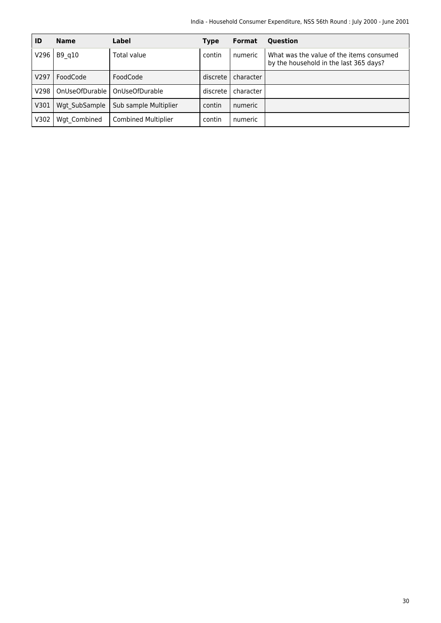| ID   | <b>Name</b>    | Label                      | <b>Type</b> | <b>Format</b> | <b>Ouestion</b>                                                                    |
|------|----------------|----------------------------|-------------|---------------|------------------------------------------------------------------------------------|
| V296 | B9 q10         | Total value                | contin      | numeric       | What was the value of the items consumed<br>by the household in the last 365 days? |
| V297 | FoodCode       | FoodCode                   | discrete    | character     |                                                                                    |
| V298 | OnUseOfDurable | OnUseOfDurable             | discrete    | character     |                                                                                    |
| V301 | Wgt SubSample  | Sub sample Multiplier      | contin      | numeric       |                                                                                    |
| V302 | Wgt Combined   | <b>Combined Multiplier</b> | contin      | numeric       |                                                                                    |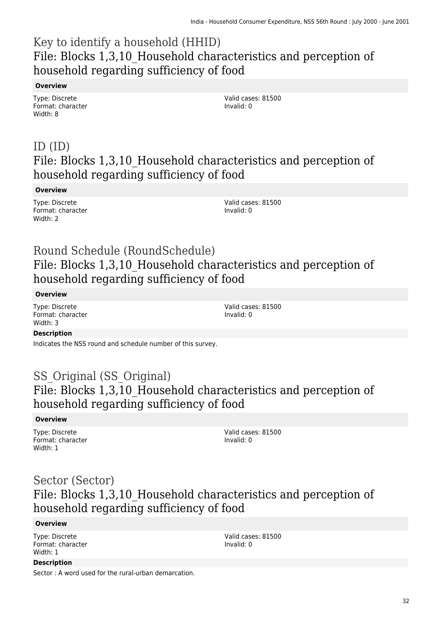# Key to identify a household (HHID) File: Blocks 1,3,10\_Household characteristics and perception of household regarding sufficiency of food

#### **Overview**

Type: Discrete Format: character Width: 8

Valid cases: 81500 Invalid: 0

### ID (ID) File: Blocks 1,3,10\_Household characteristics and perception of household regarding sufficiency of food

#### **Overview**

Type: Discrete Format: character Width: 2

Valid cases: 81500 Invalid: 0

### Round Schedule (RoundSchedule) File: Blocks 1,3,10\_Household characteristics and perception of household regarding sufficiency of food

#### **Overview**

Type: Discrete Format: character Width: 3

Valid cases: 81500 Invalid: 0

#### **Description**

Indicates the NSS round and schedule number of this survey.

### SS Original (SS Original) File: Blocks 1,3,10\_Household characteristics and perception of household regarding sufficiency of food

#### **Overview**

Type: Discrete Format: character Width: 1

Valid cases: 81500 Invalid: 0

### Sector (Sector) File: Blocks 1,3,10\_Household characteristics and perception of household regarding sufficiency of food

#### **Overview**

**Description**

Type: Discrete Format: character Width: 1

Valid cases: 81500 Invalid: 0

Sector : A word used for the rural-urban demarcation.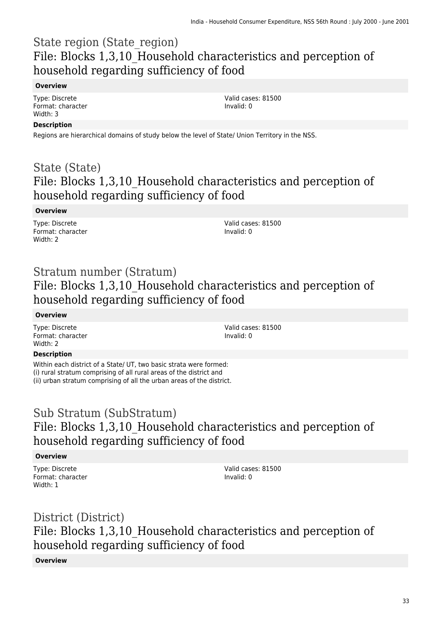# State region (State\_region) File: Blocks 1,3,10\_Household characteristics and perception of household regarding sufficiency of food

#### **Overview**

Type: Discrete Format: character Width: 3

Valid cases: 81500 Invalid: 0

#### **Description**

Regions are hierarchical domains of study below the level of State/ Union Territory in the NSS.

### State (State) File: Blocks 1,3,10\_Household characteristics and perception of household regarding sufficiency of food

#### **Overview**

Type: Discrete Format: character Width: 2

Valid cases: 81500 Invalid: 0

### Stratum number (Stratum) File: Blocks 1,3,10\_Household characteristics and perception of household regarding sufficiency of food

#### **Overview**

Type: Discrete Format: character Width: 2

Valid cases: 81500 Invalid: 0

#### **Description**

Within each district of a State/ UT, two basic strata were formed: (i) rural stratum comprising of all rural areas of the district and (ii) urban stratum comprising of all the urban areas of the district.

### Sub Stratum (SubStratum) File: Blocks 1,3,10\_Household characteristics and perception of household regarding sufficiency of food

#### **Overview**

Type: Discrete Format: character Width: 1

Valid cases: 81500 Invalid: 0

# District (District) File: Blocks 1,3,10\_Household characteristics and perception of household regarding sufficiency of food

#### **Overview**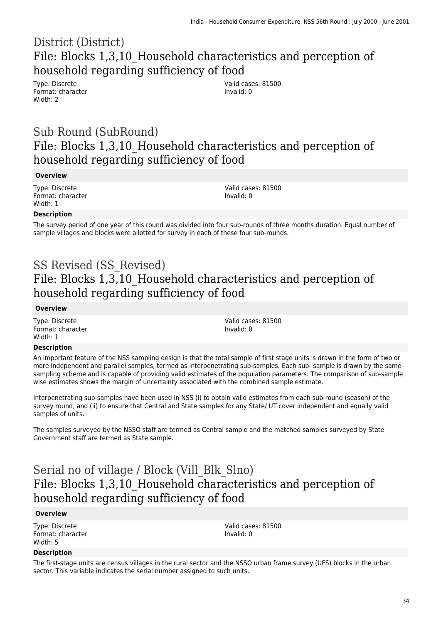### District (District) File: Blocks 1,3,10\_Household characteristics and perception of household regarding sufficiency of food

Type: Discrete Format: character Width: 2

Valid cases: 81500 Invalid: 0

### Sub Round (SubRound) File: Blocks 1,3,10\_Household characteristics and perception of household regarding sufficiency of food

#### **Overview**

Type: Discrete Format: character Width: 1

Valid cases: 81500 Invalid: 0

#### **Description**

The survey period of one year of this round was divided into four sub-rounds of three months duration. Equal number of sample villages and blocks were allotted for survey in each of these four sub-rounds.

# SS Revised (SS\_Revised) File: Blocks 1,3,10\_Household characteristics and perception of household regarding sufficiency of food

#### **Overview**

Type: Discrete Format: character Width: 1

Valid cases: 81500 Invalid: 0

#### **Description**

An important feature of the NSS sampling design is that the total sample of first stage units is drawn in the form of two or more independent and parallel samples, termed as interpenetrating sub-samples. Each sub- sample is drawn by the same sampling scheme and is capable of providing valid estimates of the population parameters. The comparison of sub-sample wise estimates shows the margin of uncertainty associated with the combined sample estimate.

Interpenetrating sub-samples have been used in NSS (i) to obtain valid estimates from each sub-round (season) of the survey round, and (ii) to ensure that Central and State samples for any State/ UT cover independent and equally valid samples of units.

The samples surveyed by the NSSO staff are termed as Central sample and the matched samples surveyed by State Government staff are termed as State sample.

# Serial no of village / Block (Vill\_Blk\_Slno) File: Blocks 1,3,10\_Household characteristics and perception of household regarding sufficiency of food

#### **Overview**

Type: Discrete Format: character Width: 5

Valid cases: 81500 Invalid: 0

#### **Description**

The first-stage units are census villages in the rural sector and the NSSO urban frame survey (UFS) blocks in the urban sector. This variable indicates the serial number assigned to such units.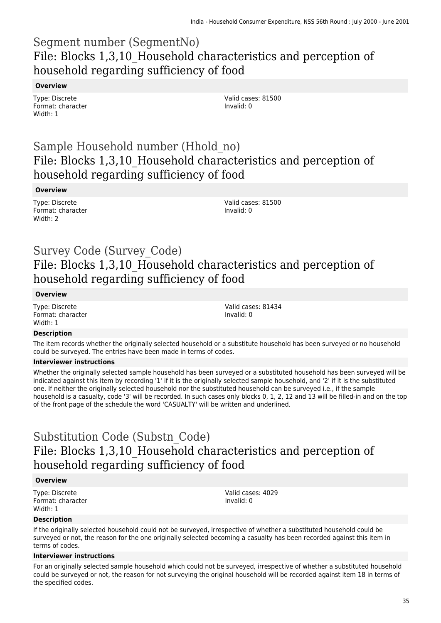### Segment number (SegmentNo) File: Blocks 1,3,10\_Household characteristics and perception of household regarding sufficiency of food

#### **Overview**

Type: Discrete Format: character Width: 1

Valid cases: 81500 Invalid: 0

### Sample Household number (Hhold\_no) File: Blocks 1,3,10\_Household characteristics and perception of household regarding sufficiency of food

#### **Overview**

Type: Discrete Format: character Width: 2

Valid cases: 81500 Invalid: 0

### Survey Code (Survey\_Code) File: Blocks 1,3,10\_Household characteristics and perception of household regarding sufficiency of food

#### **Overview**

Type: Discrete Format: character Width: 1

Valid cases: 81434 Invalid: 0

#### **Description**

The item records whether the originally selected household or a substitute household has been surveyed or no household could be surveyed. The entries have been made in terms of codes.

#### **Interviewer instructions**

Whether the originally selected sample household has been surveyed or a substituted household has been surveyed will be indicated against this item by recording '1' if it is the originally selected sample household, and '2' if it is the substituted one. If neither the originally selected household nor the substituted household can be surveyed i.e., if the sample household is a casualty, code '3' will be recorded. In such cases only blocks 0, 1, 2, 12 and 13 will be filled-in and on the top of the front page of the schedule the word 'CASUALTY' will be written and underlined.

### Substitution Code (Substn\_Code) File: Blocks 1,3,10\_Household characteristics and perception of household regarding sufficiency of food

#### **Overview**

Type: Discrete Format: character Width: 1

Valid cases: 4029 Invalid: 0

#### **Description**

If the originally selected household could not be surveyed, irrespective of whether a substituted household could be surveyed or not, the reason for the one originally selected becoming a casualty has been recorded against this item in terms of codes.

#### **Interviewer instructions**

For an originally selected sample household which could not be surveyed, irrespective of whether a substituted household could be surveyed or not, the reason for not surveying the original household will be recorded against item 18 in terms of the specified codes.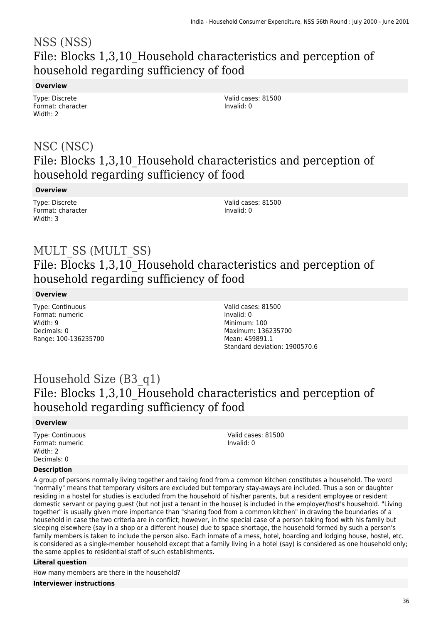### NSS (NSS) File: Blocks 1,3,10\_Household characteristics and perception of household regarding sufficiency of food

#### **Overview**

Type: Discrete Format: character Width: 2

Valid cases: 81500 Invalid: 0

### NSC (NSC) File: Blocks 1,3,10\_Household characteristics and perception of household regarding sufficiency of food

#### **Overview**

Type: Discrete Format: character Width: 3

Valid cases: 81500 Invalid: 0

### MULT\_SS (MULT\_SS) File: Blocks 1,3,10\_Household characteristics and perception of household regarding sufficiency of food

#### **Overview**

Type: Continuous Format: numeric Width: 9 Decimals: 0 Range: 100-136235700 Valid cases: 81500 Invalid: 0 Minimum: 100 Maximum: 136235700 Mean: 459891.1 Standard deviation: 1900570.6

### Household Size (B3\_q1) File: Blocks 1,3,10\_Household characteristics and perception of household regarding sufficiency of food

#### **Overview**

Type: Continuous Format: numeric Width: 2 Decimals: 0

Valid cases: 81500 Invalid: 0

#### **Description**

A group of persons normally living together and taking food from a common kitchen constitutes a household. The word "normally" means that temporary visitors are excluded but temporary stay-aways are included. Thus a son or daughter residing in a hostel for studies is excluded from the household of his/her parents, but a resident employee or resident domestic servant or paying guest (but not just a tenant in the house) is included in the employer/host's household. "Living together" is usually given more importance than "sharing food from a common kitchen" in drawing the boundaries of a household in case the two criteria are in conflict; however, in the special case of a person taking food with his family but sleeping elsewhere (say in a shop or a different house) due to space shortage, the household formed by such a person's family members is taken to include the person also. Each inmate of a mess, hotel, boarding and lodging house, hostel, etc. is considered as a single-member household except that a family living in a hotel (say) is considered as one household only; the same applies to residential staff of such establishments.

#### **Literal question**

How many members are there in the household?

**Interviewer instructions**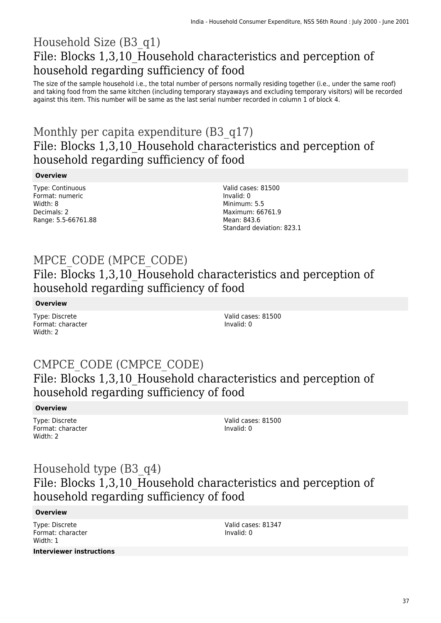## Household Size (B3\_q1) File: Blocks 1,3,10\_Household characteristics and perception of household regarding sufficiency of food

The size of the sample household i.e., the total number of persons normally residing together (i.e., under the same roof) and taking food from the same kitchen (including temporary stayaways and excluding temporary visitors) will be recorded against this item. This number will be same as the last serial number recorded in column 1 of block 4.

# Monthly per capita expenditure (B3 q17) File: Blocks 1,3,10\_Household characteristics and perception of household regarding sufficiency of food

### **Overview**

Type: Continuous Format: numeric Width: 8 Decimals: 2 Range: 5.5-66761.88 Valid cases: 81500 Invalid: 0 Minimum: 5.5 Maximum: 66761.9 Mean: 843.6 Standard deviation: 823.1

# MPCE\_CODE (MPCE\_CODE)

File: Blocks 1,3,10 Household characteristics and perception of household regarding sufficiency of food

### **Overview**

Type: Discrete Format: character Width: 2

Valid cases: 81500 Invalid: 0

## CMPCE\_CODE (CMPCE\_CODE) File: Blocks 1,3,10\_Household characteristics and perception of household regarding sufficiency of food

### **Overview**

Type: Discrete Format: character Width: 2

Valid cases: 81500 Invalid: 0

## Household type (B3\_q4) File: Blocks 1,3,10\_Household characteristics and perception of household regarding sufficiency of food

### **Overview**

Type: Discrete Format: character Width: 1

Valid cases: 81347 Invalid: 0

**Interviewer instructions**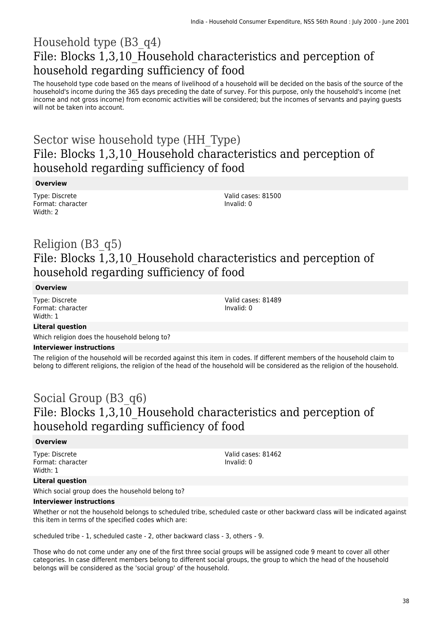## Household type (B3\_q4) File: Blocks 1,3,10\_Household characteristics and perception of household regarding sufficiency of food

The household type code based on the means of livelihood of a household will be decided on the basis of the source of the household's income during the 365 days preceding the date of survey. For this purpose, only the household's income (net income and not gross income) from economic activities will be considered; but the incomes of servants and paying guests will not be taken into account.

## Sector wise household type (HH\_Type) File: Blocks 1,3,10\_Household characteristics and perception of household regarding sufficiency of food

### **Overview**

Type: Discrete Format: character Width: 2

Valid cases: 81500 Invalid: 0

## Religion (B3\_q5) File: Blocks 1,3,10\_Household characteristics and perception of household regarding sufficiency of food

### **Overview**

Type: Discrete Format: character Width: 1

Valid cases: 81489 Invalid: 0

### **Literal question**

Which religion does the household belong to?

### **Interviewer instructions**

The religion of the household will be recorded against this item in codes. If different members of the household claim to belong to different religions, the religion of the head of the household will be considered as the religion of the household.

## Social Group (B3\_q6) File: Blocks 1,3,10\_Household characteristics and perception of household regarding sufficiency of food

#### **Overview**

Type: Discrete Format: character Width: 1

Valid cases: 81462 Invalid: 0

### **Literal question**

Which social group does the household belong to?

#### **Interviewer instructions**

Whether or not the household belongs to scheduled tribe, scheduled caste or other backward class will be indicated against this item in terms of the specified codes which are:

scheduled tribe - 1, scheduled caste - 2, other backward class - 3, others - 9.

Those who do not come under any one of the first three social groups will be assigned code 9 meant to cover all other categories. In case different members belong to different social groups, the group to which the head of the household belongs will be considered as the 'social group' of the household.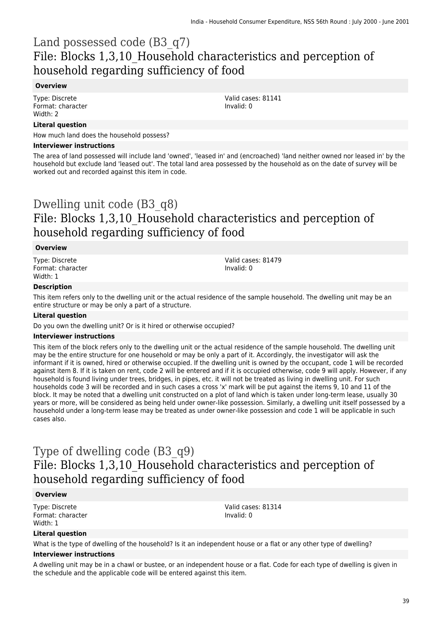## Land possessed code (B3\_q7) File: Blocks 1,3,10\_Household characteristics and perception of household regarding sufficiency of food

#### **Overview**

Type: Discrete Format: character Width: 2

#### **Literal question**

How much land does the household possess?

#### **Interviewer instructions**

The area of land possessed will include land 'owned', 'leased in' and (encroached) 'land neither owned nor leased in' by the household but exclude land 'leased out'. The total land area possessed by the household as on the date of survey will be worked out and recorded against this item in code.

## Dwelling unit code (B3\_q8) File: Blocks 1,3,10\_Household characteristics and perception of household regarding sufficiency of food

#### **Overview**

Type: Discrete Format: character Width: 1

Valid cases: 81479 Invalid: 0

Valid cases: 81141

Invalid: 0

#### **Description**

This item refers only to the dwelling unit or the actual residence of the sample household. The dwelling unit may be an entire structure or may be only a part of a structure.

#### **Literal question**

Do you own the dwelling unit? Or is it hired or otherwise occupied?

#### **Interviewer instructions**

This item of the block refers only to the dwelling unit or the actual residence of the sample household. The dwelling unit may be the entire structure for one household or may be only a part of it. Accordingly, the investigator will ask the informant if it is owned, hired or otherwise occupied. If the dwelling unit is owned by the occupant, code 1 will be recorded against item 8. If it is taken on rent, code 2 will be entered and if it is occupied otherwise, code 9 will apply. However, if any household is found living under trees, bridges, in pipes, etc. it will not be treated as living in dwelling unit. For such households code 3 will be recorded and in such cases a cross 'x' mark will be put against the items 9, 10 and 11 of the block. It may be noted that a dwelling unit constructed on a plot of land which is taken under long-term lease, usually 30 years or more, will be considered as being held under owner-like possession. Similarly, a dwelling unit itself possessed by a household under a long-term lease may be treated as under owner-like possession and code 1 will be applicable in such cases also.

## Type of dwelling code (B3\_q9) File: Blocks 1,3,10\_Household characteristics and perception of household regarding sufficiency of food

#### **Overview**

Type: Discrete Format: character Width: 1

Valid cases: 81314 Invalid: 0

#### **Literal question**

What is the type of dwelling of the household? Is it an independent house or a flat or any other type of dwelling?

#### **Interviewer instructions**

A dwelling unit may be in a chawl or bustee, or an independent house or a flat. Code for each type of dwelling is given in the schedule and the applicable code will be entered against this item.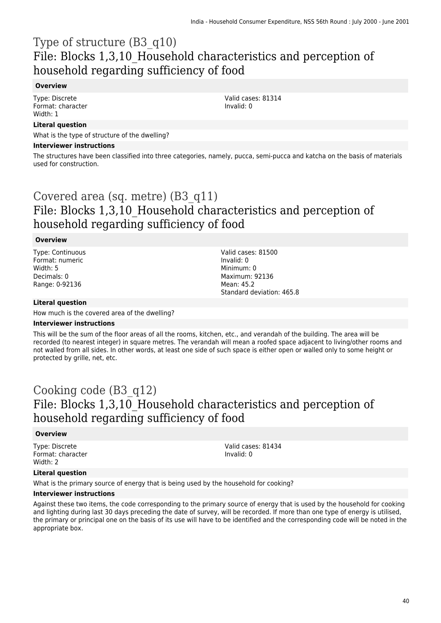## Type of structure (B3\_q10) File: Blocks 1,3,10\_Household characteristics and perception of household regarding sufficiency of food

### **Overview**

Type: Discrete Format: character Width: 1

Valid cases: 81314 Invalid: 0

### **Literal question**

What is the type of structure of the dwelling?

#### **Interviewer instructions**

The structures have been classified into three categories, namely, pucca, semi-pucca and katcha on the basis of materials used for construction.

## Covered area (sq. metre) (B3\_q11) File: Blocks 1,3,10\_Household characteristics and perception of household regarding sufficiency of food

#### **Overview**

Type: Continuous Format: numeric Width: 5 Decimals: 0 Range: 0-92136

Valid cases: 81500 Invalid: 0 Minimum: 0 Maximum: 92136 Mean: 45.2 Standard deviation: 465.8

#### **Literal question**

How much is the covered area of the dwelling?

#### **Interviewer instructions**

This will be the sum of the floor areas of all the rooms, kitchen, etc., and verandah of the building. The area will be recorded (to nearest integer) in square metres. The verandah will mean a roofed space adjacent to living/other rooms and not walled from all sides. In other words, at least one side of such space is either open or walled only to some height or protected by grille, net, etc.

### Cooking code (B3\_q12) File: Blocks 1,3,10\_Household characteristics and perception of household regarding sufficiency of food

#### **Overview**

Type: Discrete Format: character Width: 2

Valid cases: 81434 Invalid: 0

#### **Literal question**

What is the primary source of energy that is being used by the household for cooking?

#### **Interviewer instructions**

Against these two items, the code corresponding to the primary source of energy that is used by the household for cooking and lighting during last 30 days preceding the date of survey, will be recorded. If more than one type of energy is utilised, the primary or principal one on the basis of its use will have to be identified and the corresponding code will be noted in the appropriate box.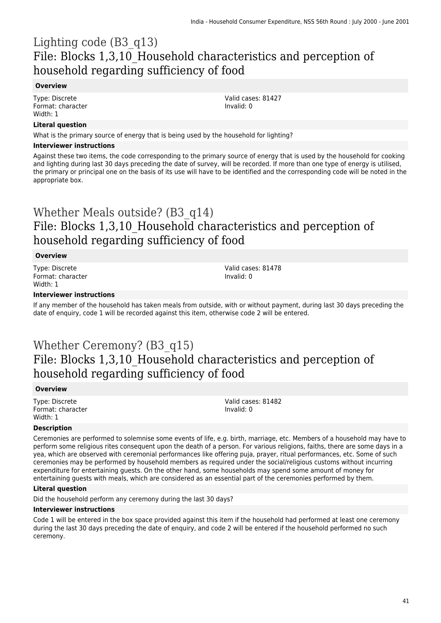## Lighting code (B3\_q13) File: Blocks 1,3,10\_Household characteristics and perception of household regarding sufficiency of food

### **Overview**

Type: Discrete Format: character Width: 1

### **Literal question**

What is the primary source of energy that is being used by the household for lighting?

#### **Interviewer instructions**

Against these two items, the code corresponding to the primary source of energy that is used by the household for cooking and lighting during last 30 days preceding the date of survey, will be recorded. If more than one type of energy is utilised, the primary or principal one on the basis of its use will have to be identified and the corresponding code will be noted in the appropriate box.

## Whether Meals outside? (B3\_q14) File: Blocks 1,3,10\_Household characteristics and perception of household regarding sufficiency of food

#### **Overview**

Type: Discrete Format: character Width: 1

Valid cases: 81478 Invalid: 0

Valid cases: 81427

Invalid: 0

#### **Interviewer instructions**

If any member of the household has taken meals from outside, with or without payment, during last 30 days preceding the date of enquiry, code 1 will be recorded against this item, otherwise code 2 will be entered.

## Whether Ceremony? (B3\_q15) File: Blocks 1,3,10\_Household characteristics and perception of household regarding sufficiency of food

#### **Overview**

Type: Discrete Format: character Width: 1

Valid cases: 81482 Invalid: 0

#### **Description**

Ceremonies are performed to solemnise some events of life, e.g. birth, marriage, etc. Members of a household may have to perform some religious rites consequent upon the death of a person. For various religions, faiths, there are some days in a yea, which are observed with ceremonial performances like offering puja, prayer, ritual performances, etc. Some of such ceremonies may be performed by household members as required under the social/religious customs without incurring expenditure for entertaining guests. On the other hand, some households may spend some amount of money for entertaining guests with meals, which are considered as an essential part of the ceremonies performed by them.

#### **Literal question**

Did the household perform any ceremony during the last 30 days?

#### **Interviewer instructions**

Code 1 will be entered in the box space provided against this item if the household had performed at least one ceremony during the last 30 days preceding the date of enquiry, and code 2 will be entered if the household performed no such ceremony.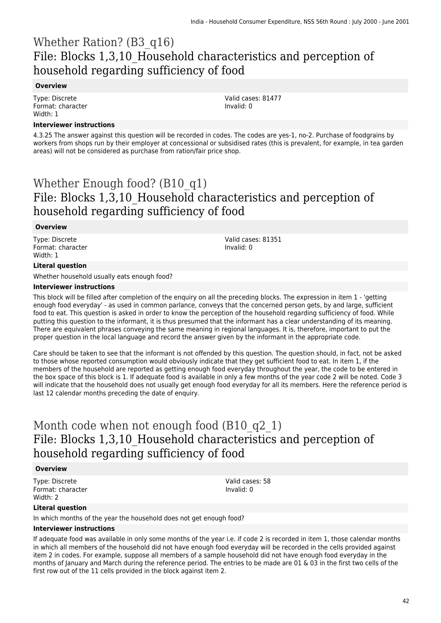## Whether Ration? (B3\_q16) File: Blocks 1,3,10\_Household characteristics and perception of household regarding sufficiency of food

### **Overview**

Type: Discrete Format: character Width: 1

**Interviewer instructions**

4.3.25 The answer against this question will be recorded in codes. The codes are yes-1, no-2. Purchase of foodgrains by workers from shops run by their employer at concessional or subsidised rates (this is prevalent, for example, in tea garden areas) will not be considered as purchase from ration/fair price shop.

## Whether Enough food? (B10\_q1) File: Blocks 1,3,10\_Household characteristics and perception of household regarding sufficiency of food

### **Overview**

Type: Discrete Format: character Width: 1

Valid cases: 81351 Invalid: 0

Valid cases: 81477

Invalid: 0

#### **Literal question**

Whether household usually eats enough food?

#### **Interviewer instructions**

This block will be filled after completion of the enquiry on all the preceding blocks. The expression in item 1 - 'getting enough food everyday' - as used in common parlance, conveys that the concerned person gets, by and large, sufficient food to eat. This question is asked in order to know the perception of the household regarding sufficiency of food. While putting this question to the informant, it is thus presumed that the informant has a clear understanding of its meaning. There are equivalent phrases conveying the same meaning in regional languages. It is, therefore, important to put the proper question in the local language and record the answer given by the informant in the appropriate code.

Care should be taken to see that the informant is not offended by this question. The question should, in fact, not be asked to those whose reported consumption would obviously indicate that they get sufficient food to eat. In item 1, if the members of the household are reported as getting enough food everyday throughout the year, the code to be entered in the box space of this block is 1. If adequate food is available in only a few months of the year code 2 will be noted. Code 3 will indicate that the household does not usually get enough food everyday for all its members. Here the reference period is last 12 calendar months preceding the date of enquiry.

## Month code when not enough food (B10 q2 1) File: Blocks 1,3,10\_Household characteristics and perception of household regarding sufficiency of food

#### **Overview**

Type: Discrete Format: character Width: 2

Valid cases: 58 Invalid: 0

### **Literal question**

In which months of the year the household does not get enough food?

#### **Interviewer instructions**

If adequate food was available in only some months of the year i.e. if code 2 is recorded in item 1, those calendar months in which all members of the household did not have enough food everyday will be recorded in the cells provided against item 2 in codes. For example, suppose all members of a sample household did not have enough food everyday in the months of January and March during the reference period. The entries to be made are 01 & 03 in the first two cells of the first row out of the 11 cells provided in the block against item 2.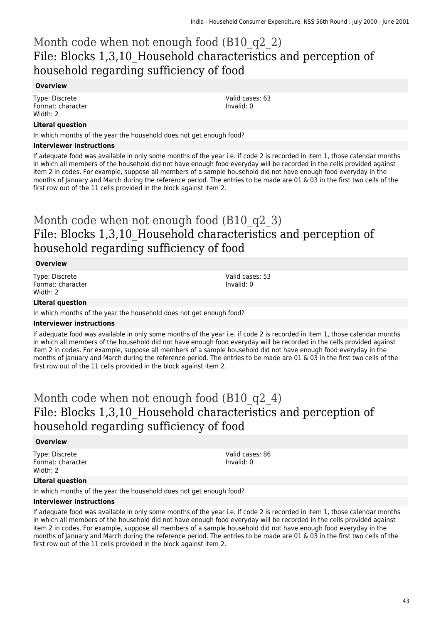## Month code when not enough food (B10 q2 2) File: Blocks 1,3,10\_Household characteristics and perception of household regarding sufficiency of food

#### **Overview**

Type: Discrete Format: character Width: 2

#### **Literal question**

In which months of the year the household does not get enough food?

#### **Interviewer instructions**

If adequate food was available in only some months of the year i.e. if code 2 is recorded in item 1, those calendar months in which all members of the household did not have enough food everyday will be recorded in the cells provided against item 2 in codes. For example, suppose all members of a sample household did not have enough food everyday in the months of January and March during the reference period. The entries to be made are 01 & 03 in the first two cells of the first row out of the 11 cells provided in the block against item 2.

## Month code when not enough food (B10 q2 3) File: Blocks 1,3,10\_Household characteristics and perception of household regarding sufficiency of food

#### **Overview**

Type: Discrete Format: character Width: 2

Valid cases: 53 Invalid: 0

### **Literal question**

In which months of the year the household does not get enough food?

#### **Interviewer instructions**

If adequate food was available in only some months of the year i.e. if code 2 is recorded in item 1, those calendar months in which all members of the household did not have enough food everyday will be recorded in the cells provided against item 2 in codes. For example, suppose all members of a sample household did not have enough food everyday in the months of January and March during the reference period. The entries to be made are 01 & 03 in the first two cells of the first row out of the 11 cells provided in the block against item 2.

## Month code when not enough food (B10 q2 4) File: Blocks 1,3,10\_Household characteristics and perception of household regarding sufficiency of food

#### **Overview**

Type: Discrete Format: character Width: 2

Valid cases: 86 Invalid: 0

#### **Literal question**

In which months of the year the household does not get enough food?

#### **Interviewer instructions**

If adequate food was available in only some months of the year i.e. if code 2 is recorded in item 1, those calendar months in which all members of the household did not have enough food everyday will be recorded in the cells provided against item 2 in codes. For example, suppose all members of a sample household did not have enough food everyday in the months of January and March during the reference period. The entries to be made are 01 & 03 in the first two cells of the first row out of the 11 cells provided in the block against item 2.

Valid cases: 63 Invalid: 0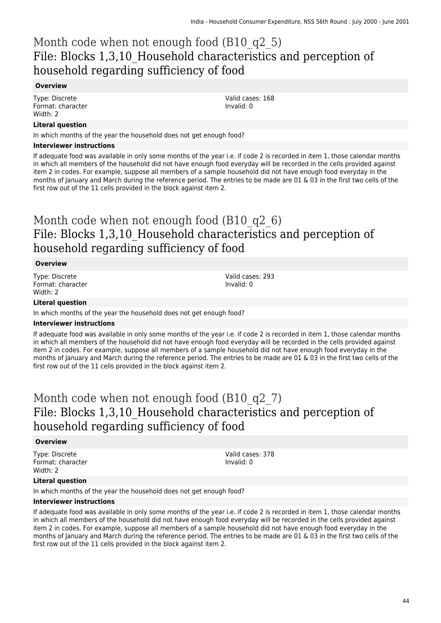## Month code when not enough food (B10 q2 5) File: Blocks 1,3,10\_Household characteristics and perception of household regarding sufficiency of food

### **Overview**

Type: Discrete Format: character Width: 2

### **Literal question**

In which months of the year the household does not get enough food?

#### **Interviewer instructions**

If adequate food was available in only some months of the year i.e. if code 2 is recorded in item 1, those calendar months in which all members of the household did not have enough food everyday will be recorded in the cells provided against item 2 in codes. For example, suppose all members of a sample household did not have enough food everyday in the months of January and March during the reference period. The entries to be made are 01 & 03 in the first two cells of the first row out of the 11 cells provided in the block against item 2.

## Month code when not enough food (B10 q2 6) File: Blocks 1,3,10\_Household characteristics and perception of household regarding sufficiency of food

#### **Overview**

Type: Discrete Format: character Width: 2

Valid cases: 293 Invalid: 0

### **Literal question**

In which months of the year the household does not get enough food?

#### **Interviewer instructions**

If adequate food was available in only some months of the year i.e. if code 2 is recorded in item 1, those calendar months in which all members of the household did not have enough food everyday will be recorded in the cells provided against item 2 in codes. For example, suppose all members of a sample household did not have enough food everyday in the months of January and March during the reference period. The entries to be made are 01 & 03 in the first two cells of the first row out of the 11 cells provided in the block against item 2.

## Month code when not enough food (B10 q2 7) File: Blocks 1,3,10\_Household characteristics and perception of household regarding sufficiency of food

#### **Overview**

Type: Discrete Format: character Width: 2

Valid cases: 378 Invalid: 0

#### **Literal question**

In which months of the year the household does not get enough food?

#### **Interviewer instructions**

If adequate food was available in only some months of the year i.e. if code 2 is recorded in item 1, those calendar months in which all members of the household did not have enough food everyday will be recorded in the cells provided against item 2 in codes. For example, suppose all members of a sample household did not have enough food everyday in the months of January and March during the reference period. The entries to be made are 01 & 03 in the first two cells of the first row out of the 11 cells provided in the block against item 2.

Valid cases: 168 Invalid: 0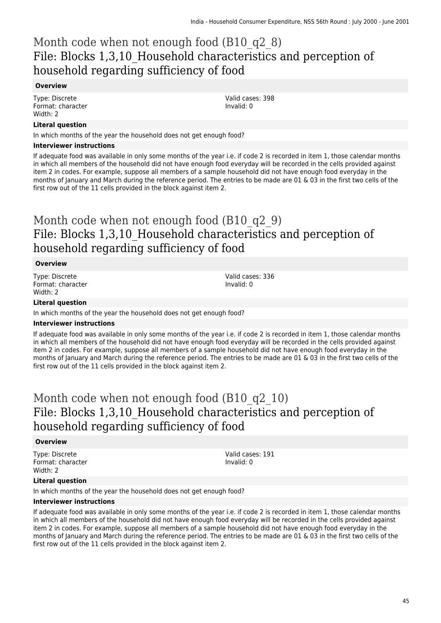## Month code when not enough food (B10 q2 8) File: Blocks 1,3,10\_Household characteristics and perception of household regarding sufficiency of food

#### **Overview**

Type: Discrete Format: character Width: 2

#### **Literal question**

In which months of the year the household does not get enough food?

#### **Interviewer instructions**

If adequate food was available in only some months of the year i.e. if code 2 is recorded in item 1, those calendar months in which all members of the household did not have enough food everyday will be recorded in the cells provided against item 2 in codes. For example, suppose all members of a sample household did not have enough food everyday in the months of January and March during the reference period. The entries to be made are 01 & 03 in the first two cells of the first row out of the 11 cells provided in the block against item 2.

## Month code when not enough food (B10 q2 9) File: Blocks 1,3,10\_Household characteristics and perception of household regarding sufficiency of food

#### **Overview**

Type: Discrete Format: character Width: 2

Valid cases: 336 Invalid: 0

### **Literal question**

In which months of the year the household does not get enough food?

#### **Interviewer instructions**

If adequate food was available in only some months of the year i.e. if code 2 is recorded in item 1, those calendar months in which all members of the household did not have enough food everyday will be recorded in the cells provided against item 2 in codes. For example, suppose all members of a sample household did not have enough food everyday in the months of January and March during the reference period. The entries to be made are 01 & 03 in the first two cells of the first row out of the 11 cells provided in the block against item 2.

## Month code when not enough food (B10 q2 10) File: Blocks 1,3,10\_Household characteristics and perception of household regarding sufficiency of food

#### **Overview**

Type: Discrete Format: character Width: 2

Valid cases: 191 Invalid: 0

#### **Literal question**

In which months of the year the household does not get enough food?

#### **Interviewer instructions**

If adequate food was available in only some months of the year i.e. if code 2 is recorded in item 1, those calendar months in which all members of the household did not have enough food everyday will be recorded in the cells provided against item 2 in codes. For example, suppose all members of a sample household did not have enough food everyday in the months of January and March during the reference period. The entries to be made are 01 & 03 in the first two cells of the first row out of the 11 cells provided in the block against item 2.

Valid cases: 398 Invalid: 0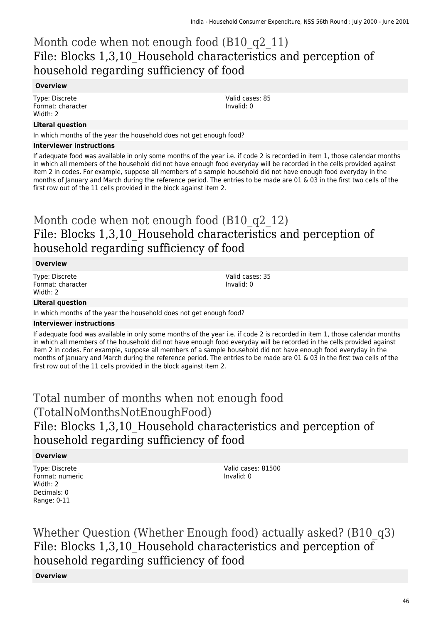## Month code when not enough food (B10 q2 11) File: Blocks 1,3,10\_Household characteristics and perception of household regarding sufficiency of food

### **Overview**

Type: Discrete Format: character Width: 2

### **Literal question**

In which months of the year the household does not get enough food?

#### **Interviewer instructions**

If adequate food was available in only some months of the year i.e. if code 2 is recorded in item 1, those calendar months in which all members of the household did not have enough food everyday will be recorded in the cells provided against item 2 in codes. For example, suppose all members of a sample household did not have enough food everyday in the months of January and March during the reference period. The entries to be made are 01 & 03 in the first two cells of the first row out of the 11 cells provided in the block against item 2.

## Month code when not enough food (B10 q2 12) File: Blocks 1,3,10\_Household characteristics and perception of household regarding sufficiency of food

#### **Overview**

Type: Discrete Format: character Width: 2

Valid cases: 35 Invalid: 0

### **Literal question**

In which months of the year the household does not get enough food?

#### **Interviewer instructions**

If adequate food was available in only some months of the year i.e. if code 2 is recorded in item 1, those calendar months in which all members of the household did not have enough food everyday will be recorded in the cells provided against item 2 in codes. For example, suppose all members of a sample household did not have enough food everyday in the months of January and March during the reference period. The entries to be made are 01 & 03 in the first two cells of the first row out of the 11 cells provided in the block against item 2.

## Total number of months when not enough food (TotalNoMonthsNotEnoughFood) File: Blocks 1,3,10\_Household characteristics and perception of household regarding sufficiency of food

#### **Overview**

Type: Discrete Format: numeric Width: 2 Decimals: 0 Range: 0-11

Valid cases: 81500 Invalid: 0

Whether Question (Whether Enough food) actually asked? (B10\_q3) File: Blocks 1,3,10\_Household characteristics and perception of household regarding sufficiency of food

**Overview**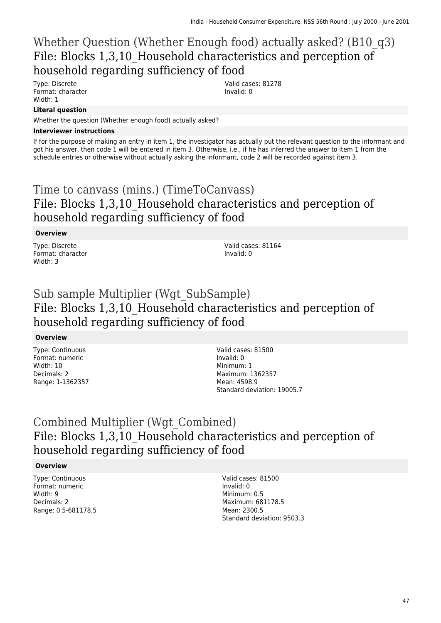## Whether Question (Whether Enough food) actually asked? (B10\_q3) File: Blocks 1,3,10\_Household characteristics and perception of household regarding sufficiency of food

Type: Discrete Format: character Width: 1

Valid cases: 81278 Invalid: 0

### **Literal question**

Whether the question (Whether enough food) actually asked?

### **Interviewer instructions**

If for the purpose of making an entry in item 1, the investigator has actually put the relevant question to the informant and got his answer, then code 1 will be entered in item 3. Otherwise, i.e., if he has inferred the answer to item 1 from the schedule entries or otherwise without actually asking the informant, code 2 will be recorded against item 3.

## Time to canvass (mins.) (TimeToCanvass) File: Blocks 1,3,10\_Household characteristics and perception of household regarding sufficiency of food

### **Overview**

Type: Discrete Format: character Width: 3

Valid cases: 81164 Invalid: 0

## Sub sample Multiplier (Wgt\_SubSample) File: Blocks 1,3,10\_Household characteristics and perception of household regarding sufficiency of food

### **Overview**

Type: Continuous Format: numeric Width: 10 Decimals: 2 Range: 1-1362357 Valid cases: 81500 Invalid: 0 Minimum: 1 Maximum: 1362357 Mean: 4598.9 Standard deviation: 19005.7

## Combined Multiplier (Wgt\_Combined) File: Blocks 1,3,10\_Household characteristics and perception of household regarding sufficiency of food

### **Overview**

Type: Continuous Format: numeric Width: 9 Decimals: 2 Range: 0.5-681178.5 Valid cases: 81500 Invalid: 0 Minimum: 0.5 Maximum: 681178.5 Mean: 2300.5 Standard deviation: 9503.3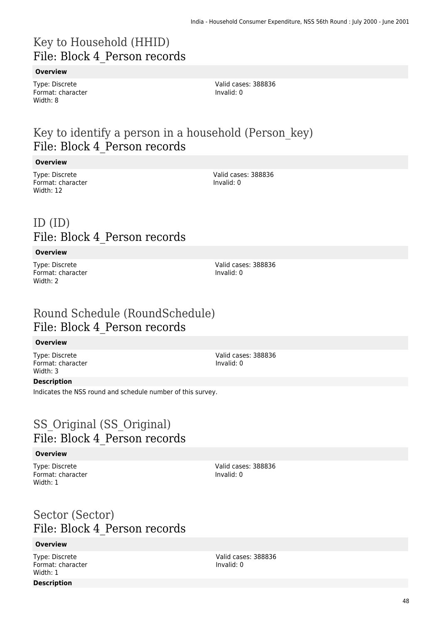## Key to Household (HHID) File: Block 4\_Person records

### **Overview**

Type: Discrete Format: character Width: 8

Valid cases: 388836 Invalid: 0

## Key to identify a person in a household (Person\_key) File: Block 4\_Person records

#### **Overview**

Type: Discrete Format: character Width: 12

Valid cases: 388836 Invalid: 0

## ID (ID) File: Block 4\_Person records

#### **Overview**

Type: Discrete Format: character Width: 2

Valid cases: 388836 Invalid: 0

### Round Schedule (RoundSchedule) File: Block 4\_Person records

#### **Overview**

Type: Discrete Format: character Width: 3

Valid cases: 388836 Invalid: 0

### **Description**

Indicates the NSS round and schedule number of this survey.

## SS Original (SS Original) File: Block 4\_Person records

#### **Overview**

Type: Discrete Format: character Width: 1

Valid cases: 388836 Invalid: 0

## Sector (Sector) File: Block 4\_Person records

### **Overview**

Type: Discrete Format: character Width: 1

### **Description**

Valid cases: 388836 Invalid: 0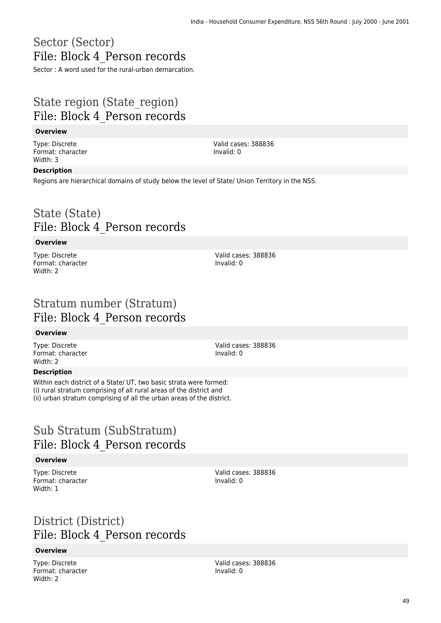## Sector (Sector) File: Block 4\_Person records

Sector : A word used for the rural-urban demarcation.

## State region (State\_region) File: Block 4\_Person records

### **Overview**

Type: Discrete Format: character Width: 3

Valid cases: 388836 Invalid: 0

#### **Description**

Regions are hierarchical domains of study below the level of State/ Union Territory in the NSS.

### State (State) File: Block 4\_Person records

#### **Overview**

Type: Discrete Format: character Width: 2

Valid cases: 388836 Invalid: 0

## Stratum number (Stratum) File: Block 4\_Person records

#### **Overview**

Type: Discrete Format: character Width: 2

#### Valid cases: 388836 Invalid: 0

#### **Description**

Within each district of a State/ UT, two basic strata were formed: (i) rural stratum comprising of all rural areas of the district and (ii) urban stratum comprising of all the urban areas of the district.

## Sub Stratum (SubStratum) File: Block 4\_Person records

### **Overview**

Type: Discrete Format: character Width: 1

Valid cases: 388836 Invalid: 0

## District (District) File: Block 4\_Person records

#### **Overview**

Type: Discrete Format: character Width: 2

Valid cases: 388836 Invalid: 0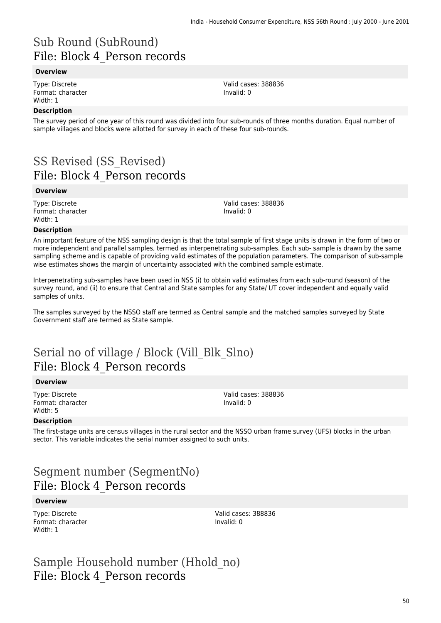## Sub Round (SubRound) File: Block 4\_Person records

#### **Overview**

Type: Discrete Format: character Width: 1

#### **Description**

The survey period of one year of this round was divided into four sub-rounds of three months duration. Equal number of sample villages and blocks were allotted for survey in each of these four sub-rounds.

## SS Revised (SS\_Revised) File: Block 4\_Person records

#### **Overview**

Type: Discrete Format: character Width: 1

Valid cases: 388836 Invalid: 0

Valid cases: 388836

Invalid: 0

#### **Description**

An important feature of the NSS sampling design is that the total sample of first stage units is drawn in the form of two or more independent and parallel samples, termed as interpenetrating sub-samples. Each sub- sample is drawn by the same sampling scheme and is capable of providing valid estimates of the population parameters. The comparison of sub-sample wise estimates shows the margin of uncertainty associated with the combined sample estimate.

Interpenetrating sub-samples have been used in NSS (i) to obtain valid estimates from each sub-round (season) of the survey round, and (ii) to ensure that Central and State samples for any State/ UT cover independent and equally valid samples of units.

The samples surveyed by the NSSO staff are termed as Central sample and the matched samples surveyed by State Government staff are termed as State sample.

## Serial no of village / Block (Vill\_Blk\_Slno) File: Block 4\_Person records

#### **Overview**

Type: Discrete Format: character Width: 5

Valid cases: 388836 Invalid: 0

#### **Description**

The first-stage units are census villages in the rural sector and the NSSO urban frame survey (UFS) blocks in the urban sector. This variable indicates the serial number assigned to such units.

### Segment number (SegmentNo) File: Block 4\_Person records

#### **Overview**

Type: Discrete Format: character Width: 1

Valid cases: 388836 Invalid: 0

Sample Household number (Hhold\_no) File: Block 4\_Person records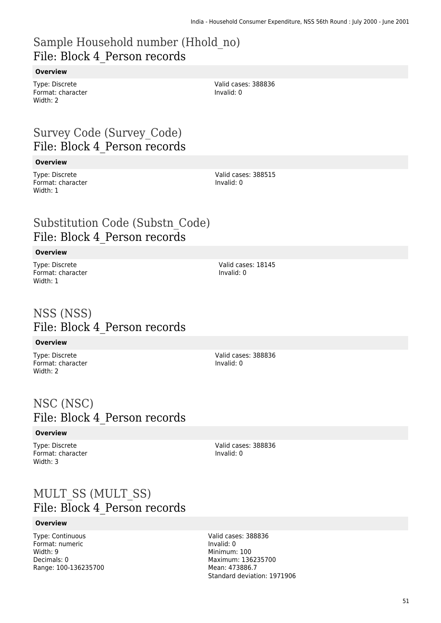### Sample Household number (Hhold\_no) File: Block 4\_Person records

### **Overview**

Type: Discrete Format: character Width: 2

Valid cases: 388836 Invalid: 0

## Survey Code (Survey\_Code) File: Block 4\_Person records

#### **Overview**

Type: Discrete Format: character Width: 1

Valid cases: 388515 Invalid: 0

Valid cases: 18145

Valid cases: 388836

Invalid: 0

Invalid: 0

### Substitution Code (Substn\_Code) File: Block 4\_Person records

#### **Overview**

Type: Discrete Format: character Width: 1

### NSS (NSS) File: Block 4\_Person records

#### **Overview**

Type: Discrete Format: character Width: 2

### NSC (NSC) File: Block 4\_Person records

#### **Overview**

Type: Discrete Format: character Width: 3

Valid cases: 388836 Invalid: 0

### MULT\_SS (MULT\_SS) File: Block 4\_Person records

#### **Overview**

Type: Continuous Format: numeric Width: 9 Decimals: 0 Range: 100-136235700 Valid cases: 388836 Invalid: 0 Minimum: 100 Maximum: 136235700 Mean: 473886.7 Standard deviation: 1971906

51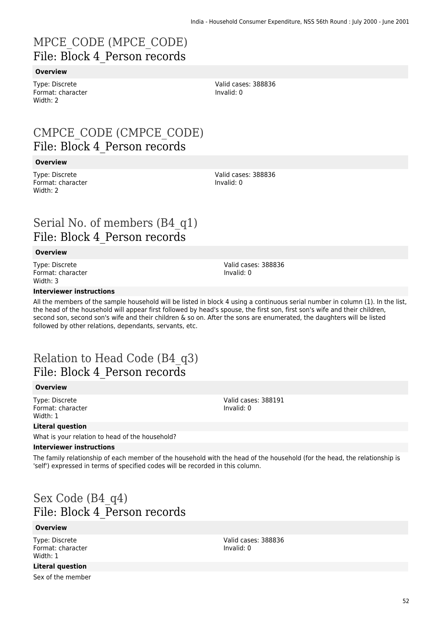## MPCE\_CODE (MPCE\_CODE) File: Block 4\_Person records

### **Overview**

Type: Discrete Format: character Width: 2

## CMPCE\_CODE (CMPCE\_CODE) File: Block 4\_Person records

#### **Overview**

Type: Discrete Format: character Width: 2

## Serial No. of members (B4\_q1) File: Block 4\_Person records

#### **Overview**

Type: Discrete Format: character Width: 3

#### **Interviewer instructions**

All the members of the sample household will be listed in block 4 using a continuous serial number in column (1). In the list, the head of the household will appear first followed by head's spouse, the first son, first son's wife and their children, second son, second son's wife and their children & so on. After the sons are enumerated, the daughters will be listed followed by other relations, dependants, servants, etc.

## Relation to Head Code (B4\_q3) File: Block 4\_Person records

#### **Overview**

Type: Discrete Format: character Width: 1

### **Literal question**

What is your relation to head of the household?

#### **Interviewer instructions**

The family relationship of each member of the household with the head of the household (for the head, the relationship is 'self') expressed in terms of specified codes will be recorded in this column.

# Sex Code (B4\_q4) File: Block 4\_Person records

#### **Overview**

Type: Discrete Format: character Width: 1

Valid cases: 388836 Invalid: 0

Valid cases: 388836 Invalid: 0

Valid cases: 388191 Invalid: 0

**Literal question** Sex of the member

52

Valid cases: 388836 Invalid: 0

Valid cases: 388836

Invalid: 0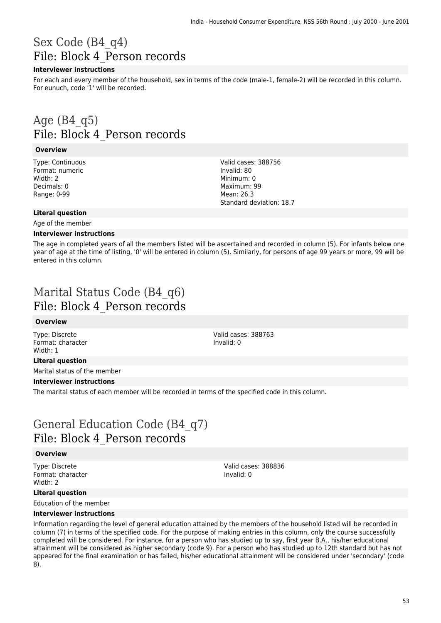## Sex Code (B4\_q4) File: Block 4\_Person records

### **Interviewer instructions**

For each and every member of the household, sex in terms of the code (male-1, female-2) will be recorded in this column. For eunuch, code '1' will be recorded.

## Age  $(B4\ q5)$ File: Block 4\_Person records

#### **Overview**

Type: Continuous Format: numeric Width: 2 Decimals: 0 Range: 0-99

Valid cases: 388756 Invalid: 80 Minimum: 0 Maximum: 99 Mean: 26.3 Standard deviation: 18.7

#### **Literal question**

Age of the member

#### **Interviewer instructions**

The age in completed years of all the members listed will be ascertained and recorded in column (5). For infants below one year of age at the time of listing, '0' will be entered in column (5). Similarly, for persons of age 99 years or more, 99 will be entered in this column.

## Marital Status Code (B4\_q6) File: Block 4\_Person records

#### **Overview**

Type: Discrete Format: character Width: 1

Valid cases: 388763 Invalid: 0

Valid cases: 388836

Invalid: 0

### **Literal question**

Marital status of the member

#### **Interviewer instructions**

The marital status of each member will be recorded in terms of the specified code in this column.

## General Education Code (B4\_q7) File: Block 4\_Person records

#### **Overview**

Type: Discrete Format: character Width: 2

### **Literal question**

Education of the member

### **Interviewer instructions**

Information regarding the level of general education attained by the members of the household listed will be recorded in column (7) in terms of the specified code. For the purpose of making entries in this column, only the course successfully completed will be considered. For instance, for a person who has studied up to say, first year B.A., his/her educational attainment will be considered as higher secondary (code 9). For a person who has studied up to 12th standard but has not appeared for the final examination or has failed, his/her educational attainment will be considered under 'secondary' (code 8).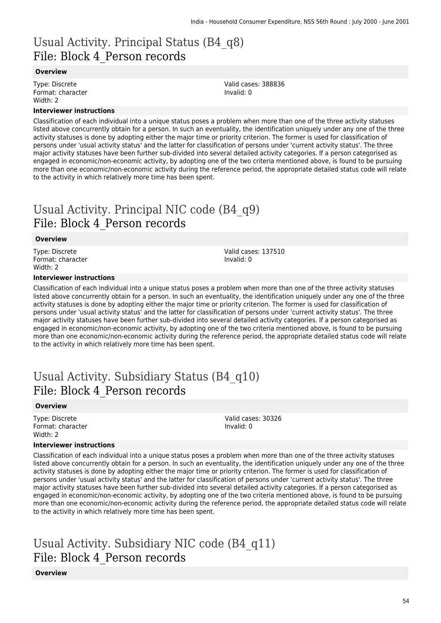## Usual Activity. Principal Status (B4\_q8) File: Block 4\_Person records

#### **Overview**

Type: Discrete Format: character Width: 2

#### **Interviewer instructions**

Classification of each individual into a unique status poses a problem when more than one of the three activity statuses listed above concurrently obtain for a person. In such an eventuality, the identification uniquely under any one of the three activity statuses is done by adopting either the major time or priority criterion. The former is used for classification of persons under 'usual activity status' and the latter for classification of persons under 'current activity status'. The three major activity statuses have been further sub-divided into several detailed activity categories. If a person categorised as engaged in economic/non-economic activity, by adopting one of the two criteria mentioned above, is found to be pursuing more than one economic/non-economic activity during the reference period, the appropriate detailed status code will relate to the activity in which relatively more time has been spent.

## Usual Activity. Principal NIC code (B4\_q9) File: Block 4\_Person records

#### **Overview**

Type: Discrete Format: character Width: 2

Valid cases: 137510 Invalid: 0

Valid cases: 388836

Invalid: 0

#### **Interviewer instructions**

Classification of each individual into a unique status poses a problem when more than one of the three activity statuses listed above concurrently obtain for a person. In such an eventuality, the identification uniquely under any one of the three activity statuses is done by adopting either the major time or priority criterion. The former is used for classification of persons under 'usual activity status' and the latter for classification of persons under 'current activity status'. The three major activity statuses have been further sub-divided into several detailed activity categories. If a person categorised as engaged in economic/non-economic activity, by adopting one of the two criteria mentioned above, is found to be pursuing more than one economic/non-economic activity during the reference period, the appropriate detailed status code will relate to the activity in which relatively more time has been spent.

## Usual Activity. Subsidiary Status (B4\_q10) File: Block 4\_Person records

#### **Overview**

Type: Discrete Format: character Width: 2

Valid cases: 30326 Invalid: 0

#### **Interviewer instructions**

Classification of each individual into a unique status poses a problem when more than one of the three activity statuses listed above concurrently obtain for a person. In such an eventuality, the identification uniquely under any one of the three activity statuses is done by adopting either the major time or priority criterion. The former is used for classification of persons under 'usual activity status' and the latter for classification of persons under 'current activity status'. The three major activity statuses have been further sub-divided into several detailed activity categories. If a person categorised as engaged in economic/non-economic activity, by adopting one of the two criteria mentioned above, is found to be pursuing more than one economic/non-economic activity during the reference period, the appropriate detailed status code will relate to the activity in which relatively more time has been spent.

## Usual Activity. Subsidiary NIC code (B4\_q11) File: Block 4\_Person records

**Overview**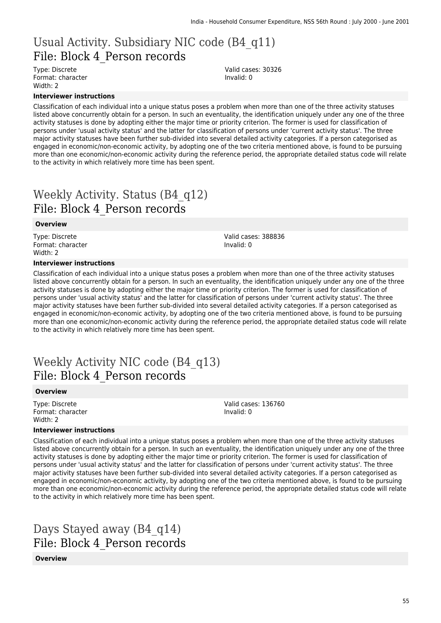## Usual Activity. Subsidiary NIC code (B4\_q11) File: Block 4\_Person records

Type: Discrete Format: character Width: 2

**Interviewer instructions**

Classification of each individual into a unique status poses a problem when more than one of the three activity statuses listed above concurrently obtain for a person. In such an eventuality, the identification uniquely under any one of the three activity statuses is done by adopting either the major time or priority criterion. The former is used for classification of persons under 'usual activity status' and the latter for classification of persons under 'current activity status'. The three major activity statuses have been further sub-divided into several detailed activity categories. If a person categorised as engaged in economic/non-economic activity, by adopting one of the two criteria mentioned above, is found to be pursuing more than one economic/non-economic activity during the reference period, the appropriate detailed status code will relate to the activity in which relatively more time has been spent.

# Weekly Activity. Status (B4\_q12) File: Block 4\_Person records

#### **Overview**

Type: Discrete Format: character Width: 2

#### **Interviewer instructions**

Valid cases: 388836 Invalid: 0

Valid cases: 136760

Invalid: 0

Valid cases: 30326

Invalid: 0

Classification of each individual into a unique status poses a problem when more than one of the three activity statuses listed above concurrently obtain for a person. In such an eventuality, the identification uniquely under any one of the three activity statuses is done by adopting either the major time or priority criterion. The former is used for classification of persons under 'usual activity status' and the latter for classification of persons under 'current activity status'. The three major activity statuses have been further sub-divided into several detailed activity categories. If a person categorised as engaged in economic/non-economic activity, by adopting one of the two criteria mentioned above, is found to be pursuing more than one economic/non-economic activity during the reference period, the appropriate detailed status code will relate to the activity in which relatively more time has been spent.

### Weekly Activity NIC code (B4\_q13) File: Block 4\_Person records

#### **Overview**

Type: Discrete Format: character Width: 2

#### **Interviewer instructions**

Classification of each individual into a unique status poses a problem when more than one of the three activity statuses listed above concurrently obtain for a person. In such an eventuality, the identification uniquely under any one of the three activity statuses is done by adopting either the major time or priority criterion. The former is used for classification of persons under 'usual activity status' and the latter for classification of persons under 'current activity status'. The three major activity statuses have been further sub-divided into several detailed activity categories. If a person categorised as engaged in economic/non-economic activity, by adopting one of the two criteria mentioned above, is found to be pursuing more than one economic/non-economic activity during the reference period, the appropriate detailed status code will relate to the activity in which relatively more time has been spent.

## Days Stayed away (B4\_q14) File: Block 4\_Person records

#### **Overview**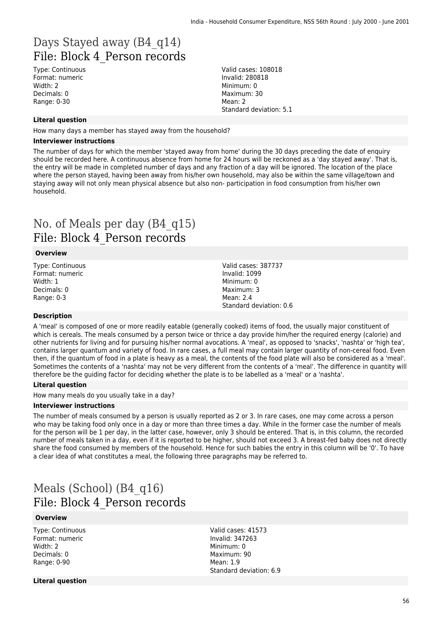## Days Stayed away (B4\_q14) File: Block 4\_Person records

Type: Continuous Format: numeric Width: 2 Decimals: 0 Range: 0-30

Valid cases: 108018 Invalid: 280818 Minimum: 0 Maximum: 30 Mean: 2 Standard deviation: 5.1

#### **Literal question**

How many days a member has stayed away from the household?

#### **Interviewer instructions**

The number of days for which the member 'stayed away from home' during the 30 days preceding the date of enquiry should be recorded here. A continuous absence from home for 24 hours will be reckoned as a 'day stayed away'. That is, the entry will be made in completed number of days and any fraction of a day will be ignored. The location of the place where the person stayed, having been away from his/her own household, may also be within the same village/town and staying away will not only mean physical absence but also non- participation in food consumption from his/her own household.

## No. of Meals per day (B4\_q15) File: Block 4\_Person records

#### **Overview**

Type: Continuous Format: numeric Width: 1 Decimals: 0 Range: 0-3

Valid cases: 387737 Invalid: 1099 Minimum: 0 Maximum: 3  $Mean: 2.4$ Standard deviation: 0.6

#### **Description**

A 'meal' is composed of one or more readily eatable (generally cooked) items of food, the usually major constituent of which is cereals. The meals consumed by a person twice or thrice a day provide him/her the required energy (calorie) and other nutrients for living and for pursuing his/her normal avocations. A 'meal', as opposed to 'snacks', 'nashta' or 'high tea', contains larger quantum and variety of food. In rare cases, a full meal may contain larger quantity of non-cereal food. Even then, if the quantum of food in a plate is heavy as a meal, the contents of the food plate will also be considered as a 'meal'. Sometimes the contents of a 'nashta' may not be very different from the contents of a 'meal'. The difference in quantity will therefore be the guiding factor for deciding whether the plate is to be labelled as a 'meal' or a 'nashta'.

#### **Literal question**

How many meals do you usually take in a day?

#### **Interviewer instructions**

The number of meals consumed by a person is usually reported as 2 or 3. In rare cases, one may come across a person who may be taking food only once in a day or more than three times a day. While in the former case the number of meals for the person will be 1 per day, in the latter case, however, only 3 should be entered. That is, in this column, the recorded number of meals taken in a day, even if it is reported to be higher, should not exceed 3. A breast-fed baby does not directly share the food consumed by members of the household. Hence for such babies the entry in this column will be '0'. To have a clear idea of what constitutes a meal, the following three paragraphs may be referred to.

### Meals (School) (B4\_q16) File: Block 4\_Person records

#### **Overview**

Type: Continuous Format: numeric Width: 2 Decimals: 0 Range: 0-90

Valid cases: 41573 Invalid: 347263 Minimum: 0 Maximum: 90 Mean: 1.9 Standard deviation: 6.9

**Literal question**

56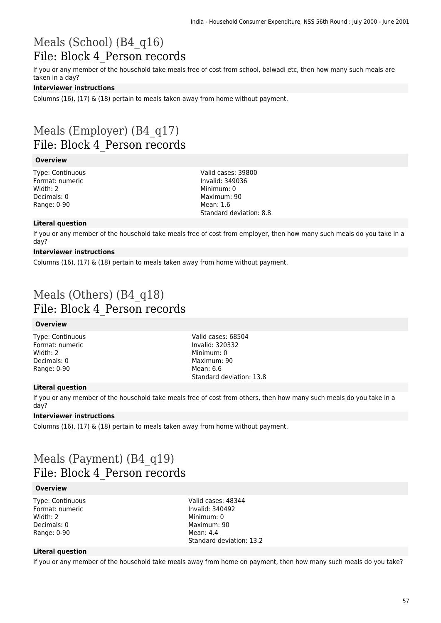### Meals (School) (B4\_q16) File: Block 4\_Person records

If you or any member of the household take meals free of cost from school, balwadi etc, then how many such meals are taken in a day?

### **Interviewer instructions**

Columns (16), (17)  $\&$  (18) pertain to meals taken away from home without payment.

## Meals (Employer) (B4\_q17) File: Block 4\_Person records

#### **Overview**

Type: Continuous Format: numeric Width: 2 Decimals: 0 Range: 0-90

Valid cases: 39800 Invalid: 349036 Minimum: 0 Maximum: 90 Mean: 1.6 Standard deviation: 8.8

### **Literal question**

If you or any member of the household take meals free of cost from employer, then how many such meals do you take in a day?

### **Interviewer instructions**

Columns (16), (17) & (18) pertain to meals taken away from home without payment.

## Meals (Others) (B4\_q18) File: Block 4\_Person records

### **Overview**

Type: Continuous Format: numeric Width: 2 Decimals: 0 Range: 0-90

Valid cases: 68504 Invalid: 320332 Minimum: 0 Maximum: 90 Mean: 6.6 Standard deviation: 13.8

### **Literal question**

If you or any member of the household take meals free of cost from others, then how many such meals do you take in a day?

### **Interviewer instructions**

Columns (16), (17) & (18) pertain to meals taken away from home without payment.

## Meals (Payment) (B4\_q19) File: Block 4\_Person records

#### **Overview**

Type: Continuous Format: numeric Width: 2 Decimals: 0 Range: 0-90

Valid cases: 48344 Invalid: 340492 Minimum: 0 Maximum: 90  $M$ ean: 44 Standard deviation: 13.2

### **Literal question**

If you or any member of the household take meals away from home on payment, then how many such meals do you take?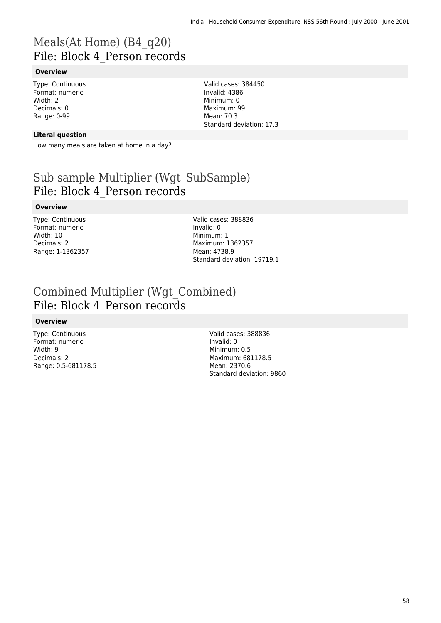## Meals(At Home) (B4\_q20) File: Block 4\_Person records

### **Overview**

Type: Continuous Format: numeric Width: 2 Decimals: 0 Range: 0-99

#### **Literal question**

How many meals are taken at home in a day?

## Sub sample Multiplier (Wgt\_SubSample) File: Block 4\_Person records

#### **Overview**

Type: Continuous Format: numeric Width: 10 Decimals: 2 Range: 1-1362357

Valid cases: 388836 Invalid: 0 Minimum: 1 Maximum: 1362357 Mean: 4738.9 Standard deviation: 19719.1

Valid cases: 384450 Invalid: 4386 Minimum: 0 Maximum: 99 Mean: 70.3

Standard deviation: 17.3

## Combined Multiplier (Wgt\_Combined) File: Block 4\_Person records

#### **Overview**

Type: Continuous Format: numeric Width: 9 Decimals: 2 Range: 0.5-681178.5 Valid cases: 388836 Invalid: 0 Minimum: 0.5 Maximum: 681178.5 Mean: 2370.6 Standard deviation: 9860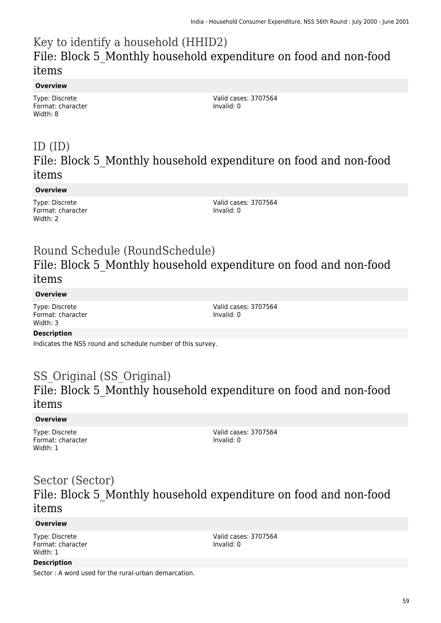## Key to identify a household (HHID2) File: Block 5\_Monthly household expenditure on food and non-food items

### **Overview**

Type: Discrete Format: character Width: 8

Valid cases: 3707564 Invalid: 0

### ID (ID) File: Block 5\_Monthly household expenditure on food and non-food items

### **Overview**

Type: Discrete Format: character Width: 2

Valid cases: 3707564 Invalid: 0

## Round Schedule (RoundSchedule) File: Block 5\_Monthly household expenditure on food and non-food items

### **Overview**

Type: Discrete Format: character Width: 3

Valid cases: 3707564 Invalid: 0

### **Description**

Indicates the NSS round and schedule number of this survey.

### SS Original (SS Original) File: Block 5\_Monthly household expenditure on food and non-food items

### **Overview**

Type: Discrete Format: character Width: 1

Valid cases: 3707564 Invalid: 0

### Sector (Sector) File: Block 5\_Monthly household expenditure on food and non-food items

### **Overview**

Type: Discrete Format: character Width: 1

Valid cases: 3707564 Invalid: 0

### **Description**

Sector : A word used for the rural-urban demarcation.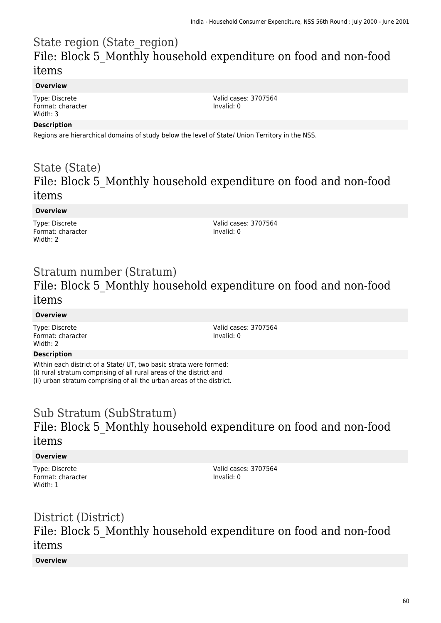## State region (State\_region) File: Block 5\_Monthly household expenditure on food and non-food items

### **Overview**

Type: Discrete Format: character Width: 3

Valid cases: 3707564 Invalid: 0

### **Description**

Regions are hierarchical domains of study below the level of State/ Union Territory in the NSS.

### State (State) File: Block 5\_Monthly household expenditure on food and non-food items

### **Overview**

Type: Discrete Format: character Width: 2

Valid cases: 3707564 Invalid: 0

### Stratum number (Stratum) File: Block 5\_Monthly household expenditure on food and non-food items

### **Overview**

Type: Discrete Format: character Width: 2

Valid cases: 3707564 Invalid: 0

### **Description**

Within each district of a State/ UT, two basic strata were formed: (i) rural stratum comprising of all rural areas of the district and (ii) urban stratum comprising of all the urban areas of the district.

## Sub Stratum (SubStratum) File: Block 5\_Monthly household expenditure on food and non-food items

### **Overview**

Type: Discrete Format: character Width: 1

Valid cases: 3707564 Invalid: 0

## District (District) File: Block 5\_Monthly household expenditure on food and non-food items

### **Overview**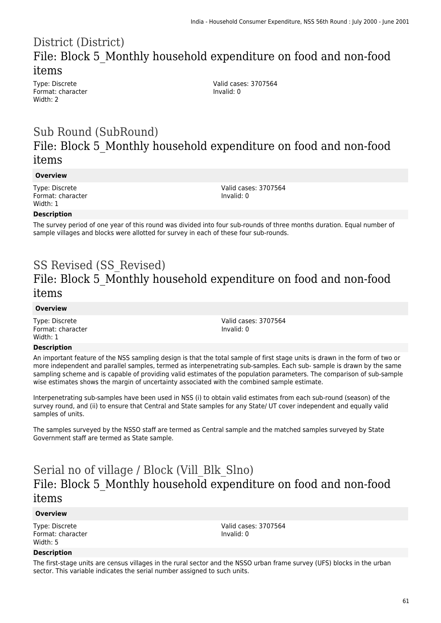## District (District) File: Block 5\_Monthly household expenditure on food and non-food items

Type: Discrete Format: character Width: 2

Valid cases: 3707564 Invalid: 0

### Sub Round (SubRound) File: Block 5\_Monthly household expenditure on food and non-food items

#### **Overview**

Type: Discrete Format: character Width: 1

Valid cases: 3707564 Invalid: 0

### **Description**

The survey period of one year of this round was divided into four sub-rounds of three months duration. Equal number of sample villages and blocks were allotted for survey in each of these four sub-rounds.

# SS Revised (SS\_Revised) File: Block 5\_Monthly household expenditure on food and non-food items

#### **Overview**

Type: Discrete Format: character Width: 1

Valid cases: 3707564 Invalid: 0

### **Description**

An important feature of the NSS sampling design is that the total sample of first stage units is drawn in the form of two or more independent and parallel samples, termed as interpenetrating sub-samples. Each sub- sample is drawn by the same sampling scheme and is capable of providing valid estimates of the population parameters. The comparison of sub-sample wise estimates shows the margin of uncertainty associated with the combined sample estimate.

Interpenetrating sub-samples have been used in NSS (i) to obtain valid estimates from each sub-round (season) of the survey round, and (ii) to ensure that Central and State samples for any State/ UT cover independent and equally valid samples of units.

The samples surveyed by the NSSO staff are termed as Central sample and the matched samples surveyed by State Government staff are termed as State sample.

## Serial no of village / Block (Vill\_Blk\_Slno) File: Block 5\_Monthly household expenditure on food and non-food items

#### **Overview**

Type: Discrete Format: character Width: 5

Valid cases: 3707564 Invalid: 0

#### **Description**

The first-stage units are census villages in the rural sector and the NSSO urban frame survey (UFS) blocks in the urban sector. This variable indicates the serial number assigned to such units.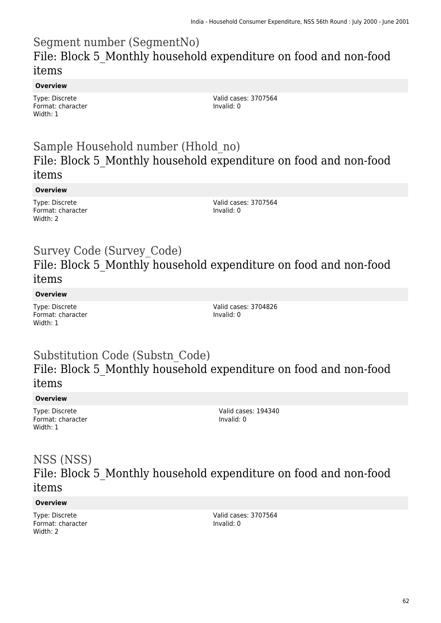## Segment number (SegmentNo) File: Block 5\_Monthly household expenditure on food and non-food items

### **Overview**

Type: Discrete Format: character Width: 1

Valid cases: 3707564 Invalid: 0

## Sample Household number (Hhold\_no) File: Block 5\_Monthly household expenditure on food and non-food items

### **Overview**

Type: Discrete Format: character Width: 2

Valid cases: 3707564 Invalid: 0

### Survey Code (Survey\_Code) File: Block 5\_Monthly household expenditure on food and non-food items

### **Overview**

Type: Discrete Format: character Width: 1

Valid cases: 3704826 Invalid: 0

### Substitution Code (Substn\_Code) File: Block 5\_Monthly household expenditure on food and non-food items

### **Overview**

Type: Discrete Format: character Width: 1

Valid cases: 194340 Invalid: 0

### NSS (NSS) File: Block 5\_Monthly household expenditure on food and non-food items

### **Overview**

Type: Discrete Format: character Width: 2

Valid cases: 3707564 Invalid: 0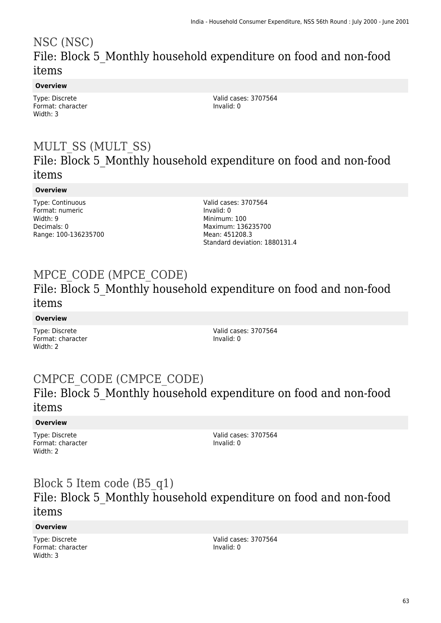## NSC (NSC) File: Block 5\_Monthly household expenditure on food and non-food items

### **Overview**

Type: Discrete Format: character Width: 3

Valid cases: 3707564 Invalid: 0

## MULT\_SS (MULT\_SS) File: Block 5\_Monthly household expenditure on food and non-food items

### **Overview**

Type: Continuous Format: numeric Width: 9 Decimals: 0 Range: 100-136235700 Valid cases: 3707564 Invalid: 0 Minimum: 100 Maximum: 136235700 Mean: 451208.3 Standard deviation: 1880131.4

# MPCE\_CODE (MPCE\_CODE)

### File: Block 5\_Monthly household expenditure on food and non-food items

### **Overview**

Type: Discrete Format: character Width: 2

Valid cases: 3707564 Invalid: 0

## CMPCE\_CODE (CMPCE\_CODE) File: Block 5\_Monthly household expenditure on food and non-food items

### **Overview**

Type: Discrete Format: character Width: 2

Valid cases: 3707564 Invalid: 0

## Block 5 Item code (B5\_q1) File: Block 5\_Monthly household expenditure on food and non-food items

### **Overview**

Type: Discrete Format: character Width: 3

Valid cases: 3707564 Invalid: 0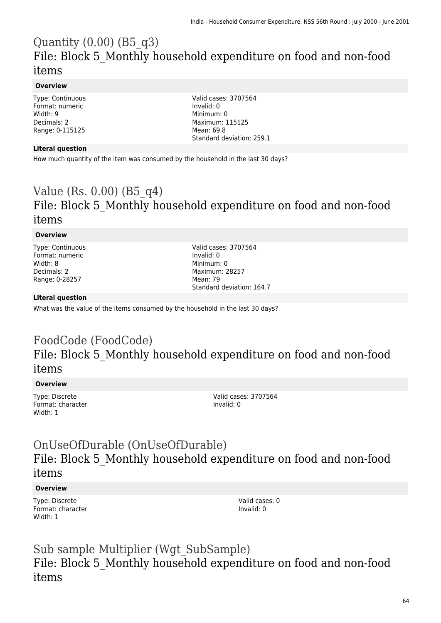## Quantity  $(0.00)$  (B5 $q3$ ) File: Block 5\_Monthly household expenditure on food and non-food items

### **Overview**

Type: Continuous Format: numeric Width: 9 Decimals: 2 Range: 0-115125

Valid cases: 3707564 Invalid: 0 Minimum: 0 Maximum: 115125 Mean: 69.8 Standard deviation: 259.1

### **Literal question**

How much quantity of the item was consumed by the household in the last 30 days?

## Value (Rs. 0.00) (B5\_q4) File: Block 5\_Monthly household expenditure on food and non-food items

#### **Overview**

Type: Continuous Format: numeric Width: 8 Decimals: 2 Range: 0-28257

Valid cases: 3707564 Invalid: 0 Minimum: 0 Maximum: 28257 Mean: 79 Standard deviation: 164.7

#### **Literal question**

What was the value of the items consumed by the household in the last 30 days?

## FoodCode (FoodCode) File: Block 5\_Monthly household expenditure on food and non-food items

#### **Overview**

Type: Discrete Format: character Width: 1

Valid cases: 3707564 Invalid: 0

## OnUseOfDurable (OnUseOfDurable) File: Block 5\_Monthly household expenditure on food and non-food items

#### **Overview**

Type: Discrete Format: character Width: 1

Valid cases: 0 Invalid: 0

Sub sample Multiplier (Wgt\_SubSample) File: Block 5\_Monthly household expenditure on food and non-food items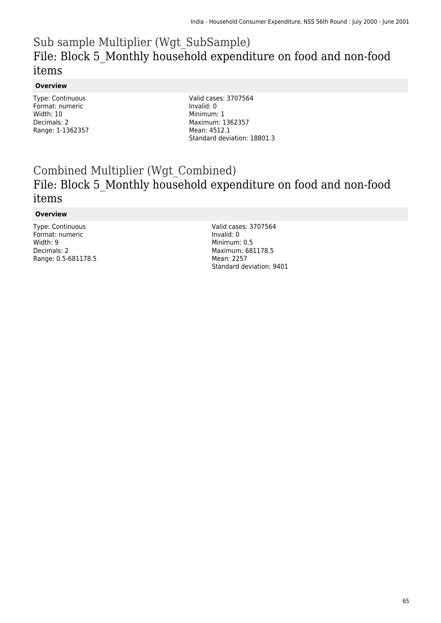## Sub sample Multiplier (Wgt\_SubSample) File: Block 5\_Monthly household expenditure on food and non-food items

### **Overview**

Type: Continuous Format: numeric Width: 10 Decimals: 2 Range: 1-1362357 Valid cases: 3707564 Invalid: 0 Minimum: 1 Maximum: 1362357 Mean: 4512.1 Standard deviation: 18801.3

## Combined Multiplier (Wgt\_Combined) File: Block 5\_Monthly household expenditure on food and non-food items

#### **Overview**

Type: Continuous Format: numeric Width: 9 Decimals: 2 Range: 0.5-681178.5

Valid cases: 3707564 Invalid: 0 Minimum: 0.5 Maximum: 681178.5 Mean: 2257 Standard deviation: 9401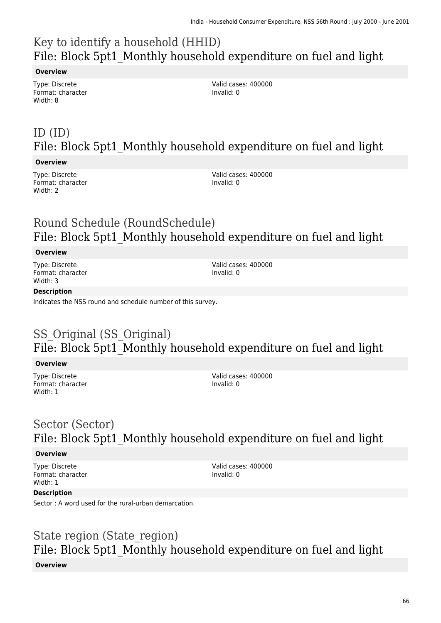# Key to identify a household (HHID) File: Block 5pt1\_Monthly household expenditure on fuel and light

### **Overview**

Type: Discrete Format: character Width: 8

Valid cases: 400000 Invalid: 0

# ID (ID) File: Block 5pt1 Monthly household expenditure on fuel and light

### **Overview**

Type: Discrete Format: character Width: 2

Valid cases: 400000 Invalid: 0

# Round Schedule (RoundSchedule) File: Block 5pt1 Monthly household expenditure on fuel and light

### **Overview**

Type: Discrete Format: character Width: 3

Valid cases: 400000 Invalid: 0

### **Description**

Indicates the NSS round and schedule number of this survey.

# SS Original (SS Original) File: Block 5pt1 Monthly household expenditure on fuel and light

### **Overview**

Type: Discrete Format: character Width: 1

Valid cases: 400000 Invalid: 0

## Sector (Sector) File: Block 5pt1 Monthly household expenditure on fuel and light

### **Overview**

Type: Discrete Format: character Width: 1

Valid cases: 400000 Invalid: 0

### **Description**

Sector : A word used for the rural-urban demarcation.

## State region (State\_region) File: Block 5pt1 Monthly household expenditure on fuel and light **Overview**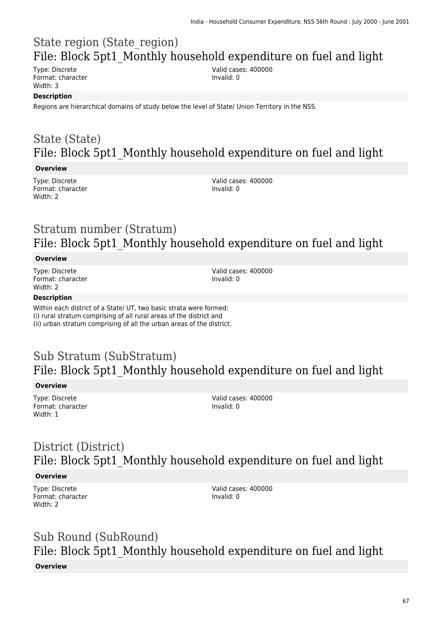## State region (State\_region) File: Block 5pt1 Monthly household expenditure on fuel and light

Type: Discrete Format: character Width: 3

Valid cases: 400000 Invalid: 0

### **Description**

Regions are hierarchical domains of study below the level of State/ Union Territory in the NSS.

## State (State) File: Block 5pt1 Monthly household expenditure on fuel and light

### **Overview**

Type: Discrete Format: character Width: 2

Valid cases: 400000 Invalid: 0

## Stratum number (Stratum) File: Block 5pt1 Monthly household expenditure on fuel and light

#### **Overview**

Type: Discrete Format: character Width: 2

Valid cases: 400000 Invalid: 0

#### **Description**

Within each district of a State/ UT, two basic strata were formed: (i) rural stratum comprising of all rural areas of the district and (ii) urban stratum comprising of all the urban areas of the district.

## Sub Stratum (SubStratum) File: Block 5pt1 Monthly household expenditure on fuel and light

#### **Overview**

Type: Discrete Format: character Width: 1

Valid cases: 400000 Invalid: 0

## District (District) File: Block 5pt1\_Monthly household expenditure on fuel and light

#### **Overview**

Type: Discrete Format: character Width: 2

Valid cases: 400000 Invalid: 0

# Sub Round (SubRound) File: Block 5pt1 Monthly household expenditure on fuel and light

### **Overview**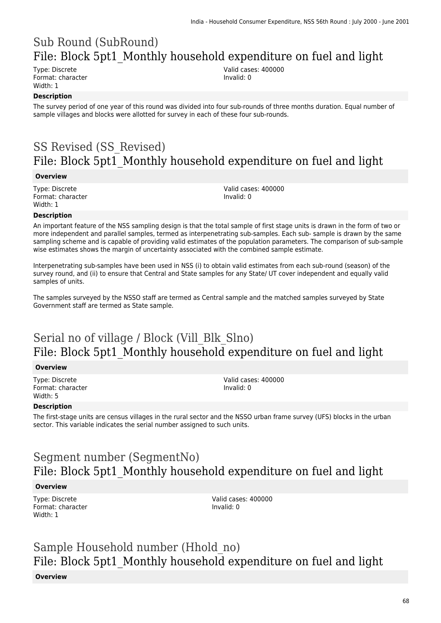# Sub Round (SubRound) File: Block 5pt1 Monthly household expenditure on fuel and light

Type: Discrete Format: character Width: 1

Valid cases: 400000 Invalid: 0

### **Description**

The survey period of one year of this round was divided into four sub-rounds of three months duration. Equal number of sample villages and blocks were allotted for survey in each of these four sub-rounds.

# SS Revised (SS\_Revised) File: Block 5pt1\_Monthly household expenditure on fuel and light

#### **Overview**

Type: Discrete Format: character Width: 1

Valid cases: 400000 Invalid: 0

#### **Description**

An important feature of the NSS sampling design is that the total sample of first stage units is drawn in the form of two or more independent and parallel samples, termed as interpenetrating sub-samples. Each sub- sample is drawn by the same sampling scheme and is capable of providing valid estimates of the population parameters. The comparison of sub-sample wise estimates shows the margin of uncertainty associated with the combined sample estimate.

Interpenetrating sub-samples have been used in NSS (i) to obtain valid estimates from each sub-round (season) of the survey round, and (ii) to ensure that Central and State samples for any State/ UT cover independent and equally valid samples of units.

The samples surveyed by the NSSO staff are termed as Central sample and the matched samples surveyed by State Government staff are termed as State sample.

## Serial no of village / Block (Vill\_Blk\_Slno) File: Block 5pt1 Monthly household expenditure on fuel and light

#### **Overview**

Type: Discrete Format: character Width: 5

Valid cases: 400000 Invalid: 0

### **Description**

The first-stage units are census villages in the rural sector and the NSSO urban frame survey (UFS) blocks in the urban sector. This variable indicates the serial number assigned to such units.

## Segment number (SegmentNo) File: Block 5pt1\_Monthly household expenditure on fuel and light

#### **Overview**

Type: Discrete Format: character Width: 1

Valid cases: 400000 Invalid: 0

# Sample Household number (Hhold\_no) File: Block 5pt1\_Monthly household expenditure on fuel and light

#### **Overview**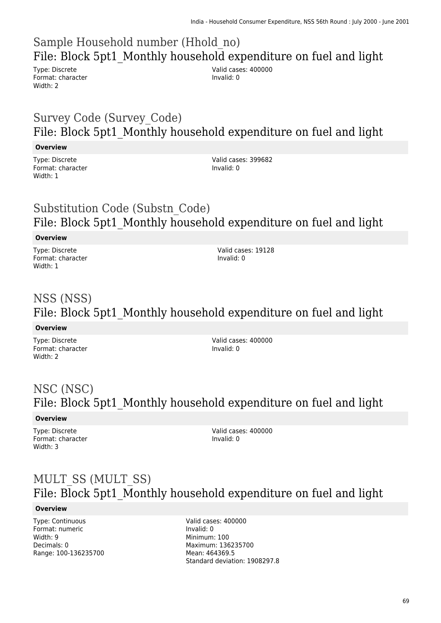# Sample Household number (Hhold\_no) File: Block 5pt1\_Monthly household expenditure on fuel and light

Type: Discrete Format: character Width: 2

Valid cases: 400000 Invalid: 0

## Survey Code (Survey\_Code) File: Block 5pt1 Monthly household expenditure on fuel and light

### **Overview**

Type: Discrete Format: character Width: 1

Valid cases: 399682 Invalid: 0

## Substitution Code (Substn\_Code) File: Block 5pt1 Monthly household expenditure on fuel and light

### **Overview**

Type: Discrete Format: character Width: 1

Valid cases: 19128 Invalid: 0

# NSS (NSS) File: Block 5pt1 Monthly household expenditure on fuel and light

### **Overview**

Type: Discrete Format: character Width: 2

Valid cases: 400000 Invalid: 0

# NSC (NSC) File: Block 5pt1 Monthly household expenditure on fuel and light

### **Overview**

Type: Discrete Format: character Width: 3

Valid cases: 400000 Invalid: 0

## MULT\_SS (MULT\_SS) File: Block 5pt1\_Monthly household expenditure on fuel and light

### **Overview**

Type: Continuous Format: numeric Width: 9 Decimals: 0 Range: 100-136235700 Valid cases: 400000 Invalid: 0 Minimum: 100 Maximum: 136235700 Mean: 464369.5 Standard deviation: 1908297.8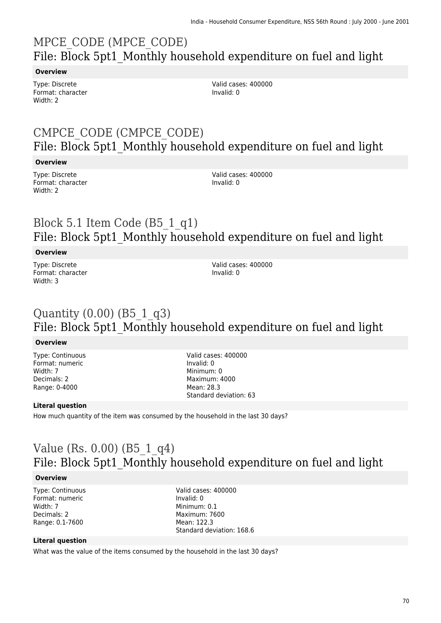# MPCE\_CODE (MPCE\_CODE) File: Block 5pt1\_Monthly household expenditure on fuel and light

### **Overview**

Type: Discrete Format: character Width: 2

Valid cases: 400000 Invalid: 0

## CMPCE\_CODE (CMPCE\_CODE) File: Block 5pt1\_Monthly household expenditure on fuel and light

### **Overview**

Type: Discrete Format: character Width: 2

Valid cases: 400000 Invalid: 0

## Block 5.1 Item Code (B5\_1\_q1) File: Block 5pt1\_Monthly household expenditure on fuel and light

### **Overview**

Type: Discrete Format: character Width: 3

Valid cases: 400000 Invalid: 0

### Quantity  $(0.00)$  (B5 1 q3) File: Block 5pt1 Monthly household expenditure on fuel and light

### **Overview**

Type: Continuous Format: numeric Width: 7 Decimals: 2 Range: 0-4000

Valid cases: 400000 Invalid: 0 Minimum: 0 Maximum: 4000 Mean: 28.3 Standard deviation: 63

### **Literal question**

How much quantity of the item was consumed by the household in the last 30 days?

## Value (Rs. 0.00) (B5\_1\_q4) File: Block 5pt1\_Monthly household expenditure on fuel and light

### **Overview**

Type: Continuous Format: numeric Width: 7 Decimals: 2 Range: 0.1-7600

Valid cases: 400000 Invalid: 0 Minimum: 0.1 Maximum: 7600 Mean: 122.3 Standard deviation: 168.6

### **Literal question**

What was the value of the items consumed by the household in the last 30 days?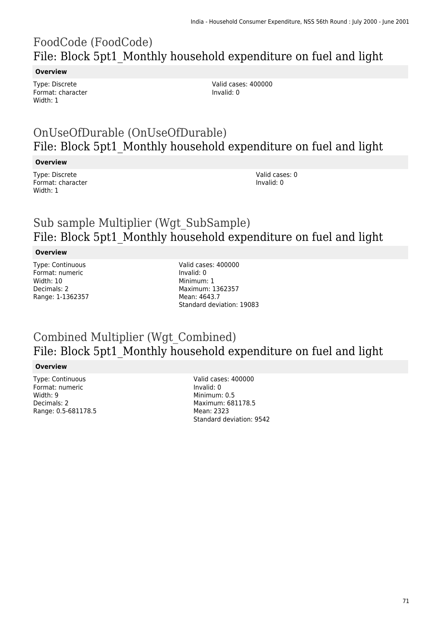# FoodCode (FoodCode) File: Block 5pt1\_Monthly household expenditure on fuel and light

#### **Overview**

Type: Discrete Format: character Width: 1

Valid cases: 400000 Invalid: 0

## OnUseOfDurable (OnUseOfDurable) File: Block 5pt1 Monthly household expenditure on fuel and light

### **Overview**

Type: Discrete Format: character Width: 1

Valid cases: 0 Invalid: 0

## Sub sample Multiplier (Wgt\_SubSample) File: Block 5pt1\_Monthly household expenditure on fuel and light

### **Overview**

Type: Continuous Format: numeric Width: 10 Decimals: 2 Range: 1-1362357

Valid cases: 400000 Invalid: 0 Minimum: 1 Maximum: 1362357 Mean: 4643.7 Standard deviation: 19083

### Combined Multiplier (Wgt\_Combined) File: Block 5pt1 Monthly household expenditure on fuel and light

### **Overview**

Type: Continuous Format: numeric Width: 9 Decimals: 2 Range: 0.5-681178.5

Valid cases: 400000 Invalid: 0 Minimum: 0.5 Maximum: 681178.5 Mean: 2323 Standard deviation: 9542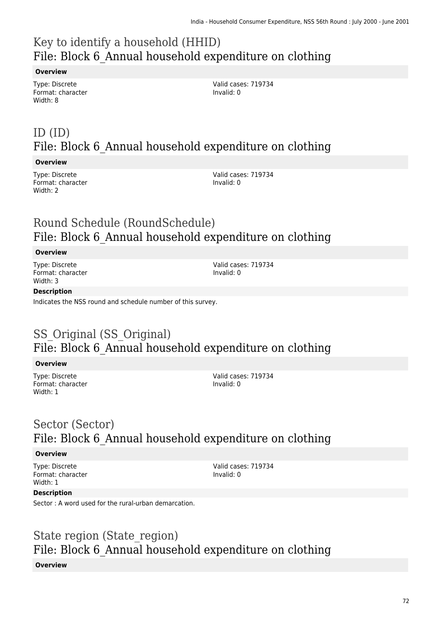# Key to identify a household (HHID) File: Block 6\_Annual household expenditure on clothing

### **Overview**

Type: Discrete Format: character Width: 8

Valid cases: 719734 Invalid: 0

# ID (ID) File: Block 6\_Annual household expenditure on clothing

### **Overview**

Type: Discrete Format: character Width: 2

Valid cases: 719734 Invalid: 0

## Round Schedule (RoundSchedule) File: Block 6 Annual household expenditure on clothing

### **Overview**

Type: Discrete Format: character Width: 3

Valid cases: 719734 Invalid: 0

### **Description**

Indicates the NSS round and schedule number of this survey.

## SS Original (SS Original) File: Block 6\_Annual household expenditure on clothing

### **Overview**

Type: Discrete Format: character Width: 1

Valid cases: 719734 Invalid: 0

## Sector (Sector) File: Block 6 Annual household expenditure on clothing

### **Overview**

Type: Discrete Format: character Width: 1

Valid cases: 719734 Invalid: 0

### **Description**

Sector : A word used for the rural-urban demarcation.

### State region (State region) File: Block 6\_Annual household expenditure on clothing **Overview**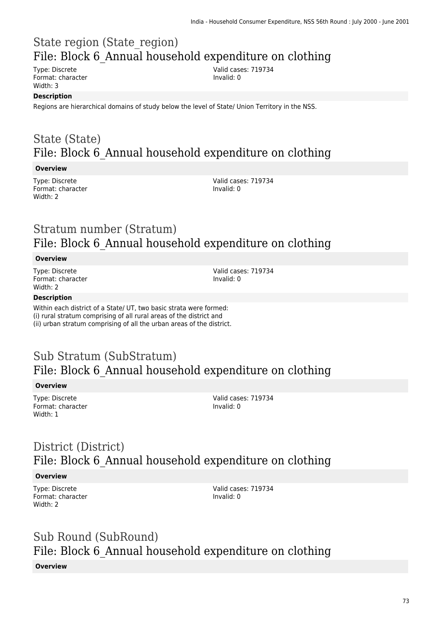# State region (State\_region) File: Block 6\_Annual household expenditure on clothing

Type: Discrete Format: character Width: 3

Valid cases: 719734 Invalid: 0

#### **Description**

Regions are hierarchical domains of study below the level of State/ Union Territory in the NSS.

### State (State) File: Block 6 Annual household expenditure on clothing

#### **Overview**

Type: Discrete Format: character Width: 2

Valid cases: 719734 Invalid: 0

### Stratum number (Stratum) File: Block 6 Annual household expenditure on clothing

#### **Overview**

Type: Discrete Format: character Width: 2

Valid cases: 719734 Invalid: 0

#### **Description**

Within each district of a State/ UT, two basic strata were formed: (i) rural stratum comprising of all rural areas of the district and (ii) urban stratum comprising of all the urban areas of the district.

### Sub Stratum (SubStratum) File: Block 6\_Annual household expenditure on clothing

#### **Overview**

Type: Discrete Format: character Width: 1

Valid cases: 719734 Invalid: 0

# District (District) File: Block 6 Annual household expenditure on clothing

#### **Overview**

Type: Discrete Format: character Width: 2

Valid cases: 719734 Invalid: 0

# Sub Round (SubRound) File: Block 6\_Annual household expenditure on clothing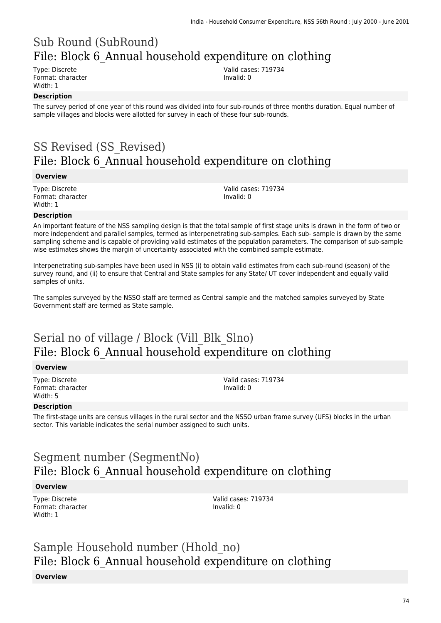# Sub Round (SubRound) File: Block 6\_Annual household expenditure on clothing

Type: Discrete Format: character Width: 1

Valid cases: 719734 Invalid: 0

### **Description**

The survey period of one year of this round was divided into four sub-rounds of three months duration. Equal number of sample villages and blocks were allotted for survey in each of these four sub-rounds.

# SS Revised (SS\_Revised) File: Block 6\_Annual household expenditure on clothing

#### **Overview**

Type: Discrete Format: character Width: 1

Valid cases: 719734 Invalid: 0

#### **Description**

An important feature of the NSS sampling design is that the total sample of first stage units is drawn in the form of two or more independent and parallel samples, termed as interpenetrating sub-samples. Each sub- sample is drawn by the same sampling scheme and is capable of providing valid estimates of the population parameters. The comparison of sub-sample wise estimates shows the margin of uncertainty associated with the combined sample estimate.

Interpenetrating sub-samples have been used in NSS (i) to obtain valid estimates from each sub-round (season) of the survey round, and (ii) to ensure that Central and State samples for any State/ UT cover independent and equally valid samples of units.

The samples surveyed by the NSSO staff are termed as Central sample and the matched samples surveyed by State Government staff are termed as State sample.

### Serial no of village / Block (Vill\_Blk\_Slno) File: Block 6 Annual household expenditure on clothing

#### **Overview**

Type: Discrete Format: character Width: 5

Valid cases: 719734 Invalid: 0

#### **Description**

The first-stage units are census villages in the rural sector and the NSSO urban frame survey (UFS) blocks in the urban sector. This variable indicates the serial number assigned to such units.

# Segment number (SegmentNo) File: Block 6\_Annual household expenditure on clothing

#### **Overview**

Type: Discrete Format: character Width: 1

Valid cases: 719734 Invalid: 0

# Sample Household number (Hhold\_no) File: Block 6\_Annual household expenditure on clothing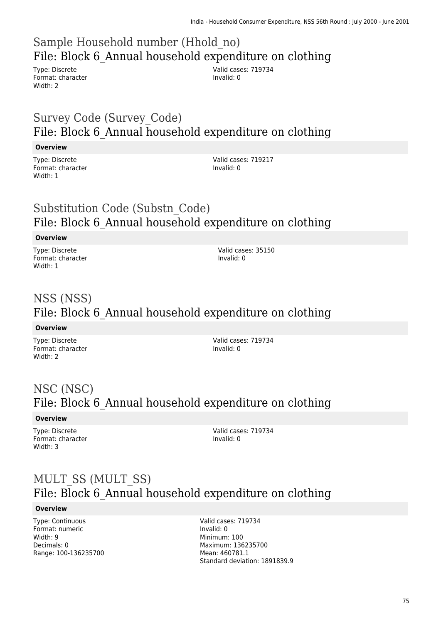# Sample Household number (Hhold\_no) File: Block 6\_Annual household expenditure on clothing

Type: Discrete Format: character Width: 2

Valid cases: 719734 Invalid: 0

### Survey Code (Survey\_Code) File: Block 6\_Annual household expenditure on clothing

### **Overview**

Type: Discrete Format: character Width: 1

Valid cases: 719217 Invalid: 0

### Substitution Code (Substn\_Code) File: Block 6\_Annual household expenditure on clothing

### **Overview**

Type: Discrete Format: character Width: 1

Valid cases: 35150 Invalid: 0

# NSS (NSS) File: Block 6\_Annual household expenditure on clothing

#### **Overview**

Type: Discrete Format: character Width: 2

Valid cases: 719734 Invalid: 0

# NSC (NSC) File: Block 6 Annual household expenditure on clothing

### **Overview**

Type: Discrete Format: character Width: 3

Valid cases: 719734 Invalid: 0

### MULT\_SS (MULT\_SS) File: Block 6\_Annual household expenditure on clothing

#### **Overview**

Type: Continuous Format: numeric Width: 9 Decimals: 0 Range: 100-136235700

Valid cases: 719734 Invalid: 0 Minimum: 100 Maximum: 136235700 Mean: 460781.1 Standard deviation: 1891839.9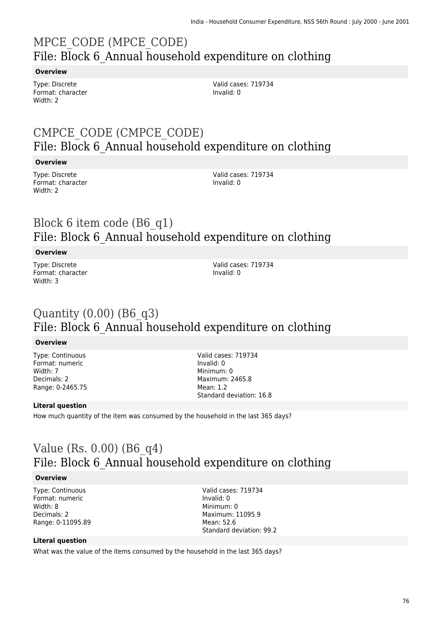# MPCE\_CODE (MPCE\_CODE) File: Block 6 Annual household expenditure on clothing

#### **Overview**

Type: Discrete Format: character Width: 2

Valid cases: 719734 Invalid: 0

### CMPCE\_CODE (CMPCE\_CODE) File: Block 6\_Annual household expenditure on clothing

#### **Overview**

Type: Discrete Format: character Width: 2

Valid cases: 719734 Invalid: 0

### Block 6 item code (B6\_q1) File: Block 6\_Annual household expenditure on clothing

### **Overview**

Type: Discrete Format: character Width: 3

Valid cases: 719734 Invalid: 0

### Quantity (0.00) (B6\_q3) File: Block 6\_Annual household expenditure on clothing

#### **Overview**

Type: Continuous Format: numeric Width: 7 Decimals: 2 Range: 0-2465.75 Valid cases: 719734 Invalid: 0 Minimum: 0 Maximum: 2465.8 Mean: 1.2 Standard deviation: 16.8

### **Literal question**

How much quantity of the item was consumed by the household in the last 365 days?

### Value (Rs. 0.00) (B6\_q4) File: Block 6\_Annual household expenditure on clothing

#### **Overview**

Type: Continuous Format: numeric Width: 8 Decimals: 2 Range: 0-11095.89

Valid cases: 719734 Invalid: 0 Minimum: 0 Maximum: 11095.9 Mean: 52.6 Standard deviation: 99.2

#### **Literal question**

What was the value of the items consumed by the household in the last 365 days?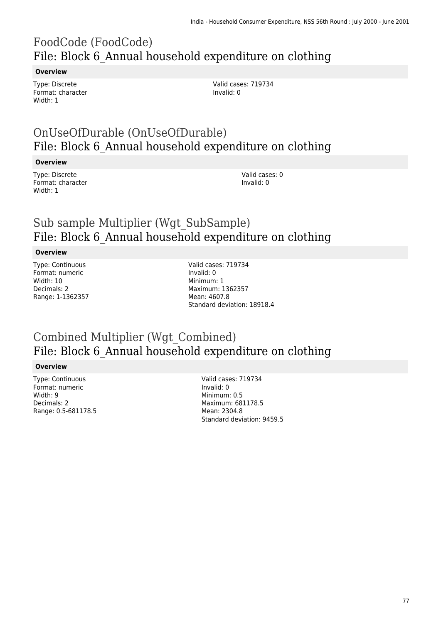# FoodCode (FoodCode) File: Block 6\_Annual household expenditure on clothing

#### **Overview**

Type: Discrete Format: character Width: 1

Valid cases: 719734 Invalid: 0

### OnUseOfDurable (OnUseOfDurable) File: Block 6\_Annual household expenditure on clothing

#### **Overview**

Type: Discrete Format: character Width: 1

Valid cases: 0 Invalid: 0

### Sub sample Multiplier (Wgt\_SubSample) File: Block 6\_Annual household expenditure on clothing

#### **Overview**

Type: Continuous Format: numeric Width: 10 Decimals: 2 Range: 1-1362357

Valid cases: 719734 Invalid: 0 Minimum: 1 Maximum: 1362357 Mean: 4607.8 Standard deviation: 18918.4

### Combined Multiplier (Wgt\_Combined) File: Block 6\_Annual household expenditure on clothing

#### **Overview**

Type: Continuous Format: numeric Width: 9 Decimals: 2 Range: 0.5-681178.5 Valid cases: 719734 Invalid: 0 Minimum: 0.5 Maximum: 681178.5 Mean: 2304.8 Standard deviation: 9459.5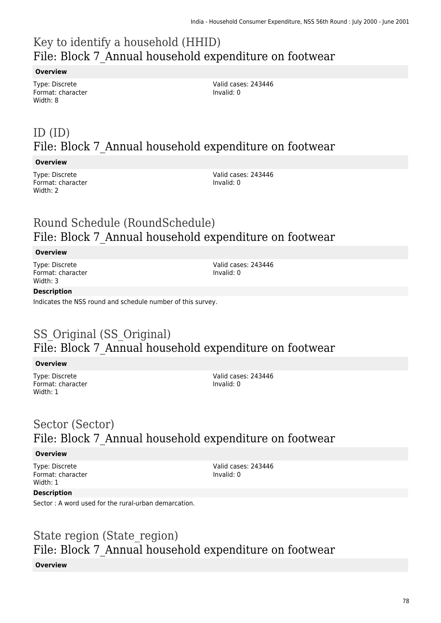# Key to identify a household (HHID) File: Block 7\_Annual household expenditure on footwear

#### **Overview**

Type: Discrete Format: character Width: 8

Valid cases: 243446 Invalid: 0

# ID (ID) File: Block 7\_Annual household expenditure on footwear

#### **Overview**

Type: Discrete Format: character Width: 2

Valid cases: 243446 Invalid: 0

### Round Schedule (RoundSchedule) File: Block 7\_Annual household expenditure on footwear

#### **Overview**

Type: Discrete Format: character Width: 3

Valid cases: 243446 Invalid: 0

#### **Description**

Indicates the NSS round and schedule number of this survey.

# SS Original (SS Original) File: Block 7\_Annual household expenditure on footwear

#### **Overview**

Type: Discrete Format: character Width: 1

Valid cases: 243446 Invalid: 0

### Sector (Sector) File: Block 7\_Annual household expenditure on footwear

#### **Overview**

Type: Discrete Format: character Width: 1

Valid cases: 243446 Invalid: 0

#### **Description**

Sector : A word used for the rural-urban demarcation.

### State region (State\_region) File: Block 7\_Annual household expenditure on footwear **Overview**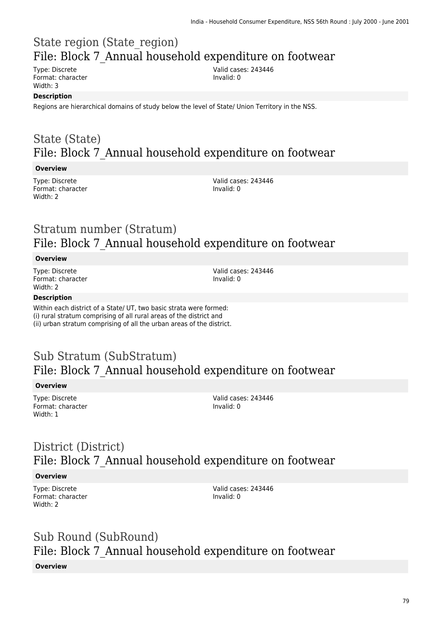# State region (State\_region) File: Block 7\_Annual household expenditure on footwear

Type: Discrete Format: character Width: 3

Valid cases: 243446 Invalid: 0

#### **Description**

Regions are hierarchical domains of study below the level of State/ Union Territory in the NSS.

### State (State) File: Block 7\_Annual household expenditure on footwear

#### **Overview**

Type: Discrete Format: character Width: 2

Valid cases: 243446 Invalid: 0

### Stratum number (Stratum) File: Block 7\_Annual household expenditure on footwear

#### **Overview**

Type: Discrete Format: character Width: 2

Valid cases: 243446 Invalid: 0

#### **Description**

Within each district of a State/ UT, two basic strata were formed: (i) rural stratum comprising of all rural areas of the district and (ii) urban stratum comprising of all the urban areas of the district.

### Sub Stratum (SubStratum) File: Block 7\_Annual household expenditure on footwear

#### **Overview**

Type: Discrete Format: character Width: 1

Valid cases: 243446 Invalid: 0

# District (District) File: Block 7\_Annual household expenditure on footwear

#### **Overview**

Type: Discrete Format: character Width: 2

Valid cases: 243446 Invalid: 0

# Sub Round (SubRound) File: Block 7\_Annual household expenditure on footwear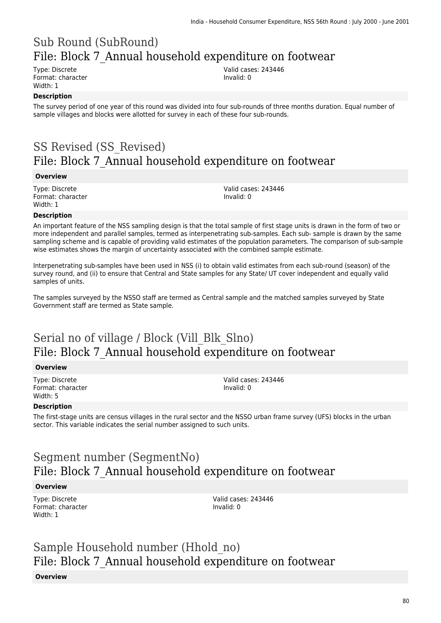# Sub Round (SubRound) File: Block 7\_Annual household expenditure on footwear

Type: Discrete Format: character Width: 1

Valid cases: 243446 Invalid: 0

### **Description**

The survey period of one year of this round was divided into four sub-rounds of three months duration. Equal number of sample villages and blocks were allotted for survey in each of these four sub-rounds.

# SS Revised (SS\_Revised) File: Block 7\_Annual household expenditure on footwear

#### **Overview**

Type: Discrete Format: character Width: 1

Valid cases: 243446 Invalid: 0

#### **Description**

An important feature of the NSS sampling design is that the total sample of first stage units is drawn in the form of two or more independent and parallel samples, termed as interpenetrating sub-samples. Each sub- sample is drawn by the same sampling scheme and is capable of providing valid estimates of the population parameters. The comparison of sub-sample wise estimates shows the margin of uncertainty associated with the combined sample estimate.

Interpenetrating sub-samples have been used in NSS (i) to obtain valid estimates from each sub-round (season) of the survey round, and (ii) to ensure that Central and State samples for any State/ UT cover independent and equally valid samples of units.

The samples surveyed by the NSSO staff are termed as Central sample and the matched samples surveyed by State Government staff are termed as State sample.

### Serial no of village / Block (Vill\_Blk\_Slno) File: Block 7\_Annual household expenditure on footwear

#### **Overview**

Type: Discrete Format: character Width: 5

Valid cases: 243446 Invalid: 0

#### **Description**

The first-stage units are census villages in the rural sector and the NSSO urban frame survey (UFS) blocks in the urban sector. This variable indicates the serial number assigned to such units.

# Segment number (SegmentNo) File: Block 7\_Annual household expenditure on footwear

#### **Overview**

Type: Discrete Format: character Width: 1

Valid cases: 243446 Invalid: 0

# Sample Household number (Hhold\_no) File: Block 7\_Annual household expenditure on footwear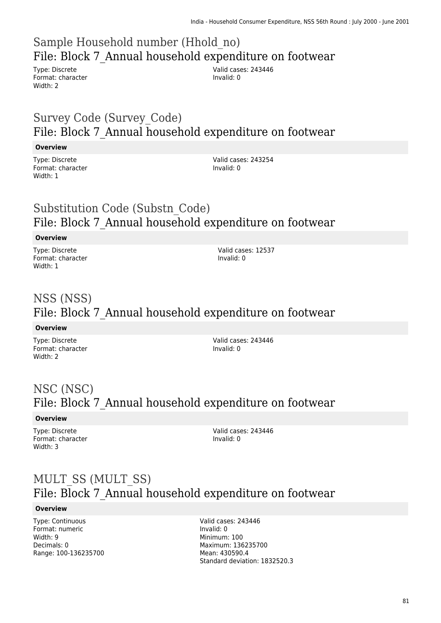# Sample Household number (Hhold\_no) File: Block 7\_Annual household expenditure on footwear

Type: Discrete Format: character Width: 2

Valid cases: 243446 Invalid: 0

### Survey Code (Survey\_Code) File: Block 7\_Annual household expenditure on footwear

### **Overview**

Type: Discrete Format: character Width: 1

Valid cases: 243254 Invalid: 0

### Substitution Code (Substn\_Code) File: Block 7\_Annual household expenditure on footwear

### **Overview**

Type: Discrete Format: character Width: 1

Valid cases: 12537 Invalid: 0

# NSS (NSS) File: Block 7\_Annual household expenditure on footwear

#### **Overview**

Type: Discrete Format: character Width: 2

Valid cases: 243446 Invalid: 0

# NSC (NSC) File: Block 7\_Annual household expenditure on footwear

### **Overview**

Type: Discrete Format: character Width: 3

Valid cases: 243446 Invalid: 0

### MULT\_SS (MULT\_SS) File: Block 7\_Annual household expenditure on footwear

#### **Overview**

Type: Continuous Format: numeric Width: 9 Decimals: 0 Range: 100-136235700

Valid cases: 243446 Invalid: 0 Minimum: 100 Maximum: 136235700 Mean: 430590.4 Standard deviation: 1832520.3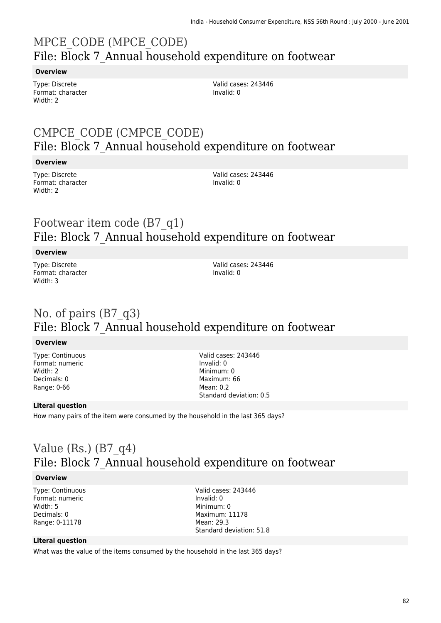# MPCE\_CODE (MPCE\_CODE) File: Block 7 Annual household expenditure on footwear

#### **Overview**

Type: Discrete Format: character Width: 2

Valid cases: 243446 Invalid: 0

### CMPCE\_CODE (CMPCE\_CODE) File: Block 7\_Annual household expenditure on footwear

#### **Overview**

Type: Discrete Format: character Width: 2

Valid cases: 243446 Invalid: 0

### Footwear item code (B7\_q1) File: Block 7\_Annual household expenditure on footwear

### **Overview**

Type: Discrete Format: character Width: 3

Valid cases: 243446 Invalid: 0

### No. of pairs (B7\_q3) File: Block 7\_Annual household expenditure on footwear

#### **Overview**

Type: Continuous Format: numeric Width: 2 Decimals: 0 Range: 0-66

Valid cases: 243446 Invalid: 0 Minimum: 0 Maximum: 66  $M$ aan: 0.2 Standard deviation: 0.5

### **Literal question**

How many pairs of the item were consumed by the household in the last 365 days?

### Value (Rs.)  $(B7q4)$ File: Block 7\_Annual household expenditure on footwear

#### **Overview**

Type: Continuous Format: numeric Width: 5 Decimals: 0 Range: 0-11178

Valid cases: 243446 Invalid: 0 Minimum: 0 Maximum: 11178 Mean: 29.3 Standard deviation: 51.8

#### **Literal question**

What was the value of the items consumed by the household in the last 365 days?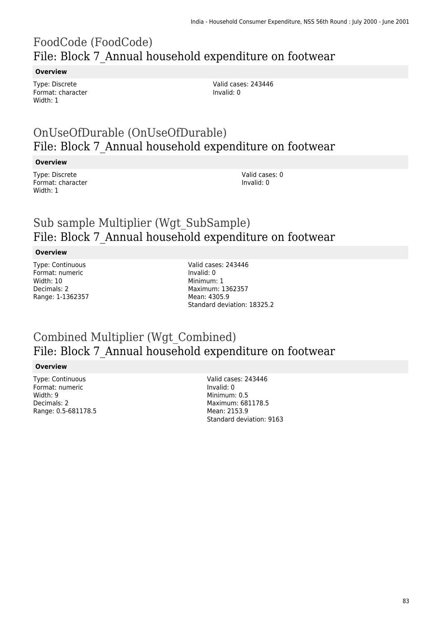# FoodCode (FoodCode) File: Block 7\_Annual household expenditure on footwear

#### **Overview**

Type: Discrete Format: character Width: 1

Valid cases: 243446 Invalid: 0

### OnUseOfDurable (OnUseOfDurable) File: Block 7\_Annual household expenditure on footwear

#### **Overview**

Type: Discrete Format: character Width: 1

Valid cases: 0 Invalid: 0

### Sub sample Multiplier (Wgt\_SubSample) File: Block 7\_Annual household expenditure on footwear

#### **Overview**

Type: Continuous Format: numeric Width: 10 Decimals: 2 Range: 1-1362357 Valid cases: 243446 Invalid: 0 Minimum: 1 Maximum: 1362357 Mean: 4305.9 Standard deviation: 18325.2

### Combined Multiplier (Wgt\_Combined) File: Block 7\_Annual household expenditure on footwear

#### **Overview**

Type: Continuous Format: numeric Width: 9 Decimals: 2 Range: 0.5-681178.5

Valid cases: 243446 Invalid: 0 Minimum: 0.5 Maximum: 681178.5 Mean: 2153.9 Standard deviation: 9163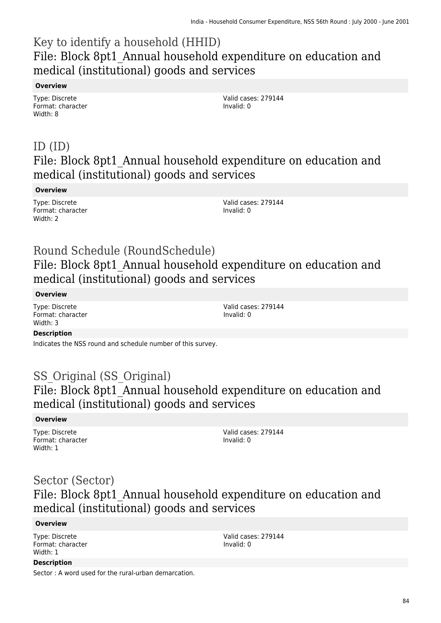### Key to identify a household (HHID) File: Block 8pt1 Annual household expenditure on education and medical (institutional) goods and services

#### **Overview**

Type: Discrete Format: character Width: 8

Valid cases: 279144 Invalid: 0

### ID (ID) File: Block 8pt1 Annual household expenditure on education and medical (institutional) goods and services

### **Overview**

Type: Discrete Format: character Width: 2

Valid cases: 279144 Invalid: 0

### Round Schedule (RoundSchedule) File: Block 8pt1 Annual household expenditure on education and medical (institutional) goods and services

### **Overview**

Type: Discrete Format: character Width: 3

Valid cases: 279144 Invalid: 0

### **Description**

Indicates the NSS round and schedule number of this survey.

### SS Original (SS Original) File: Block 8pt1\_Annual household expenditure on education and medical (institutional) goods and services

#### **Overview**

Type: Discrete Format: character Width: 1

Valid cases: 279144 Invalid: 0

### Sector (Sector)

### File: Block 8pt1\_Annual household expenditure on education and medical (institutional) goods and services

#### **Overview**

**Description**

Type: Discrete Format: character Width: 1

Valid cases: 279144 Invalid: 0

Sector : A word used for the rural-urban demarcation.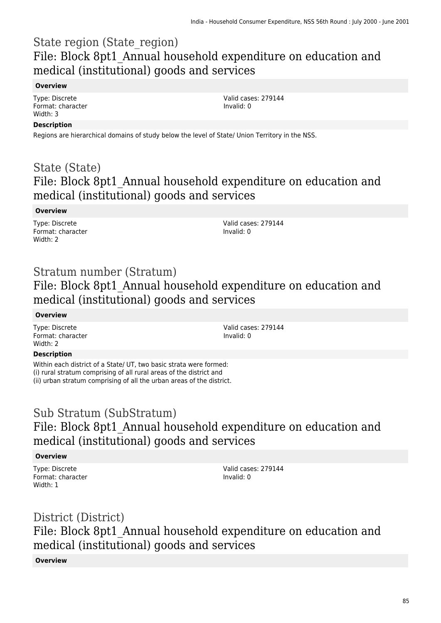### State region (State\_region) File: Block 8pt1 Annual household expenditure on education and medical (institutional) goods and services

### **Overview**

Type: Discrete Format: character Width: 3

Valid cases: 279144 Invalid: 0

### **Description**

Regions are hierarchical domains of study below the level of State/ Union Territory in the NSS.

### State (State) File: Block 8pt1 Annual household expenditure on education and medical (institutional) goods and services

### **Overview**

Type: Discrete Format: character Width: 2

Valid cases: 279144 Invalid: 0

### Stratum number (Stratum)

File: Block 8pt1 Annual household expenditure on education and medical (institutional) goods and services

### **Overview**

Type: Discrete Format: character Width: 2

Valid cases: 279144 Invalid: 0

### **Description**

Within each district of a State/ UT, two basic strata were formed: (i) rural stratum comprising of all rural areas of the district and (ii) urban stratum comprising of all the urban areas of the district.

### Sub Stratum (SubStratum) File: Block 8pt1\_Annual household expenditure on education and medical (institutional) goods and services

### **Overview**

Type: Discrete Format: character Width: 1

Valid cases: 279144 Invalid: 0

# District (District) File: Block 8pt1 Annual household expenditure on education and medical (institutional) goods and services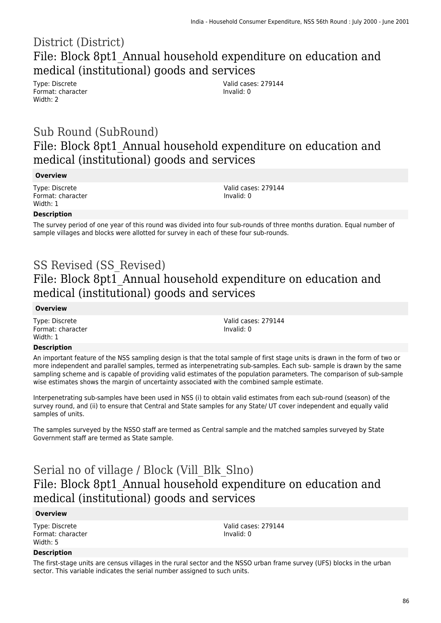### District (District) File: Block 8pt1 Annual household expenditure on education and medical (institutional) goods and services

Type: Discrete Format: character Width: 2

Valid cases: 279144 Invalid: 0

### Sub Round (SubRound) File: Block 8pt1 Annual household expenditure on education and medical (institutional) goods and services

#### **Overview**

Type: Discrete Format: character Width: 1

Valid cases: 279144 Invalid: 0

#### **Description**

The survey period of one year of this round was divided into four sub-rounds of three months duration. Equal number of sample villages and blocks were allotted for survey in each of these four sub-rounds.

# SS Revised (SS\_Revised) File: Block 8pt1 Annual household expenditure on education and medical (institutional) goods and services

#### **Overview**

Type: Discrete Format: character Width: 1

Valid cases: 279144 Invalid: 0

#### **Description**

An important feature of the NSS sampling design is that the total sample of first stage units is drawn in the form of two or more independent and parallel samples, termed as interpenetrating sub-samples. Each sub- sample is drawn by the same sampling scheme and is capable of providing valid estimates of the population parameters. The comparison of sub-sample wise estimates shows the margin of uncertainty associated with the combined sample estimate.

Interpenetrating sub-samples have been used in NSS (i) to obtain valid estimates from each sub-round (season) of the survey round, and (ii) to ensure that Central and State samples for any State/ UT cover independent and equally valid samples of units.

The samples surveyed by the NSSO staff are termed as Central sample and the matched samples surveyed by State Government staff are termed as State sample.

### Serial no of village / Block (Vill\_Blk\_Slno) File: Block 8pt1\_Annual household expenditure on education and medical (institutional) goods and services

#### **Overview**

Type: Discrete Format: character Width: 5

Valid cases: 279144 Invalid: 0

#### **Description**

The first-stage units are census villages in the rural sector and the NSSO urban frame survey (UFS) blocks in the urban sector. This variable indicates the serial number assigned to such units.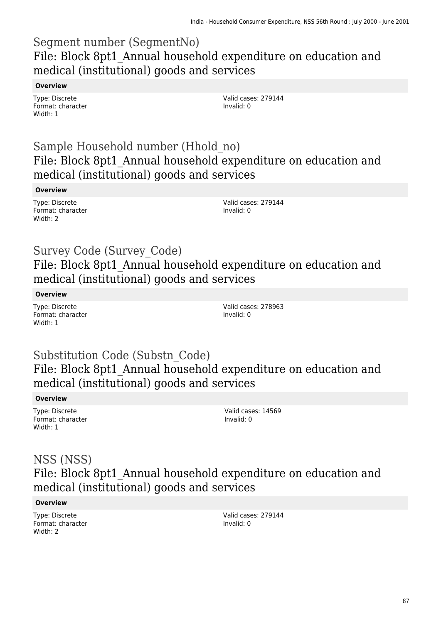### Segment number (SegmentNo) File: Block 8pt1 Annual household expenditure on education and medical (institutional) goods and services

### **Overview**

Type: Discrete Format: character Width: 1

Valid cases: 279144 Invalid: 0

### Sample Household number (Hhold\_no) File: Block 8pt1 Annual household expenditure on education and medical (institutional) goods and services

### **Overview**

Type: Discrete Format: character Width: 2

Valid cases: 279144 Invalid: 0

### Survey Code (Survey\_Code) File: Block 8pt1 Annual household expenditure on education and medical (institutional) goods and services

### **Overview**

Type: Discrete Format: character Width: 1

Valid cases: 278963 Invalid: 0

### Substitution Code (Substn\_Code) File: Block 8pt1\_Annual household expenditure on education and medical (institutional) goods and services

### **Overview**

Type: Discrete Format: character Width: 1

Valid cases: 14569 Invalid: 0

### NSS (NSS) File: Block 8pt1 Annual household expenditure on education and medical (institutional) goods and services

#### **Overview**

Type: Discrete Format: character Width: 2

Valid cases: 279144 Invalid: 0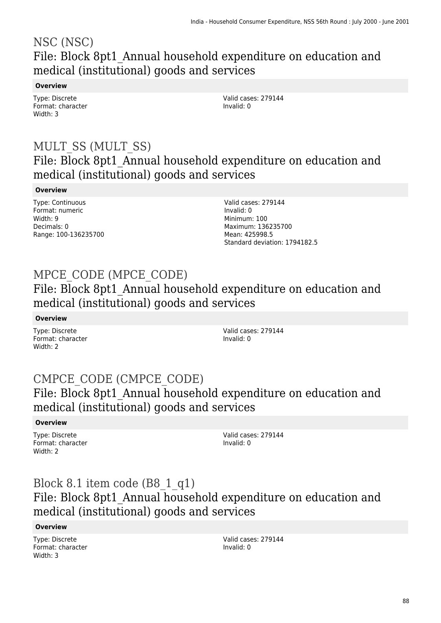### NSC (NSC) File: Block 8pt1\_Annual household expenditure on education and medical (institutional) goods and services

### **Overview**

Type: Discrete Format: character Width: 3

Valid cases: 279144 Invalid: 0

### MULT\_SS (MULT\_SS) File: Block 8pt1\_Annual household expenditure on education and medical (institutional) goods and services

### **Overview**

Type: Continuous Format: numeric Width: 9 Decimals: 0 Range: 100-136235700 Valid cases: 279144 Invalid: 0 Minimum: 100 Maximum: 136235700 Mean: 425998.5 Standard deviation: 1794182.5

# MPCE\_CODE (MPCE\_CODE)

File: Block 8pt1\_Annual household expenditure on education and medical (institutional) goods and services

### **Overview**

Type: Discrete Format: character Width: 2

Valid cases: 279144 Invalid: 0

### CMPCE\_CODE (CMPCE\_CODE) File: Block 8pt1\_Annual household expenditure on education and medical (institutional) goods and services

### **Overview**

Type: Discrete Format: character Width: 2

Valid cases: 279144 Invalid: 0

### Block 8.1 item code (B8\_1\_q1)

### File: Block 8pt1 Annual household expenditure on education and medical (institutional) goods and services

### **Overview**

Type: Discrete Format: character Width: 3

Valid cases: 279144 Invalid: 0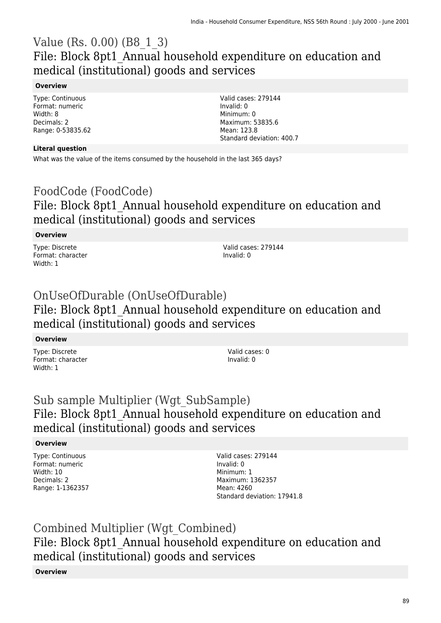### Value (Rs. 0.00) (B8\_1\_3) File: Block 8pt1\_Annual household expenditure on education and medical (institutional) goods and services

### **Overview**

Type: Continuous Format: numeric Width: 8 Decimals: 2 Range: 0-53835.62

### **Literal question**

What was the value of the items consumed by the household in the last 365 days?

# FoodCode (FoodCode) File: Block 8pt1 Annual household expenditure on education and medical (institutional) goods and services

### **Overview**

Type: Discrete Format: character Width: 1

Valid cases: 279144 Invalid: 0

Valid cases: 279144

Standard deviation: 400.7

Invalid: 0 Minimum: 0 Maximum: 53835.6 Mean: 123.8

# OnUseOfDurable (OnUseOfDurable)

### File: Block 8pt1\_Annual household expenditure on education and medical (institutional) goods and services

### **Overview**

Type: Discrete Format: character Width: 1

Valid cases: 0 Invalid: 0

### Sub sample Multiplier (Wgt\_SubSample) File: Block 8pt1 Annual household expenditure on education and medical (institutional) goods and services

### **Overview**

Type: Continuous Format: numeric Width: 10 Decimals: 2 Range: 1-1362357 Valid cases: 279144 Invalid: 0 Minimum: 1 Maximum: 1362357 Mean: 4260 Standard deviation: 17941.8

### Combined Multiplier (Wgt\_Combined) File: Block 8pt1 Annual household expenditure on education and medical (institutional) goods and services **Overview**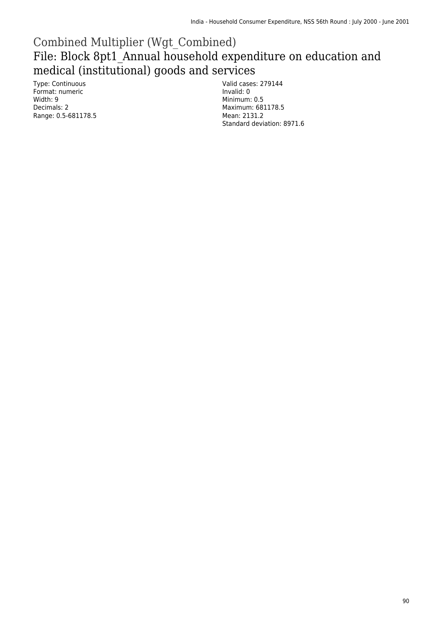### Combined Multiplier (Wgt\_Combined) File: Block 8pt1\_Annual household expenditure on education and medical (institutional) goods and services

Type: Continuous Format: numeric Width: 9 Decimals: 2 Range: 0.5-681178.5

Valid cases: 279144 Invalid: 0 Minimum: 0.5 Maximum: 681178.5 Mean: 2131.2 Standard deviation: 8971.6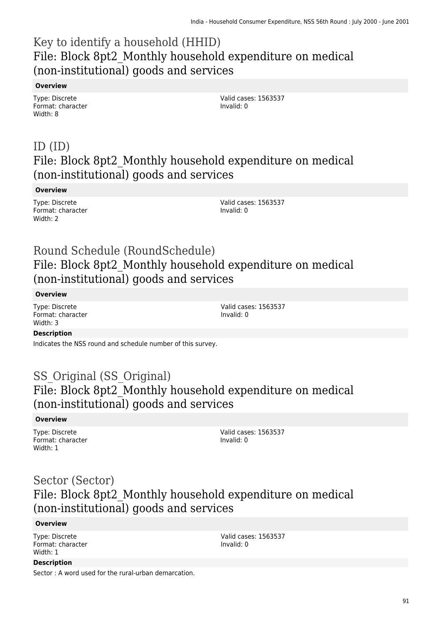### Key to identify a household (HHID) File: Block 8pt2\_Monthly household expenditure on medical (non-institutional) goods and services

#### **Overview**

Type: Discrete Format: character Width: 8

Valid cases: 1563537 Invalid: 0

### ID (ID) File: Block 8pt2\_Monthly household expenditure on medical (non-institutional) goods and services

#### **Overview**

Type: Discrete Format: character Width: 2

Valid cases: 1563537 Invalid: 0

### Round Schedule (RoundSchedule) File: Block 8pt2\_Monthly household expenditure on medical (non-institutional) goods and services

#### **Overview**

Type: Discrete Format: character Width: 3

Valid cases: 1563537 Invalid: 0

### **Description**

Indicates the NSS round and schedule number of this survey.

### SS Original (SS Original) File: Block 8pt2\_Monthly household expenditure on medical (non-institutional) goods and services

#### **Overview**

Type: Discrete Format: character Width: 1

Valid cases: 1563537 Invalid: 0

### Sector (Sector) File: Block 8pt2 Monthly household expenditure on medical (non-institutional) goods and services

#### **Overview**

Type: Discrete Format: character Width: 1

Valid cases: 1563537 Invalid: 0

#### **Description**

Sector : A word used for the rural-urban demarcation.

91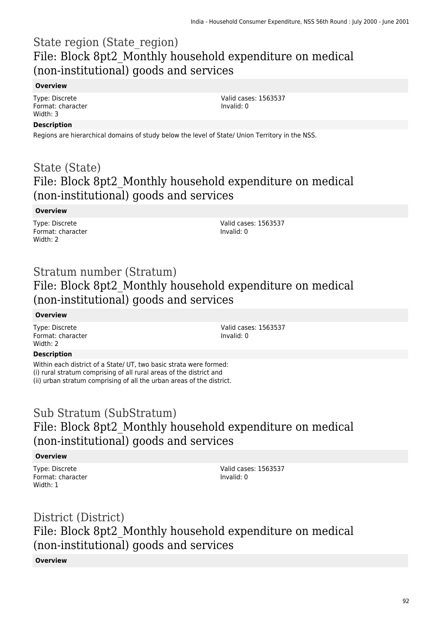### State region (State\_region) File: Block 8pt2\_Monthly household expenditure on medical (non-institutional) goods and services

#### **Overview**

Type: Discrete Format: character Width: 3

Valid cases: 1563537 Invalid: 0

### **Description**

Regions are hierarchical domains of study below the level of State/ Union Territory in the NSS.

### State (State) File: Block 8pt2 Monthly household expenditure on medical (non-institutional) goods and services

### **Overview**

Type: Discrete Format: character Width: 2

Valid cases: 1563537 Invalid: 0

### Stratum number (Stratum) File: Block 8pt2 Monthly household expenditure on medical (non-institutional) goods and services

#### **Overview**

Type: Discrete Format: character Width: 2

Valid cases: 1563537 Invalid: 0

### **Description**

Within each district of a State/ UT, two basic strata were formed: (i) rural stratum comprising of all rural areas of the district and (ii) urban stratum comprising of all the urban areas of the district.

### Sub Stratum (SubStratum) File: Block 8pt2 Monthly household expenditure on medical (non-institutional) goods and services

### **Overview**

Type: Discrete Format: character Width: 1

Valid cases: 1563537 Invalid: 0

### District (District) File: Block 8pt2 Monthly household expenditure on medical (non-institutional) goods and services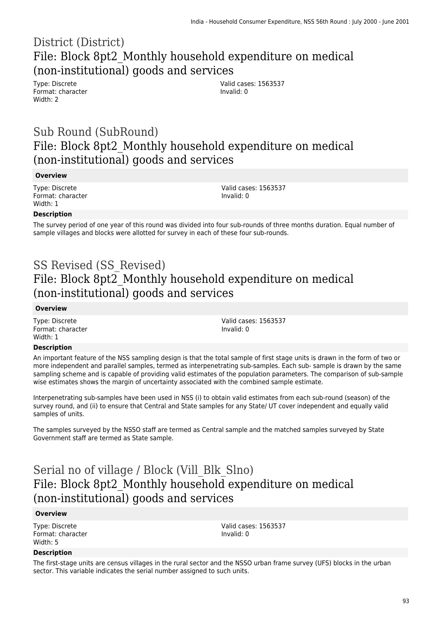### District (District) File: Block 8pt2\_Monthly household expenditure on medical (non-institutional) goods and services

Type: Discrete Format: character Width: 2

Valid cases: 1563537 Invalid: 0

### Sub Round (SubRound) File: Block 8pt2\_Monthly household expenditure on medical (non-institutional) goods and services

#### **Overview**

Type: Discrete Format: character Width: 1

Valid cases: 1563537 Invalid: 0

#### **Description**

The survey period of one year of this round was divided into four sub-rounds of three months duration. Equal number of sample villages and blocks were allotted for survey in each of these four sub-rounds.

### SS Revised (SS\_Revised) File: Block 8pt2 Monthly household expenditure on medical (non-institutional) goods and services

#### **Overview**

Type: Discrete Format: character Width: 1

Valid cases: 1563537 Invalid: 0

#### **Description**

An important feature of the NSS sampling design is that the total sample of first stage units is drawn in the form of two or more independent and parallel samples, termed as interpenetrating sub-samples. Each sub- sample is drawn by the same sampling scheme and is capable of providing valid estimates of the population parameters. The comparison of sub-sample wise estimates shows the margin of uncertainty associated with the combined sample estimate.

Interpenetrating sub-samples have been used in NSS (i) to obtain valid estimates from each sub-round (season) of the survey round, and (ii) to ensure that Central and State samples for any State/ UT cover independent and equally valid samples of units.

The samples surveyed by the NSSO staff are termed as Central sample and the matched samples surveyed by State Government staff are termed as State sample.

### Serial no of village / Block (Vill\_Blk\_Slno) File: Block 8pt2 Monthly household expenditure on medical (non-institutional) goods and services

#### **Overview**

Type: Discrete Format: character Width: 5

Valid cases: 1563537 Invalid: 0

#### **Description**

The first-stage units are census villages in the rural sector and the NSSO urban frame survey (UFS) blocks in the urban sector. This variable indicates the serial number assigned to such units.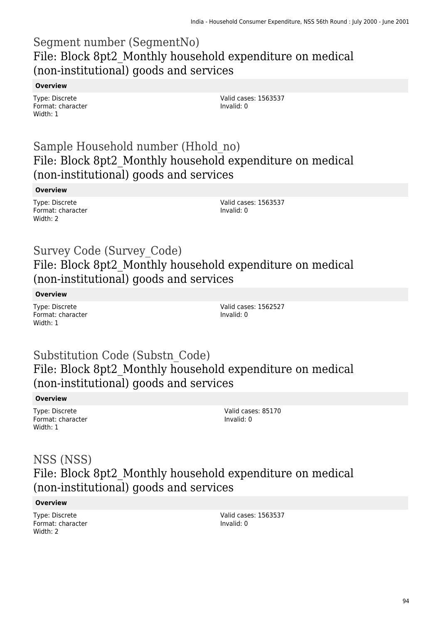### Segment number (SegmentNo) File: Block 8pt2\_Monthly household expenditure on medical (non-institutional) goods and services

#### **Overview**

Type: Discrete Format: character Width: 1

Valid cases: 1563537 Invalid: 0

### Sample Household number (Hhold\_no) File: Block 8pt2\_Monthly household expenditure on medical (non-institutional) goods and services

### **Overview**

Type: Discrete Format: character Width: 2

Valid cases: 1563537 Invalid: 0

### Survey Code (Survey\_Code) File: Block 8pt2 Monthly household expenditure on medical (non-institutional) goods and services

### **Overview**

Type: Discrete Format: character Width: 1

Valid cases: 1562527 Invalid: 0

### Substitution Code (Substn\_Code) File: Block 8pt2 Monthly household expenditure on medical (non-institutional) goods and services

#### **Overview**

Type: Discrete Format: character Width: 1

Valid cases: 85170 Invalid: 0

### NSS (NSS) File: Block 8pt2\_Monthly household expenditure on medical (non-institutional) goods and services

#### **Overview**

Type: Discrete Format: character Width: 2

Valid cases: 1563537 Invalid: 0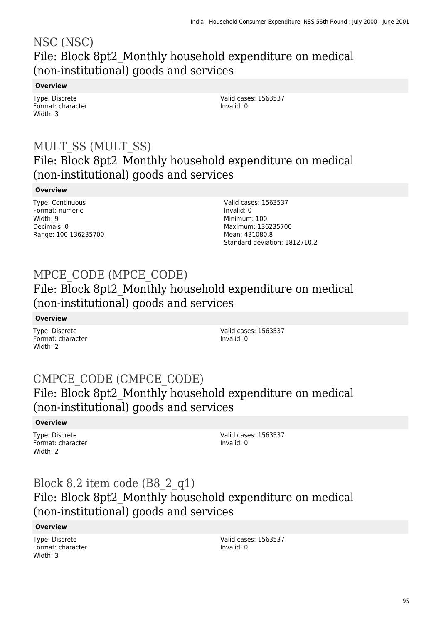### NSC (NSC) File: Block 8pt2\_Monthly household expenditure on medical (non-institutional) goods and services

### **Overview**

Type: Discrete Format: character Width: 3

Valid cases: 1563537 Invalid: 0

### MULT\_SS (MULT\_SS) File: Block 8pt2\_Monthly household expenditure on medical (non-institutional) goods and services

### **Overview**

Type: Continuous Format: numeric Width: 9 Decimals: 0 Range: 100-136235700 Valid cases: 1563537 Invalid: 0 Minimum: 100 Maximum: 136235700 Mean: 431080.8 Standard deviation: 1812710.2

# MPCE\_CODE (MPCE\_CODE)

File: Block 8pt2\_Monthly household expenditure on medical (non-institutional) goods and services

**Overview**

Type: Discrete Format: character Width: 2

Valid cases: 1563537 Invalid: 0

### CMPCE\_CODE (CMPCE\_CODE) File: Block 8pt2\_Monthly household expenditure on medical (non-institutional) goods and services

### **Overview**

Type: Discrete Format: character Width: 2

Valid cases: 1563537 Invalid: 0

### Block 8.2 item code (B8\_2\_q1) File: Block 8pt2 Monthly household expenditure on medical (non-institutional) goods and services

### **Overview**

Type: Discrete Format: character Width: 3

Valid cases: 1563537 Invalid: 0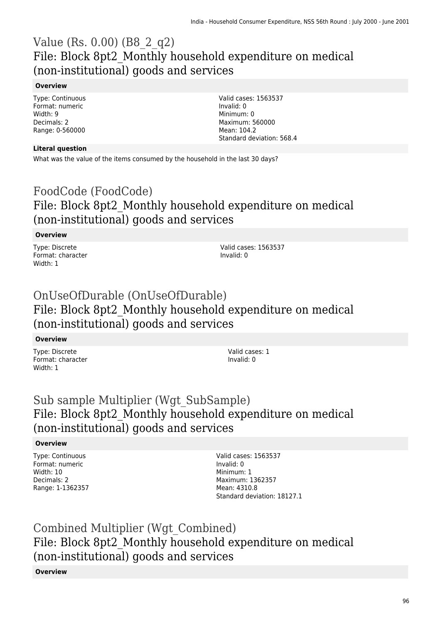### Value (Rs. 0.00) (B8\_2\_q2) File: Block 8pt2\_Monthly household expenditure on medical (non-institutional) goods and services

#### **Overview**

Type: Continuous Format: numeric Width: 9 Decimals: 2 Range: 0-560000

#### **Literal question**

What was the value of the items consumed by the household in the last 30 days?

### FoodCode (FoodCode) File: Block 8pt2\_Monthly household expenditure on medical (non-institutional) goods and services

### **Overview**

Type: Discrete Format: character Width: 1

Valid cases: 1563537 Invalid: 0

Valid cases: 1563537

Standard deviation: 568.4

Invalid: 0 Minimum: 0 Maximum: 560000 Mean: 104.2

### OnUseOfDurable (OnUseOfDurable) File: Block 8pt2\_Monthly household expenditure on medical (non-institutional) goods and services

#### **Overview**

Type: Discrete Format: character Width: 1

Valid cases: 1 Invalid: 0

### Sub sample Multiplier (Wgt\_SubSample) File: Block 8pt2 Monthly household expenditure on medical (non-institutional) goods and services

#### **Overview**

Type: Continuous Format: numeric Width: 10 Decimals: 2 Range: 1-1362357

Valid cases: 1563537 Invalid: 0 Minimum: 1 Maximum: 1362357 Mean: 4310.8 Standard deviation: 18127.1

Combined Multiplier (Wgt\_Combined) File: Block 8pt2\_Monthly household expenditure on medical (non-institutional) goods and services **Overview**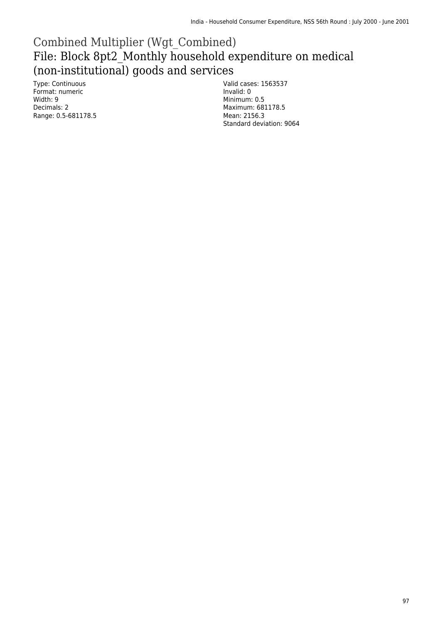### Combined Multiplier (Wgt\_Combined) File: Block 8pt2\_Monthly household expenditure on medical (non-institutional) goods and services

Type: Continuous Format: numeric Width: 9 Decimals: 2 Range: 0.5-681178.5

Valid cases: 1563537 Invalid: 0 Minimum: 0.5 Maximum: 681178.5 Mean: 2156.3 Standard deviation: 9064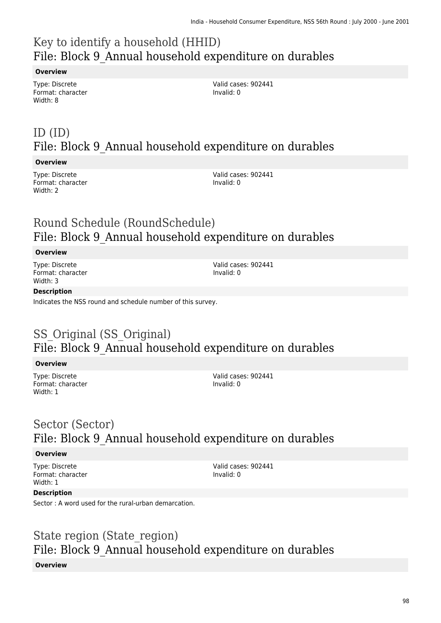# Key to identify a household (HHID) File: Block 9\_Annual household expenditure on durables

#### **Overview**

Type: Discrete Format: character Width: 8

Valid cases: 902441 Invalid: 0

# ID (ID) File: Block 9\_Annual household expenditure on durables

#### **Overview**

Type: Discrete Format: character Width: 2

Valid cases: 902441 Invalid: 0

# Round Schedule (RoundSchedule) File: Block 9\_Annual household expenditure on durables

### **Overview**

Type: Discrete Format: character Width: 3

Valid cases: 902441 Invalid: 0

### **Description**

Indicates the NSS round and schedule number of this survey.

# SS Original (SS Original) File: Block 9\_Annual household expenditure on durables

#### **Overview**

Type: Discrete Format: character Width: 1

Valid cases: 902441 Invalid: 0

### Sector (Sector) File: Block 9\_Annual household expenditure on durables

#### **Overview**

Type: Discrete Format: character Width: 1

Valid cases: 902441 Invalid: 0

#### **Description**

Sector : A word used for the rural-urban demarcation.

### State region (State region) File: Block 9\_Annual household expenditure on durables **Overview**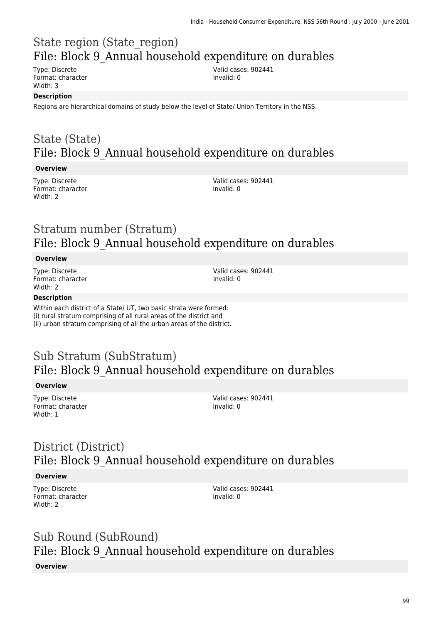# State region (State\_region) File: Block 9\_Annual household expenditure on durables

Type: Discrete Format: character Width: 3

Valid cases: 902441 Invalid: 0

#### **Description**

Regions are hierarchical domains of study below the level of State/ Union Territory in the NSS.

### State (State) File: Block 9\_Annual household expenditure on durables

#### **Overview**

Type: Discrete Format: character Width: 2

Valid cases: 902441 Invalid: 0

### Stratum number (Stratum) File: Block 9\_Annual household expenditure on durables

#### **Overview**

Type: Discrete Format: character Width: 2

Valid cases: 902441 Invalid: 0

#### **Description**

Within each district of a State/ UT, two basic strata were formed: (i) rural stratum comprising of all rural areas of the district and (ii) urban stratum comprising of all the urban areas of the district.

# Sub Stratum (SubStratum) File: Block 9\_Annual household expenditure on durables

#### **Overview**

Type: Discrete Format: character Width: 1

Valid cases: 902441 Invalid: 0

# District (District) File: Block 9\_Annual household expenditure on durables

#### **Overview**

Type: Discrete Format: character Width: 2

Valid cases: 902441 Invalid: 0

# Sub Round (SubRound) File: Block 9\_Annual household expenditure on durables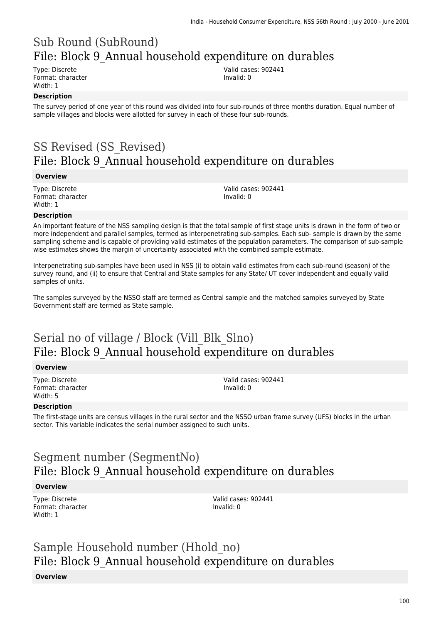# Sub Round (SubRound) File: Block 9\_Annual household expenditure on durables

Type: Discrete Format: character Width: 1

Valid cases: 902441 Invalid: 0

### **Description**

The survey period of one year of this round was divided into four sub-rounds of three months duration. Equal number of sample villages and blocks were allotted for survey in each of these four sub-rounds.

# SS Revised (SS\_Revised) File: Block 9\_Annual household expenditure on durables

#### **Overview**

Type: Discrete Format: character Width: 1

Valid cases: 902441 Invalid: 0

#### **Description**

An important feature of the NSS sampling design is that the total sample of first stage units is drawn in the form of two or more independent and parallel samples, termed as interpenetrating sub-samples. Each sub- sample is drawn by the same sampling scheme and is capable of providing valid estimates of the population parameters. The comparison of sub-sample wise estimates shows the margin of uncertainty associated with the combined sample estimate.

Interpenetrating sub-samples have been used in NSS (i) to obtain valid estimates from each sub-round (season) of the survey round, and (ii) to ensure that Central and State samples for any State/ UT cover independent and equally valid samples of units.

The samples surveyed by the NSSO staff are termed as Central sample and the matched samples surveyed by State Government staff are termed as State sample.

### Serial no of village / Block (Vill\_Blk\_Slno) File: Block 9\_Annual household expenditure on durables

#### **Overview**

Type: Discrete Format: character Width: 5

Valid cases: 902441 Invalid: 0

#### **Description**

The first-stage units are census villages in the rural sector and the NSSO urban frame survey (UFS) blocks in the urban sector. This variable indicates the serial number assigned to such units.

# Segment number (SegmentNo) File: Block 9\_Annual household expenditure on durables

#### **Overview**

Type: Discrete Format: character Width: 1

Valid cases: 902441 Invalid: 0

# Sample Household number (Hhold\_no) File: Block 9\_Annual household expenditure on durables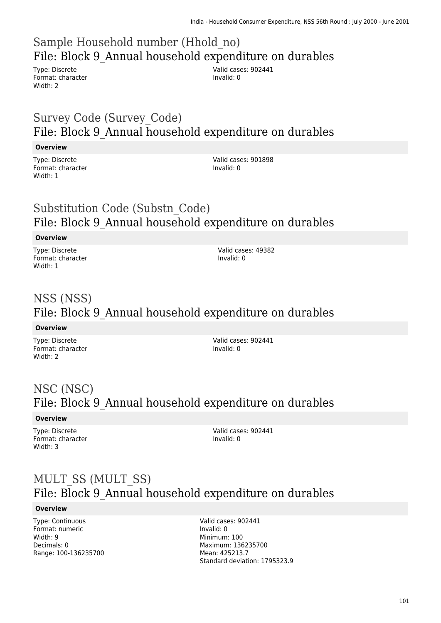# Sample Household number (Hhold\_no) File: Block 9\_Annual household expenditure on durables

Type: Discrete Format: character Width: 2

Valid cases: 902441 Invalid: 0

### Survey Code (Survey\_Code) File: Block 9\_Annual household expenditure on durables

### **Overview**

Type: Discrete Format: character Width: 1

Valid cases: 901898 Invalid: 0

### Substitution Code (Substn\_Code) File: Block 9\_Annual household expenditure on durables

### **Overview**

Type: Discrete Format: character Width: 1

Valid cases: 49382 Invalid: 0

# NSS (NSS) File: Block 9\_Annual household expenditure on durables

#### **Overview**

Type: Discrete Format: character Width: 2

Valid cases: 902441 Invalid: 0

# NSC (NSC) File: Block 9\_Annual household expenditure on durables

### **Overview**

Type: Discrete Format: character Width: 3

Valid cases: 902441 Invalid: 0

### MULT\_SS (MULT\_SS) File: Block 9\_Annual household expenditure on durables

#### **Overview**

Type: Continuous Format: numeric Width: 9 Decimals: 0 Range: 100-136235700

Valid cases: 902441 Invalid: 0 Minimum: 100 Maximum: 136235700 Mean: 425213.7 Standard deviation: 1795323.9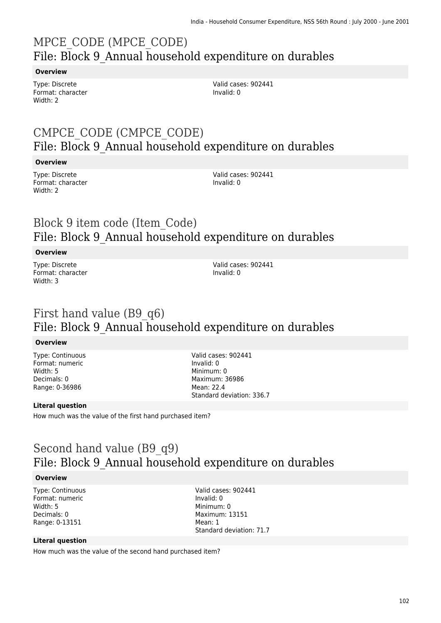# MPCE\_CODE (MPCE\_CODE) File: Block 9\_Annual household expenditure on durables

#### **Overview**

Type: Discrete Format: character Width: 2

Valid cases: 902441 Invalid: 0

### CMPCE\_CODE (CMPCE\_CODE) File: Block 9\_Annual household expenditure on durables

#### **Overview**

Type: Discrete Format: character Width: 2

Valid cases: 902441 Invalid: 0

### Block 9 item code (Item\_Code) File: Block 9\_Annual household expenditure on durables

#### **Overview**

Type: Discrete Format: character Width: 3

Valid cases: 902441 Invalid: 0

### First hand value (B9\_q6) File: Block 9\_Annual household expenditure on durables

#### **Overview**

Type: Continuous Format: numeric Width: 5 Decimals: 0 Range: 0-36986

Valid cases: 902441 Invalid: 0 Minimum: 0 Maximum: 36986 Mean: 22.4 Standard deviation: 336.7

#### **Literal question**

How much was the value of the first hand purchased item?

### Second hand value (B9\_q9) File: Block 9\_Annual household expenditure on durables

#### **Overview**

Type: Continuous Format: numeric Width: 5 Decimals: 0 Range: 0-13151

Valid cases: 902441 Invalid: 0 Minimum: 0 Maximum: 13151 Mean: 1 Standard deviation: 71.7

#### **Literal question**

How much was the value of the second hand purchased item?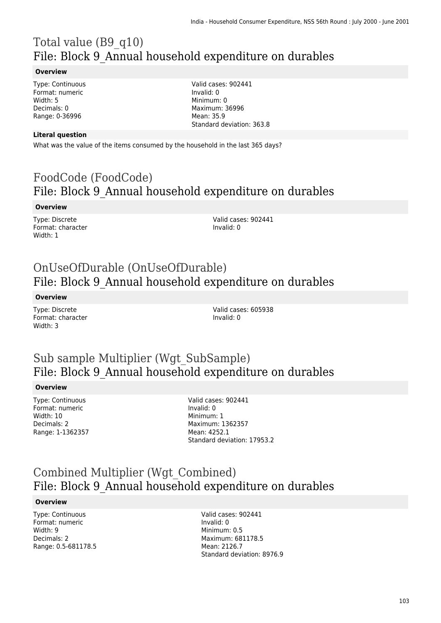# Total value (B9\_q10) File: Block 9\_Annual household expenditure on durables

#### **Overview**

Type: Continuous Format: numeric Width: 5 Decimals: 0 Range: 0-36996

Valid cases: 902441 Invalid: 0 Minimum: 0 Maximum: 36996 Mean: 35.9 Standard deviation: 363.8

#### **Literal question**

What was the value of the items consumed by the household in the last 365 days?

### FoodCode (FoodCode) File: Block 9\_Annual household expenditure on durables

#### **Overview**

Type: Discrete Format: character Width: 1

Valid cases: 902441 Invalid: 0

### OnUseOfDurable (OnUseOfDurable) File: Block 9\_Annual household expenditure on durables

**Overview**

Type: Discrete Format: character Width: 3

Valid cases: 605938 Invalid: 0

### Sub sample Multiplier (Wgt\_SubSample) File: Block 9\_Annual household expenditure on durables

#### **Overview**

Type: Continuous Format: numeric Width: 10 Decimals: 2 Range: 1-1362357

Valid cases: 902441 Invalid: 0 Minimum: 1 Maximum: 1362357 Mean: 4252.1 Standard deviation: 17953.2

### Combined Multiplier (Wgt\_Combined) File: Block 9\_Annual household expenditure on durables

#### **Overview**

Type: Continuous Format: numeric Width: 9 Decimals: 2 Range: 0.5-681178.5 Valid cases: 902441 Invalid: 0 Minimum: 0.5 Maximum: 681178.5 Mean: 2126.7 Standard deviation: 8976.9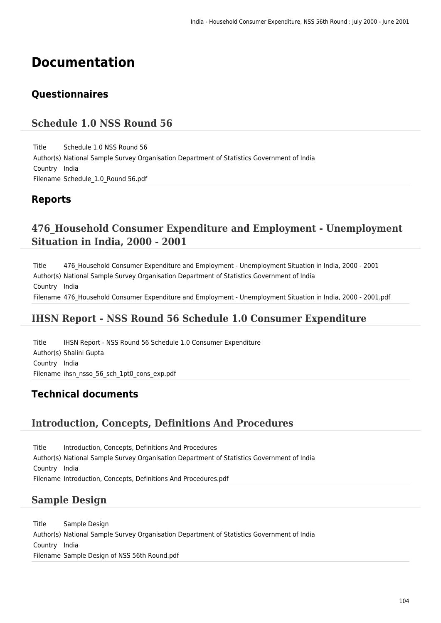# **Documentation**

### **Questionnaires**

### **Schedule 1.0 NSS Round 56**

Title Schedule 1.0 NSS Round 56 Author(s) National Sample Survey Organisation Department of Statistics Government of India Country India Filename Schedule\_1.0\_Round 56.pdf

### **Reports**

### **476\_Household Consumer Expenditure and Employment - Unemployment Situation in India, 2000 - 2001**

Title 476\_Household Consumer Expenditure and Employment - Unemployment Situation in India, 2000 - 2001 Author(s) National Sample Survey Organisation Department of Statistics Government of India Country India Filename 476 Household Consumer Expenditure and Employment - Unemployment Situation in India, 2000 - 2001.pdf

### **IHSN Report - NSS Round 56 Schedule 1.0 Consumer Expenditure**

Title IHSN Report - NSS Round 56 Schedule 1.0 Consumer Expenditure Author(s) Shalini Gupta Country India Filename ihsn nsso 56 sch 1pt0 cons exp.pdf

### **Technical documents**

### **Introduction, Concepts, Definitions And Procedures**

Title Introduction, Concepts, Definitions And Procedures Author(s) National Sample Survey Organisation Department of Statistics Government of India Country India Filename Introduction, Concepts, Definitions And Procedures.pdf

### **Sample Design**

Title Sample Design Author(s) National Sample Survey Organisation Department of Statistics Government of India Country India Filename Sample Design of NSS 56th Round.pdf